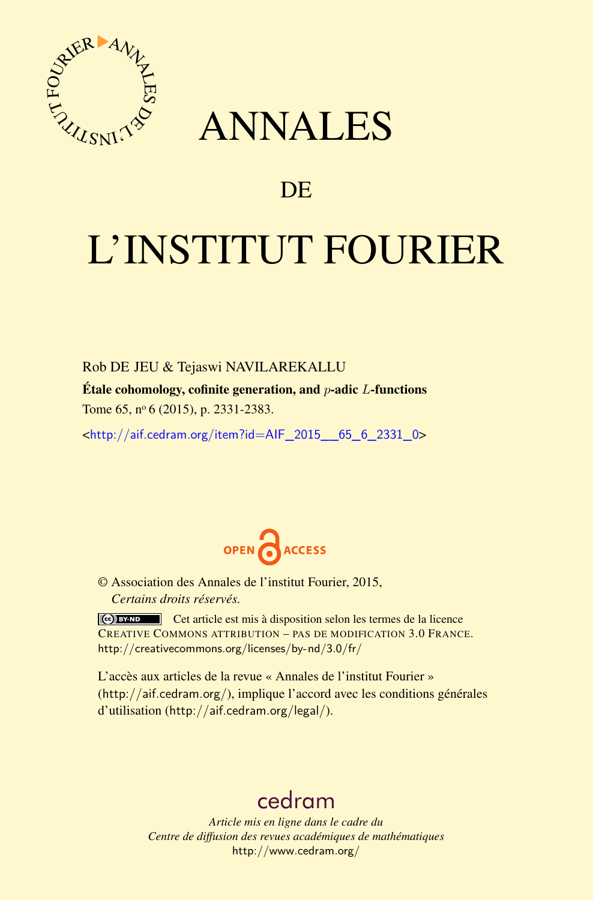

## ANNALES

### **DE**

# L'INSTITUT FOURIER

Rob DE JEU & Tejaswi NAVILAREKALLU

Étale cohomology, cofinite generation, and *p*-adic *L*-functions Tome 65, nº 6 (2015), p. 2331-2383.

 $\kappa$ http://aif.cedram.org/item?id=AIF 2015 65 6 2331 0>



© Association des Annales de l'institut Fourier, 2015, *Certains droits réservés.*

Cet article est mis à disposition selon les termes de la licence CREATIVE COMMONS ATTRIBUTION – PAS DE MODIFICATION 3.0 FRANCE. <http://creativecommons.org/licenses/by-nd/3.0/fr/>

L'accès aux articles de la revue « Annales de l'institut Fourier » (<http://aif.cedram.org/>), implique l'accord avec les conditions générales d'utilisation (<http://aif.cedram.org/legal/>).

## [cedram](http://www.cedram.org/)

*Article mis en ligne dans le cadre du Centre de diffusion des revues académiques de mathématiques* <http://www.cedram.org/>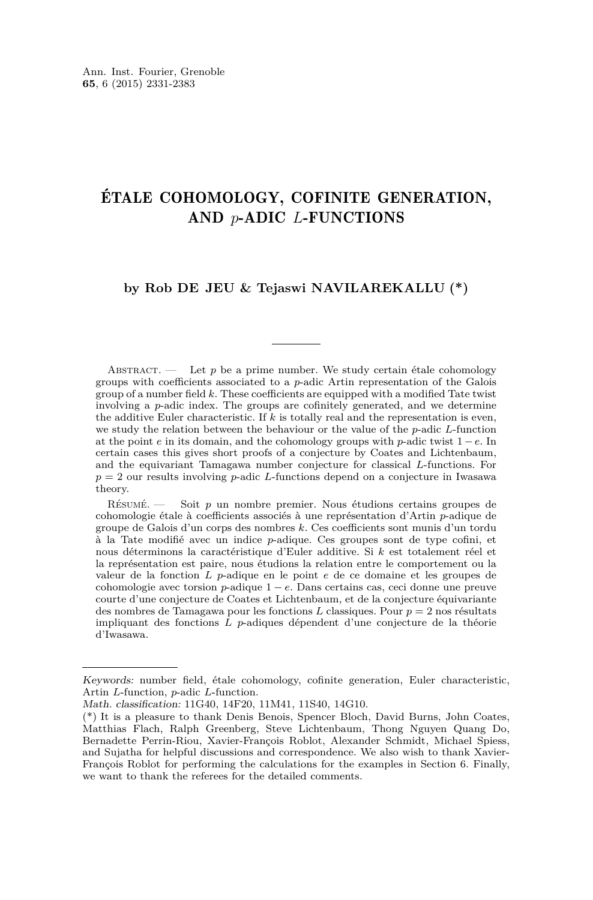#### ÉTALE COHOMOLOGY, COFINITE GENERATION, AND *p*-ADIC *L*-FUNCTIONS

#### **by Rob DE JEU & Tejaswi NAVILAREKALLU (\*)**

ABSTRACT. — Let *p* be a prime number. We study certain étale cohomology groups with coefficients associated to a *p*-adic Artin representation of the Galois group of a number field *k*. These coefficients are equipped with a modified Tate twist involving a *p*-adic index. The groups are cofinitely generated, and we determine the additive Euler characteristic. If *k* is totally real and the representation is even, we study the relation between the behaviour or the value of the *p*-adic *L*-function at the point *e* in its domain, and the cohomology groups with *p*-adic twist 1 − *e*. In certain cases this gives short proofs of a conjecture by Coates and Lichtenbaum, and the equivariant Tamagawa number conjecture for classical *L*-functions. For *p* = 2 our results involving *p*-adic *L*-functions depend on a conjecture in Iwasawa theory.

Résumé. — Soit *p* un nombre premier. Nous étudions certains groupes de cohomologie étale à coefficients associés à une représentation d'Artin *p*-adique de groupe de Galois d'un corps des nombres *k*. Ces coefficients sont munis d'un tordu à la Tate modifié avec un indice *p*-adique. Ces groupes sont de type cofini, et nous déterminons la caractéristique d'Euler additive. Si *k* est totalement réel et la représentation est paire, nous étudions la relation entre le comportement ou la valeur de la fonction *L p*-adique en le point *e* de ce domaine et les groupes de cohomologie avec torsion *p*-adique 1 − *e*. Dans certains cas, ceci donne une preuve courte d'une conjecture de Coates et Lichtenbaum, et de la conjecture équivariante des nombres de Tamagawa pour les fonctions *L* classiques. Pour *p* = 2 nos résultats impliquant des fonctions *L p*-adiques dépendent d'une conjecture de la théorie d'Iwasawa.

Keywords: number field, étale cohomology, cofinite generation, Euler characteristic, Artin *L*-function, *p*-adic *L*-function.

Math. classification: 11G40, 14F20, 11M41, 11S40, 14G10.

<sup>(\*)</sup> It is a pleasure to thank Denis Benois, Spencer Bloch, David Burns, John Coates, Matthias Flach, Ralph Greenberg, Steve Lichtenbaum, Thong Nguyen Quang Do, Bernadette Perrin-Riou, Xavier-François Roblot, Alexander Schmidt, Michael Spiess, and Sujatha for helpful discussions and correspondence. We also wish to thank Xavier-François Roblot for performing the calculations for the examples in Section 6. Finally, we want to thank the referees for the detailed comments.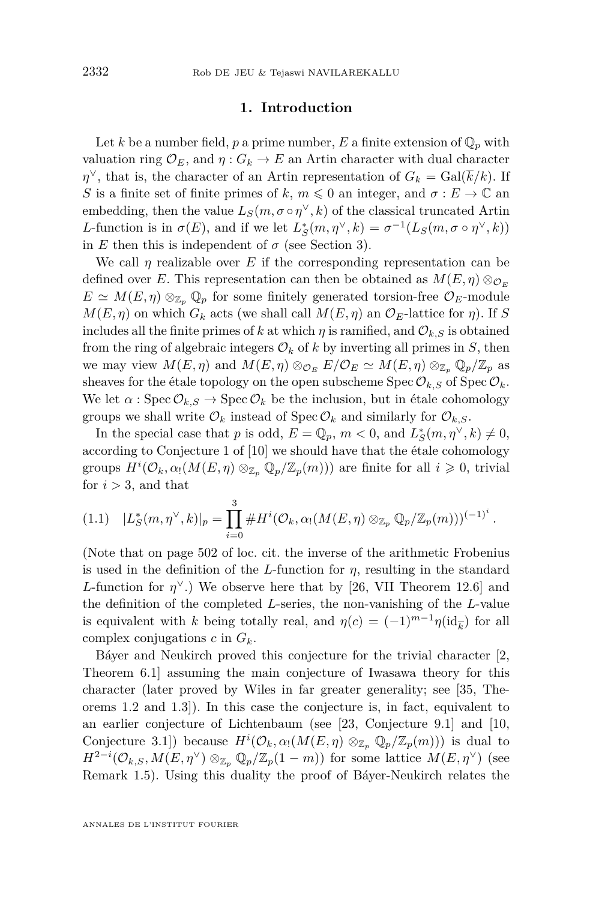#### **1. Introduction**

<span id="page-2-0"></span>Let *k* be a number field, *p* a prime number, *E* a finite extension of  $\mathbb{Q}_p$  with valuation ring  $\mathcal{O}_E$ , and  $\eta: G_k \to E$  an Artin character with dual character *η*<sup> $\vee$ </sup>, that is, the character of an Artin representation of  $G_k = \text{Gal}(\overline{k}/k)$ . If *S* is a finite set of finite primes of *k*,  $m \leq 0$  an integer, and  $\sigma : E \to \mathbb{C}$  an embedding, then the value  $L_S(m, \sigma \circ \eta^\vee, k)$  of the classical truncated Artin *L*-function is in  $\sigma(E)$ , and if we let  $L_S^*(m, \eta^\vee, k) = \sigma^{-1}(L_S(m, \sigma \circ \eta^\vee, k))$ in *E* then this is independent of  $\sigma$  (see Section [3\)](#page-26-0).

We call *η* realizable over *E* if the corresponding representation can be defined over *E*. This representation can then be obtained as  $M(E, \eta) \otimes_{\mathcal{O}_E}$  $E \simeq M(E, \eta) \otimes_{\mathbb{Z}_p} \mathbb{Q}_p$  for some finitely generated torsion-free  $\mathcal{O}_E$ -module  $M(E, \eta)$  on which  $G_k$  acts (we shall call  $M(E, \eta)$  an  $\mathcal{O}_E$ -lattice for  $\eta$ ). If *S* includes all the finite primes of k at which  $\eta$  is ramified, and  $\mathcal{O}_{k,S}$  is obtained from the ring of algebraic integers  $\mathcal{O}_k$  of k by inverting all primes in *S*, then we may view  $M(E, \eta)$  and  $M(E, \eta) \otimes_{\mathcal{O}_E} E/\mathcal{O}_E \simeq M(E, \eta) \otimes_{\mathbb{Z}_p} \mathbb{Q}_p/\mathbb{Z}_p$  as sheaves for the étale topology on the open subscheme  $Spec \mathcal{O}_{k,S}$  of  $Spec \mathcal{O}_{k}$ . We let  $\alpha$ : Spec  $\mathcal{O}_{k,S} \to \text{Spec } \mathcal{O}_k$  be the inclusion, but in étale cohomology groups we shall write  $\mathcal{O}_k$  instead of Spec  $\mathcal{O}_k$  and similarly for  $\mathcal{O}_{k,S}$ .

In the special case that *p* is odd,  $E = \mathbb{Q}_p$ ,  $m < 0$ , and  $L_S^*(m, \eta^{\vee}, k) \neq 0$ , according to Conjecture 1 of [\[10\]](#page-51-0) we should have that the étale cohomology groups  $H^i(\mathcal{O}_k, \alpha_1(M(E, \eta) \otimes_{\mathbb{Z}_p} \mathbb{Q}_p/\mathbb{Z}_p(m)))$  are finite for all  $i \geqslant 0$ , trivial for  $i > 3$ , and that

$$
(1.1) \quad |L_S^*(m, \eta^{\vee}, k)|_p = \prod_{i=0}^3 \# H^i(\mathcal{O}_k, \alpha_1(M(E, \eta) \otimes_{\mathbb{Z}_p} \mathbb{Q}_p/\mathbb{Z}_p(m)))^{(-1)^i}.
$$

(Note that on page 502 of loc. cit. the inverse of the arithmetic Frobenius is used in the definition of the *L*-function for *η*, resulting in the standard *L*-function for  $\eta^{\vee}$ .) We observe here that by [\[26,](#page-52-0) VII Theorem 12.6] and the definition of the completed *L*-series, the non-vanishing of the *L*-value is equivalent with *k* being totally real, and  $\eta(c) = (-1)^{m-1}\eta(\mathrm{id}_{\overline{k}})$  for all complex conjugations *c* in *Gk*.

Báyer and Neukirch proved this conjecture for the trivial character [\[2,](#page-51-0) Theorem 6.1] assuming the main conjecture of Iwasawa theory for this character (later proved by Wiles in far greater generality; see [\[35,](#page-53-0) Theorems 1.2 and 1.3]). In this case the conjecture is, in fact, equivalent to an earlier conjecture of Lichtenbaum (see [\[23,](#page-52-0) Conjecture 9.1] and [\[10,](#page-51-0) Conjecture 3.1]) because  $H^i(\mathcal{O}_k, \alpha_1(M(E, \eta) \otimes_{\mathbb{Z}_p} \mathbb{Q}_p/\mathbb{Z}_p(m)))$  is dual to  $H^{2-i}(\mathcal{O}_{k,S}, M(E, \eta^{\vee}) \otimes_{\mathbb{Z}_p} \mathbb{Q}_p/\mathbb{Z}_p(1-m))$  for some lattice  $M(E, \eta^{\vee})$  (see Remark [1.5\)](#page-5-0). Using this duality the proof of Báyer-Neukirch relates the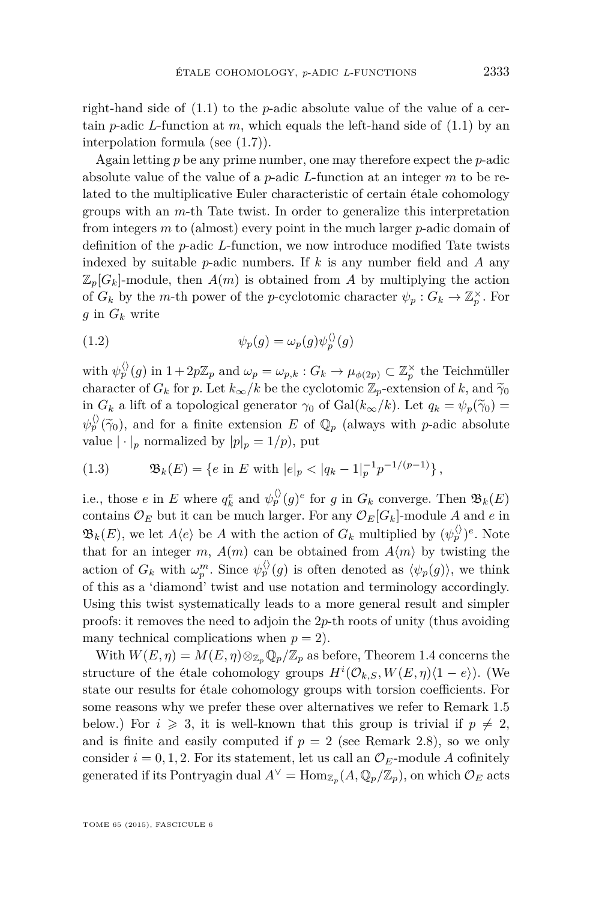<span id="page-3-0"></span>right-hand side of [\(1.1\)](#page-2-0) to the *p*-adic absolute value of the value of a certain *p*-adic *L*-function at *m*, which equals the left-hand side of  $(1.1)$  by an interpolation formula (see [\(1.7\)](#page-6-0)).

Again letting *p* be any prime number, one may therefore expect the *p*-adic absolute value of the value of a *p*-adic *L*-function at an integer *m* to be related to the multiplicative Euler characteristic of certain étale cohomology groups with an *m*-th Tate twist. In order to generalize this interpretation from integers *m* to (almost) every point in the much larger *p*-adic domain of definition of the *p*-adic *L*-function, we now introduce modified Tate twists indexed by suitable *p*-adic numbers. If *k* is any number field and *A* any  $\mathbb{Z}_p[G_k]$ -module, then  $A(m)$  is obtained from A by multiplying the action of  $G_k$  by the *m*-th power of the *p*-cyclotomic character  $\psi_p: G_k \to \mathbb{Z}_p^{\times}$ . For *g* in *G<sup>k</sup>* write

(1.2) 
$$
\psi_p(g) = \omega_p(g)\psi_p^{\langle\rangle}(g)
$$

with  $\psi_p^{\langle \rangle}(g)$  in  $1 + 2p\mathbb{Z}_p$  and  $\omega_p = \omega_{p,k} : G_k \to \mu_{\phi(2p)} \subset \mathbb{Z}_p^{\times}$  the Teichmüller character of  $G_k$  for *p*. Let  $k_{\infty}/k$  be the cyclotomic  $\mathbb{Z}_p$ -extension of  $k$ , and  $\tilde{\gamma}_0$ in  $G_k$  a lift of a topological generator  $\gamma_0$  of  $Gal(k_\infty/k)$ . Let  $q_k = \psi_p(\tilde{\gamma}_0)$  $\psi_p^{\langle \rangle}(\widetilde{\gamma}_0)$ , and for a finite extension *E* of  $\mathbb{Q}_p$  (always with *p*-adic absolute value  $|\cdot|_p$  normalized by  $|p|_p = 1/p$ , put

(1.3) 
$$
\mathfrak{B}_k(E) = \{ e \text{ in } E \text{ with } |e|_p < |q_k - 1|_p^{-1} p^{-1/(p-1)} \},
$$

i.e., those *e* in *E* where  $q_k^e$  and  $\psi_p^{\langle \rangle}(g)^e$  for *g* in  $G_k$  converge. Then  $\mathfrak{B}_k(E)$ contains  $\mathcal{O}_E$  but it can be much larger. For any  $\mathcal{O}_E[G_k]$ -module *A* and *e* in  $\mathfrak{B}_k(E)$ , we let  $A\langle e \rangle$  be *A* with the action of  $G_k$  multiplied by  $(\psi_p^{\langle \rangle})^e$ . Note that for an integer *m*,  $A(m)$  can be obtained from  $A(m)$  by twisting the action of  $G_k$  with  $\omega_p^m$ . Since  $\psi_p^{\langle \rangle}(g)$  is often denoted as  $\langle \psi_p(g) \rangle$ , we think of this as a 'diamond' twist and use notation and terminology accordingly. Using this twist systematically leads to a more general result and simpler proofs: it removes the need to adjoin the 2*p*-th roots of unity (thus avoiding many technical complications when  $p = 2$ ).

With  $W(E, \eta) = M(E, \eta) \otimes_{\mathbb{Z}_p} \mathbb{Q}_p/\mathbb{Z}_p$  as before, Theorem [1.4](#page-4-0) concerns the structure of the étale cohomology groups  $H^{i}(\mathcal{O}_{k,S}, W(E, \eta)(1-e))$ . (We state our results for étale cohomology groups with torsion coefficients. For some reasons why we prefer these over alternatives we refer to Remark [1.5](#page-5-0) below.) For  $i \geq 3$ , it is well-known that this group is trivial if  $p \neq 2$ , and is finite and easily computed if  $p = 2$  (see Remark [2.8\)](#page-13-0), so we only consider  $i = 0, 1, 2$ . For its statement, let us call an  $\mathcal{O}_E$ -module A cofinitely generated if its Pontryagin dual  $A^{\vee} = \text{Hom}_{\mathbb{Z}_p}(A, \mathbb{Q}_p/\mathbb{Z}_p)$ , on which  $\mathcal{O}_E$  acts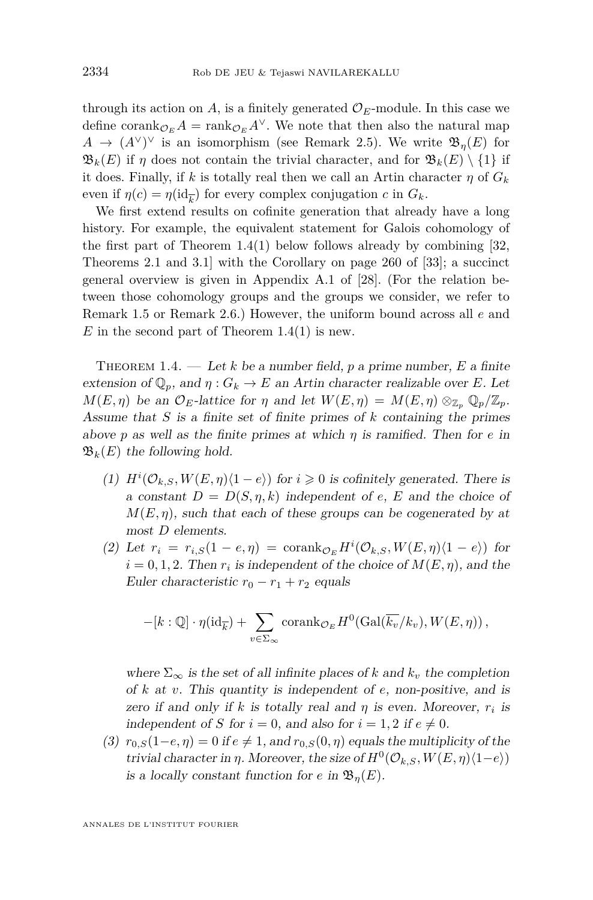<span id="page-4-0"></span>through its action on  $A$ , is a finitely generated  $\mathcal{O}_E$ -module. In this case we define corank $_{\mathcal{O}_F} A = \text{rank}_{\mathcal{O}_F} A^{\vee}$ . We note that then also the natural map  $A \rightarrow (A^{\vee})^{\vee}$  is an isomorphism (see Remark [2.5\)](#page-12-0). We write  $\mathfrak{B}_{\eta}(E)$  for  $\mathfrak{B}_k(E)$  if *η* does not contain the trivial character, and for  $\mathfrak{B}_k(E) \setminus \{1\}$  if it does. Finally, if *k* is totally real then we call an Artin character  $\eta$  of  $G_k$ even if  $\eta(c) = \eta(\mathrm{id}_{\overline{k}})$  for every complex conjugation *c* in  $G_k$ .

We first extend results on cofinite generation that already have a long history. For example, the equivalent statement for Galois cohomology of the first part of Theorem  $1.4(1)$  below follows already by combining [\[32,](#page-53-0) Theorems 2.1 and 3.1] with the Corollary on page 260 of [\[33\]](#page-53-0); a succinct general overview is given in Appendix A.1 of [\[28\]](#page-52-0). (For the relation between those cohomology groups and the groups we consider, we refer to Remark [1.5](#page-5-0) or Remark [2.6.](#page-12-0)) However, the uniform bound across all *e* and  $E$  in the second part of Theorem 1.4(1) is new.

THEOREM 1.4. — Let  $k$  be a number field,  $p$  a prime number,  $E$  a finite extension of  $\mathbb{Q}_p$ , and  $\eta: G_k \to E$  an Artin character realizable over *E*. Let  $M(E, \eta)$  be an  $\mathcal{O}_E$ -lattice for  $\eta$  and let  $W(E, \eta) = M(E, \eta) \otimes_{\mathbb{Z}_p} \mathbb{Q}_p/\mathbb{Z}_p$ . Assume that *S* is a finite set of finite primes of *k* containing the primes above *p* as well as the finite primes at which *η* is ramified. Then for *e* in  $\mathfrak{B}_k(E)$  the following hold.

- (1)  $H^i(\mathcal{O}_{k,S}, W(E, \eta) \langle 1-e \rangle)$  for  $i \geq 0$  is cofinitely generated. There is a constant  $D = D(S, \eta, k)$  independent of *e*, *E* and the choice of  $M(E, \eta)$ , such that each of these groups can be cogenerated by at most *D* elements.
- (2) Let  $r_i = r_{i,S}(1 e, \eta) = \text{corank}_{\mathcal{O}_E} H^i(\mathcal{O}_{k,S}, W(E, \eta) \langle 1 e \rangle)$  for  $i = 0, 1, 2$ . Then  $r_i$  is independent of the choice of  $M(E, \eta)$ , and the Euler characteristic  $r_0 - r_1 + r_2$  equals

$$
-[k:\mathbb{Q}]\cdot\eta(\mathrm{id}_{\overline{k}})+\sum_{v\in\Sigma_{\infty}}\mathrm{corank}_{\mathcal{O}_E}H^0(\mathrm{Gal}(\overline{k_v}/k_v),W(E,\eta)),
$$

where  $\Sigma_{\infty}$  is the set of all infinite places of *k* and  $k_v$  the completion of *k* at *v*. This quantity is independent of *e*, non-positive, and is zero if and only if *k* is totally real and  $\eta$  is even. Moreover,  $r_i$  is independent of *S* for  $i = 0$ , and also for  $i = 1, 2$  if  $e \neq 0$ .

(3)  $r_{0,S}(1-e,\eta) = 0$  if  $e \neq 1$ , and  $r_{0,S}(0,\eta)$  equals the multiplicity of the trivial character in *η*. Moreover, the size of  $H^0(\mathcal{O}_{k,S}, W(E, \eta)\langle 1-e \rangle)$ is a locally constant function for *e* in  $\mathfrak{B}_\eta(E)$ .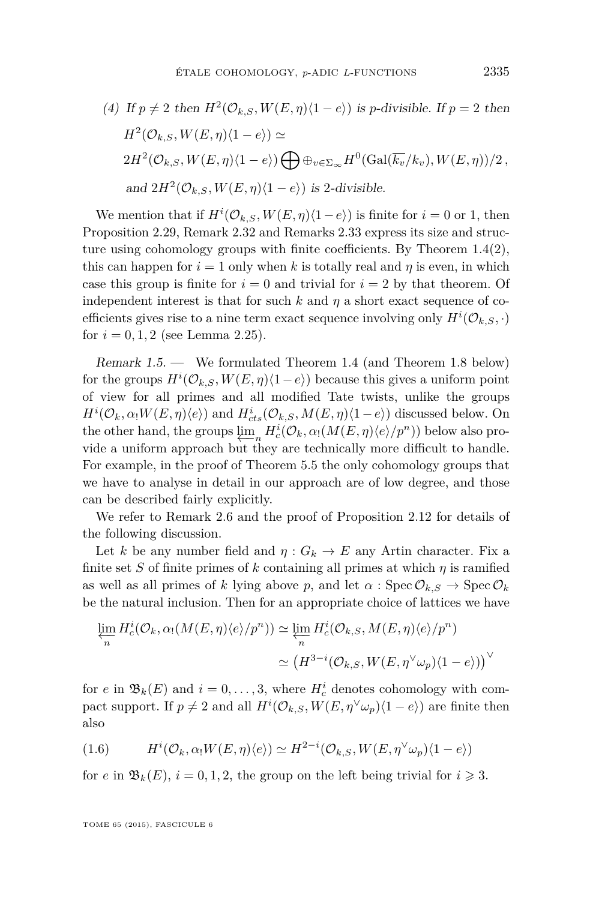<span id="page-5-0"></span>(4) If 
$$
p \neq 2
$$
 then  $H^2(\mathcal{O}_{k,S}, W(E, \eta)\langle 1 - e \rangle)$  is p-divisible. If  $p = 2$  then  
\n $H^2(\mathcal{O}_{k,S}, W(E, \eta)\langle 1 - e \rangle) \simeq$   
\n $2H^2(\mathcal{O}_{k,S}, W(E, \eta)\langle 1 - e \rangle) \bigoplus \oplus_{v \in \Sigma_{\infty}} H^0(\text{Gal}(\overline{k_v}/k_v), W(E, \eta))/2$ ,  
\nand  $2H^2(\mathcal{O}_{k,S}, W(E, \eta)\langle 1 - e \rangle)$  is 2-divisible.

We mention that if  $H^i(\mathcal{O}_{k,S}, W(E, \eta)\langle 1-e \rangle)$  is finite for  $i = 0$  or 1, then Proposition [2.29,](#page-23-0) Remark [2.32](#page-25-0) and Remarks [2.33](#page-25-0) express its size and structure using cohomology groups with finite coefficients. By Theorem  $1.4(2)$  $1.4(2)$ , this can happen for  $i = 1$  only when k is totally real and  $\eta$  is even, in which case this group is finite for  $i = 0$  and trivial for  $i = 2$  by that theorem. Of independent interest is that for such  $k$  and  $\eta$  a short exact sequence of coefficients gives rise to a nine term exact sequence involving only  $H^{i}(\mathcal{O}_{k,S},\cdot)$ for  $i = 0, 1, 2$  (see Lemma [2.25\)](#page-20-0).

Remark 1.5. — We formulated Theorem [1.4](#page-4-0) (and Theorem [1.8](#page-7-0) below) for the groups  $H^i(\mathcal{O}_{k,S}, W(E, \eta)(1-e))$  because this gives a uniform point of view for all primes and all modified Tate twists, unlike the groups  $H^i(\mathcal{O}_k, \alpha_! W(E, \eta)\langle e \rangle)$  and  $H^i_{cts}(\mathcal{O}_{k,S}, M(E, \eta)\langle 1-e \rangle)$  discussed below. On the other hand, the groups  $\lim_{n \to \infty} H_c^i(\mathcal{O}_k, \alpha_1(M(E, \eta)\langle e \rangle/p^n))$  below also provide a uniform approach but they are technically more difficult to handle. For example, in the proof of Theorem [5.5](#page-35-0) the only cohomology groups that we have to analyse in detail in our approach are of low degree, and those can be described fairly explicitly.

We refer to Remark [2.6](#page-12-0) and the proof of Proposition [2.12](#page-14-0) for details of the following discussion.

Let *k* be any number field and  $\eta: G_k \to E$  any Artin character. Fix a finite set *S* of finite primes of *k* containing all primes at which  $\eta$  is ramified as well as all primes of *k* lying above *p*, and let  $\alpha$ : Spec  $\mathcal{O}_{k,S} \to \text{Spec } \mathcal{O}_k$ be the natural inclusion. Then for an appropriate choice of lattices we have

$$
\varprojlim_{n} H_{c}^{i}(\mathcal{O}_{k}, \alpha_{1}(M(E, \eta)\langle e\rangle/p^{n})) \simeq \varprojlim_{n} H_{c}^{i}(\mathcal{O}_{k,S}, M(E, \eta)\langle e\rangle/p^{n})
$$

$$
\simeq (H^{3-i}(\mathcal{O}_{k,S}, W(E, \eta^{\vee}\omega_{p})(1-e)))^{\vee}
$$

for *e* in  $\mathfrak{B}_k(E)$  and  $i = 0, \ldots, 3$ , where  $H_c^i$  denotes cohomology with compact support. If  $p \neq 2$  and all  $H^{i}(\mathcal{O}_{k,S}, W(E, \eta^{\vee} \omega_p)(1-e))$  are finite then also

(1.6) 
$$
H^{i}(\mathcal{O}_{k}, \alpha_{!}W(E, \eta)\langle e\rangle) \simeq H^{2-i}(\mathcal{O}_{k,S}, W(E, \eta^{\vee}\omega_{p})\langle 1-e\rangle)
$$

for *e* in  $\mathfrak{B}_k(E)$ ,  $i = 0, 1, 2$ , the group on the left being trivial for  $i \geq 3$ .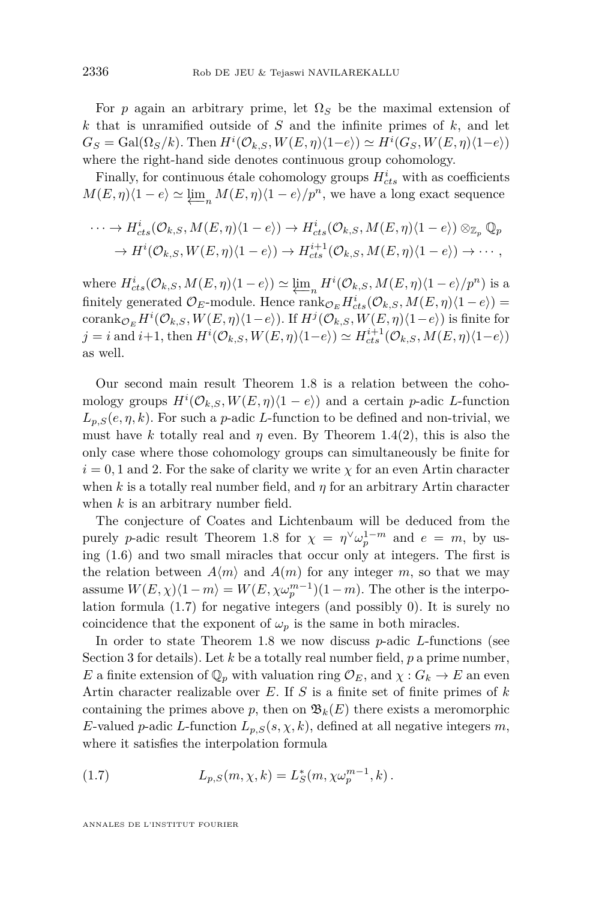<span id="page-6-0"></span>For *p* again an arbitrary prime, let  $\Omega_S$  be the maximal extension of *k* that is unramified outside of *S* and the infinite primes of *k*, and let  $G_S = \text{Gal}(\Omega_S/k)$ . Then  $H^i(\mathcal{O}_{k,S}, W(E, \eta) \langle 1-e \rangle) \simeq H^i(G_S, W(E, \eta) \langle 1-e \rangle)$ where the right-hand side denotes continuous group cohomology.

Finally, for continuous étale cohomology groups  $H_{cts}^i$  with as coefficients  $M(E, \eta)\langle 1 - e \rangle \simeq \underbrace{\lim_{n} M(E, \eta)} \langle 1 - e \rangle / p^{n}$ , we have a long exact sequence

$$
\cdots \to H_{cts}^{i}(\mathcal{O}_{k,S}, M(E, \eta)\langle 1-e \rangle) \to H_{cts}^{i}(\mathcal{O}_{k,S}, M(E, \eta)\langle 1-e \rangle) \otimes_{\mathbb{Z}_p} \mathbb{Q}_p
$$
  

$$
\to H^{i}(\mathcal{O}_{k,S}, W(E, \eta)\langle 1-e \rangle) \to H_{cts}^{i+1}(\mathcal{O}_{k,S}, M(E, \eta)\langle 1-e \rangle) \to \cdots,
$$

where  $H^i_{cts}(\mathcal{O}_{k,S}, M(E, \eta)\langle 1-e \rangle) \simeq \underbrace{\lim_{n} H^i(\mathcal{O}_{k,S}, M(E, \eta)\langle 1-e \rangle/p^n)}$  is a finitely generated  $\mathcal{O}_E$ -module. Hence  $\text{rank}_{\mathcal{O}_E} H_{cts}^i(\mathcal{O}_{k,S}, M(E, \eta) \langle 1-e \rangle)$  =  $\mathrm{corank}_{\mathcal{O}_E} H^i(\mathcal{O}_{k,S}, W(E, \eta) \langle 1-e \rangle)$ . If  $H^j(\mathcal{O}_{k,S}, W(E, \eta) \langle 1-e \rangle)$  is finite for  $j = i$  and  $i+1$ , then  $H^i(\mathcal{O}_{k,S}, W(E, \eta) \langle 1-e \rangle) \simeq H_{cts}^{i+1}(\mathcal{O}_{k,S}, M(E, \eta) \langle 1-e \rangle)$ as well.

Our second main result Theorem [1.8](#page-7-0) is a relation between the cohomology groups  $H^i(\mathcal{O}_{k,S}, W(E, \eta) \langle 1 - e \rangle)$  and a certain *p*-adic *L*-function  $L_{p,S}(e, \eta, k)$ . For such a *p*-adic *L*-function to be defined and non-trivial, we must have *k* totally real and *η* even. By Theorem [1.4\(](#page-4-0)2), this is also the only case where those cohomology groups can simultaneously be finite for  $i = 0, 1$  and 2. For the sake of clarity we write  $\chi$  for an even Artin character when *k* is a totally real number field, and  $\eta$  for an arbitrary Artin character when *k* is an arbitrary number field.

The conjecture of Coates and Lichtenbaum will be deduced from the purely *p*-adic result Theorem [1.8](#page-7-0) for  $\chi = \eta^{\vee} \omega_p^{1-m}$  and  $e = m$ , by using [\(1.6\)](#page-5-0) and two small miracles that occur only at integers. The first is the relation between  $A\langle m \rangle$  and  $A(m)$  for any integer *m*, so that we may assume  $W(E, \chi)\langle1 - m\rangle = W(E, \chi \omega_p^{m-1})(1 - m)$ . The other is the interpolation formula (1.7) for negative integers (and possibly 0). It is surely no coincidence that the exponent of  $\omega_p$  is the same in both miracles.

In order to state Theorem [1.8](#page-7-0) we now discuss *p*-adic *L*-functions (see Section [3](#page-26-0) for details). Let *k* be a totally real number field, *p* a prime number, *E* a finite extension of  $\mathbb{Q}_p$  with valuation ring  $\mathcal{O}_E$ , and  $\chi: G_k \to E$  an even Artin character realizable over *E*. If *S* is a finite set of finite primes of *k* containing the primes above p, then on  $\mathfrak{B}_k(E)$  there exists a meromorphic *E*-valued *p*-adic *L*-function  $L_{p,S}(s, \chi, k)$ , defined at all negative integers *m*, where it satisfies the interpolation formula

(1.7) 
$$
L_{p,S}(m,\chi,k) = L_S^*(m,\chi \omega_p^{m-1},k).
$$

ANNALES DE L'INSTITUT FOURIER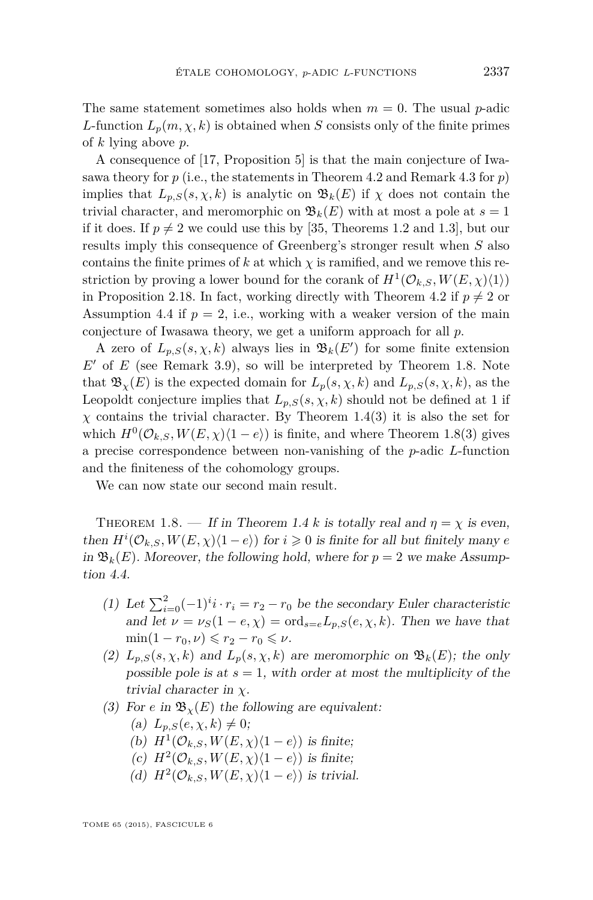<span id="page-7-0"></span>The same statement sometimes also holds when  $m = 0$ . The usual *p*-adic *L*-function  $L_p(m, \chi, k)$  is obtained when *S* consists only of the finite primes of *k* lying above *p*.

A consequence of [\[17,](#page-52-0) Proposition 5] is that the main conjecture of Iwasawa theory for  $p$  (i.e., the statements in Theorem [4.2](#page-31-0) and Remark [4.3](#page-31-0) for  $p$ ) implies that  $L_{p,S}(s, \chi, k)$  is analytic on  $\mathfrak{B}_k(E)$  if  $\chi$  does not contain the trivial character, and meromorphic on  $\mathfrak{B}_k(E)$  with at most a pole at  $s=1$ if it does. If  $p \neq 2$  we could use this by [\[35,](#page-53-0) Theorems 1.2 and 1.3], but our results imply this consequence of Greenberg's stronger result when *S* also contains the finite primes of  $k$  at which  $\chi$  is ramified, and we remove this restriction by proving a lower bound for the corank of  $H^1(\mathcal{O}_{k,S}, W(E, \chi)\langle 1 \rangle)$ in Proposition [2.18.](#page-18-0) In fact, working directly with Theorem [4.2](#page-31-0) if  $p \neq 2$  or Assumption [4.4](#page-31-0) if  $p = 2$ , i.e., working with a weaker version of the main conjecture of Iwasawa theory, we get a uniform approach for all *p*.

A zero of  $L_{p,S}(s,\chi,k)$  always lies in  $\mathfrak{B}_k(E')$  for some finite extension  $E'$  of  $E$  (see Remark [3.9\)](#page-28-0), so will be interpreted by Theorem 1.8. Note that  $\mathfrak{B}_{\chi}(E)$  is the expected domain for  $L_p(s, \chi, k)$  and  $L_{p,S}(s, \chi, k)$ , as the Leopoldt conjecture implies that  $L_{p,S}(s, \chi, k)$  should not be defined at 1 if *χ* contains the trivial character. By Theorem [1.4\(](#page-4-0)3) it is also the set for which  $H^0(\mathcal{O}_{k,S}, W(E,\chi)\langle 1-e \rangle)$  is finite, and where Theorem 1.8(3) gives a precise correspondence between non-vanishing of the *p*-adic *L*-function and the finiteness of the cohomology groups.

We can now state our second main result.

THEOREM 1.8. — If in Theorem [1.4](#page-4-0) *k* is totally real and  $\eta = \chi$  is even, then  $H^i(\mathcal{O}_{k,S}, W(E, \chi)\langle 1-e \rangle)$  for  $i \geq 0$  is finite for all but finitely many *e* in  $\mathfrak{B}_k(E)$ . Moreover, the following hold, where for  $p = 2$  we make Assumption [4.4.](#page-31-0)

- (1) Let  $\sum_{i=0}^{2}(-1)^{i}i \cdot r_{i} = r_{2} r_{0}$  be the secondary Euler characteristic and let  $\nu = \nu_S(1 - e, \chi) = \text{ord}_{s=e}L_{p,S}(e, \chi, k)$ . Then we have that  $\min(1 - r_0, \nu) \leq r_2 - r_0 \leq \nu$ .
- (2)  $L_{p,S}(s, \chi, k)$  and  $L_p(s, \chi, k)$  are meromorphic on  $\mathfrak{B}_k(E)$ ; the only possible pole is at  $s = 1$ , with order at most the multiplicity of the trivial character in *χ*.
- (3) For *e* in  $\mathfrak{B}_{\gamma}(E)$  the following are equivalent:
	- (a)  $L_{p,S}(e, \chi, k) \neq 0;$
	- (b)  $H^1(\mathcal{O}_{k,S}, W(E,\chi)\langle 1-e \rangle)$  is finite;
	- (c)  $H^2(\mathcal{O}_{k,S}, W(E,\chi)\langle 1-e \rangle)$  is finite;
	- (d)  $H^2(\mathcal{O}_{k,S}, W(E,\chi)\langle 1-e \rangle)$  is trivial.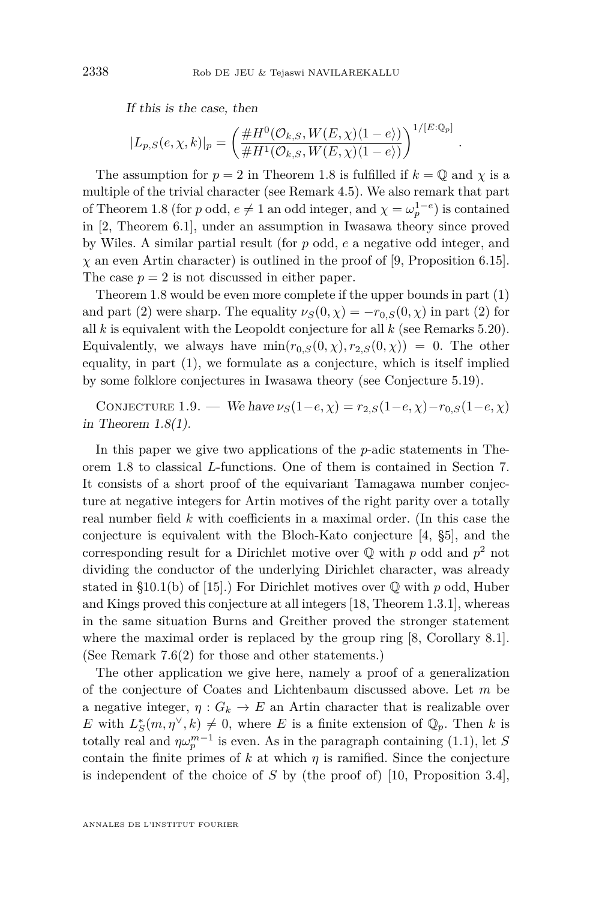<span id="page-8-0"></span>If this is the case, then

$$
|L_{p,S}(e,\chi,k)|_p = \left(\frac{\#H^0(\mathcal{O}_{k,S},W(E,\chi)\langle 1-e \rangle)}{\#H^1(\mathcal{O}_{k,S},W(E,\chi)\langle 1-e \rangle)}\right)^{1/[E:\mathbb{Q}_p]}
$$

*.*

The assumption for  $p = 2$  in Theorem [1.8](#page-7-0) is fulfilled if  $k = \mathbb{Q}$  and  $\chi$  is a multiple of the trivial character (see Remark [4.5\)](#page-32-0). We also remark that part of Theorem [1.8](#page-7-0) (for *p* odd,  $e \neq 1$  an odd integer, and  $\chi = \omega_p^{1-e}$ ) is contained in [\[2,](#page-51-0) Theorem 6.1], under an assumption in Iwasawa theory since proved by Wiles. A similar partial result (for *p* odd, *e* a negative odd integer, and *χ* an even Artin character) is outlined in the proof of [\[9,](#page-51-0) Proposition 6.15]. The case  $p = 2$  is not discussed in either paper.

Theorem [1.8](#page-7-0) would be even more complete if the upper bounds in part (1) and part (2) were sharp. The equality  $\nu_S(0, \chi) = -r_{0,S}(0, \chi)$  in part (2) for all *k* is equivalent with the Leopoldt conjecture for all *k* (see Remarks [5.20\)](#page-44-0). Equivalently, we always have  $min(r_0, S(0, \chi), r_2, S(0, \chi)) = 0$ . The other equality, in part (1), we formulate as a conjecture, which is itself implied by some folklore conjectures in Iwasawa theory (see Conjecture [5.19\)](#page-44-0).

CONJECTURE 1.9. — We have  $\nu_S(1-e, \chi) = r_{2,S}(1-e, \chi) - r_{0,S}(1-e, \chi)$ in Theorem  $1.8(1)$  $1.8(1)$ .

In this paper we give two applications of the *p*-adic statements in Theorem [1.8](#page-7-0) to classical *L*-functions. One of them is contained in Section [7.](#page-48-0) It consists of a short proof of the equivariant Tamagawa number conjecture at negative integers for Artin motives of the right parity over a totally real number field *k* with coefficients in a maximal order. (In this case the conjecture is equivalent with the Bloch-Kato conjecture [\[4,](#page-51-0) §5], and the corresponding result for a Dirichlet motive over Q with *p* odd and *p* <sup>2</sup> not dividing the conductor of the underlying Dirichlet character, was already stated in §10.1(b) of [\[15\]](#page-52-0).) For Dirichlet motives over Q with *p* odd, Huber and Kings proved this conjecture at all integers [\[18,](#page-52-0) Theorem 1.3.1], whereas in the same situation Burns and Greither proved the stronger statement where the maximal order is replaced by the group ring [\[8,](#page-51-0) Corollary 8.1]. (See Remark [7.6\(](#page-51-0)2) for those and other statements.)

The other application we give here, namely a proof of a generalization of the conjecture of Coates and Lichtenbaum discussed above. Let *m* be a negative integer,  $\eta: G_k \to E$  an Artin character that is realizable over *E* with  $L_S^*(m, \eta^\vee, k) \neq 0$ , where *E* is a finite extension of  $\mathbb{Q}_p$ . Then *k* is totally real and  $\eta \omega_p^{m-1}$  is even. As in the paragraph containing [\(1.1\)](#page-2-0), let *S* contain the finite primes of  $k$  at which  $\eta$  is ramified. Since the conjecture is independent of the choice of *S* by (the proof of) [\[10,](#page-51-0) Proposition 3.4],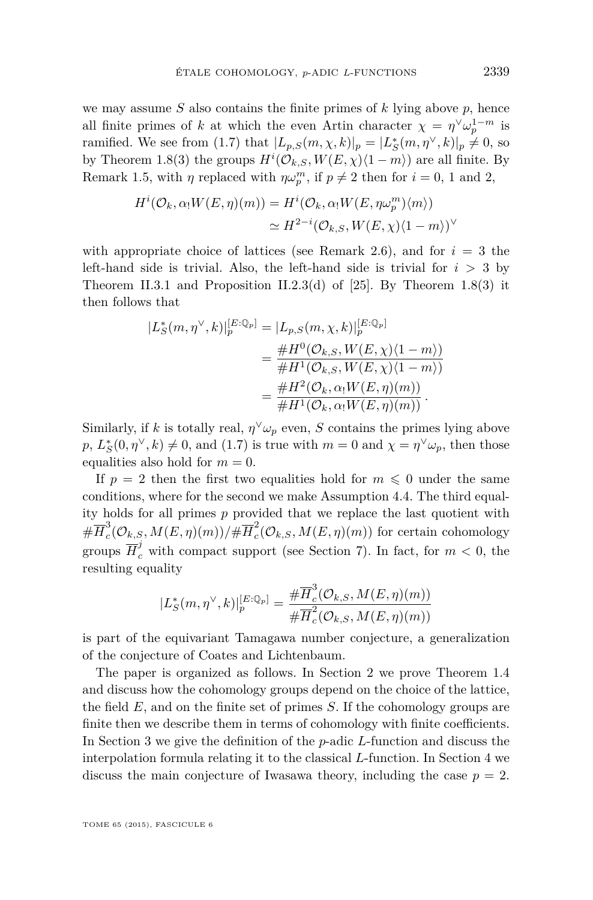we may assume *S* also contains the finite primes of *k* lying above *p*, hence all finite primes of *k* at which the even Artin character  $\chi = \eta^{\vee} \omega_p^{1-m}$  is ramified. We see from [\(1.7\)](#page-6-0) that  $|L_{p,S}(m,\chi,k)|_p = |L^*_S(m,\eta^\vee,k)|_p \neq 0$ , so by Theorem [1.8\(](#page-7-0)3) the groups  $H^i(\mathcal{O}_{k,S}, W(E, \chi)\langle 1 - m \rangle)$  are all finite. By Remark [1.5,](#page-5-0) with  $\eta$  replaced with  $\eta \omega_p^m$ , if  $p \neq 2$  then for  $i = 0, 1$  and 2,

$$
H^i(\mathcal{O}_k, \alpha_! W(E, \eta)(m)) = H^i(\mathcal{O}_k, \alpha_! W(E, \eta \omega_p^m) \langle m \rangle)
$$
  

$$
\simeq H^{2-i}(\mathcal{O}_{k,S}, W(E, \chi)(1-m))^\vee
$$

with appropriate choice of lattices (see Remark [2.6\)](#page-12-0), and for  $i = 3$  the left-hand side is trivial. Also, the left-hand side is trivial for  $i > 3$  by Theorem II.3.1 and Proposition II.2.3(d) of [\[25\]](#page-52-0). By Theorem [1.8\(](#page-7-0)3) it then follows that

$$
|L_{S}^{*}(m, \eta^{\vee}, k)|_{p}^{[E:\mathbb{Q}_{p}]} = |L_{p,S}(m, \chi, k)|_{p}^{[E:\mathbb{Q}_{p}]}
$$
  

$$
= \frac{\#H^{0}(\mathcal{O}_{k,S}, W(E, \chi)\langle 1 - m \rangle)}{\#H^{1}(\mathcal{O}_{k,S}, W(E, \chi)\langle 1 - m \rangle)}
$$
  

$$
= \frac{\#H^{2}(\mathcal{O}_{k}, \alpha_{1}W(E, \eta)(m))}{\#H^{1}(\mathcal{O}_{k}, \alpha_{1}W(E, \eta)(m))}.
$$

Similarly, if *k* is totally real,  $\eta^{\vee}\omega_p$  even, *S* contains the primes lying above  $p, L^*_S(0, \eta^{\vee}, k) \neq 0$ , and [\(1.7\)](#page-6-0) is true with  $m = 0$  and  $\chi = \eta^{\vee} \omega_p$ , then those equalities also hold for  $m = 0$ .

If  $p = 2$  then the first two equalities hold for  $m \leq 0$  under the same conditions, where for the second we make Assumption [4.4.](#page-31-0) The third equality holds for all primes *p* provided that we replace the last quotient with  $\# \overline{H}^3_c$  $\frac{3}{c}(\mathcal{O}_{k,S},M(E,\eta)(m))/\#\overline{H}^2_c$  $\sigma_c^2(\mathcal{O}_{k,S}, M(E,\eta)(m))$  for certain cohomology groups  $\overline{H}_c^j$  with compact support (see Section [7\)](#page-48-0). In fact, for  $m < 0$ , the resulting equality

$$
|L_{S}^{*}(m, \eta^{\vee}, k)|_{p}^{[E:\mathbb{Q}_{p}]} = \frac{\#\overline{H}_{c}^{3}(\mathcal{O}_{k,S}, M(E, \eta)(m))}{\#\overline{H}_{c}^{2}(\mathcal{O}_{k,S}, M(E, \eta)(m))}
$$

is part of the equivariant Tamagawa number conjecture, a generalization of the conjecture of Coates and Lichtenbaum.

The paper is organized as follows. In Section [2](#page-10-0) we prove Theorem [1.4](#page-4-0) and discuss how the cohomology groups depend on the choice of the lattice, the field *E*, and on the finite set of primes *S*. If the cohomology groups are finite then we describe them in terms of cohomology with finite coefficients. In Section [3](#page-26-0) we give the definition of the *p*-adic *L*-function and discuss the interpolation formula relating it to the classical *L*-function. In Section [4](#page-30-0) we discuss the main conjecture of Iwasawa theory, including the case  $p = 2$ .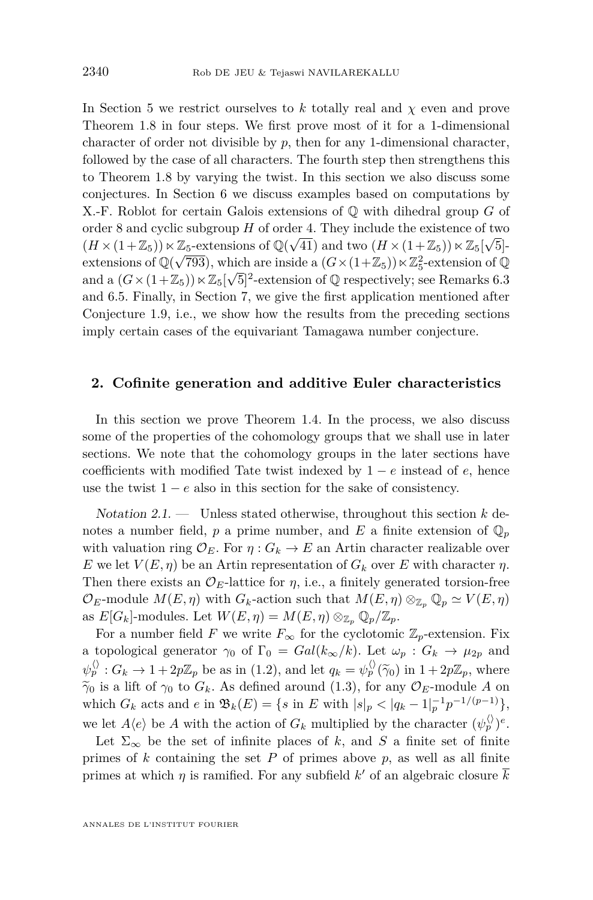<span id="page-10-0"></span>In Section [5](#page-33-0) we restrict ourselves to *k* totally real and *χ* even and prove Theorem [1.8](#page-7-0) in four steps. We first prove most of it for a 1-dimensional character of order not divisible by *p*, then for any 1-dimensional character, followed by the case of all characters. The fourth step then strengthens this to Theorem [1.8](#page-7-0) by varying the twist. In this section we also discuss some conjectures. In Section [6](#page-46-0) we discuss examples based on computations by X.-F. Roblot for certain Galois extensions of Q with dihedral group *G* of order 8 and cyclic subgroup *H* of order 4. They include the existence of two  $\left(\frac{1}{\sqrt{2}}\right)$  $(H \times (1+\mathbb{Z}_5)) \ltimes \mathbb{Z}_5$ -extensions of  $\mathbb{Q}(\sqrt{41})$  and two  $(H \times (1+\mathbb{Z}_5)) \ltimes \mathbb{Z}_5[\sqrt{5}]$ extensions of  $\mathbb{Q}(\sqrt{793})$ , which are inside a  $(G \times (1 + \mathbb{Z}_5)) \times \mathbb{Z}_5^2$ -extension of  $\mathbb{Q}$ and a  $(G \times (1 + \mathbb{Z}_5)) \ltimes \mathbb{Z}_5[\sqrt{5}]^2$ -extension of  $\mathbb{Q}$  respectively; see Remarks [6.3](#page-47-0) and [6.5.](#page-48-0) Finally, in Section [7,](#page-48-0) we give the first application mentioned after Conjecture [1.9,](#page-8-0) i.e., we show how the results from the preceding sections imply certain cases of the equivariant Tamagawa number conjecture.

#### **2. Cofinite generation and additive Euler characteristics**

In this section we prove Theorem [1.4.](#page-4-0) In the process, we also discuss some of the properties of the cohomology groups that we shall use in later sections. We note that the cohomology groups in the later sections have coefficients with modified Tate twist indexed by  $1 - e$  instead of  $e$ , hence use the twist  $1 - e$  also in this section for the sake of consistency.

Notation 2.1. — Unless stated otherwise, throughout this section *k* denotes a number field,  $p$  a prime number, and  $E$  a finite extension of  $\mathbb{Q}_p$ with valuation ring  $\mathcal{O}_E$ . For  $\eta: G_k \to E$  an Artin character realizable over *E* we let  $V(E, \eta)$  be an Artin representation of  $G_k$  over *E* with character  $\eta$ . Then there exists an  $\mathcal{O}_E$ -lattice for  $\eta$ , i.e., a finitely generated torsion-free  $\mathcal{O}_E$ -module  $M(E, \eta)$  with  $G_k$ -action such that  $M(E, \eta) \otimes_{\mathbb{Z}_p} \mathbb{Q}_p \simeq V(E, \eta)$ as  $E[G_k]$ -modules. Let  $W(E, \eta) = M(E, \eta) \otimes_{\mathbb{Z}_p} \mathbb{Q}_p/\mathbb{Z}_p$ .

For a number field *F* we write  $F_{\infty}$  for the cyclotomic  $\mathbb{Z}_p$ -extension. Fix a topological generator  $\gamma_0$  of  $\Gamma_0 = Gal(k_\infty/k)$ . Let  $\omega_p : G_k \to \mu_{2p}$  and  $\psi_p^{\langle \rangle}$ :  $G_k \to 1 + 2p\mathbb{Z}_p$  be as in [\(1.2\)](#page-3-0), and let  $q_k = \psi_p^{\langle \rangle}(\widetilde{\gamma}_0)$  in  $1 + 2p\mathbb{Z}_p$ , where  $\tilde{\gamma}_0$  is a lift of  $\gamma_0$  to  $G_k$ . As defined around [\(1.3\)](#page-3-0), for any  $\mathcal{O}_E$ -module *A* on which  $G_k$  acts and  $e$  in  $\mathfrak{B}_k(E) = \{ s \text{ in } E \text{ with } |s|_p < |q_k - 1|_p^{-1} p^{-1/(p-1)} \},$ we let  $A\langle e \rangle$  be *A* with the action of  $G_k$  multiplied by the character  $(\psi_p^{\langle \rangle})^e$ .

Let  $\Sigma_{\infty}$  be the set of infinite places of *k*, and *S* a finite set of finite primes of  $k$  containing the set  $P$  of primes above  $p$ , as well as all finite primes at which  $\eta$  is ramified. For any subfield  $k'$  of an algebraic closure  $\bar{k}$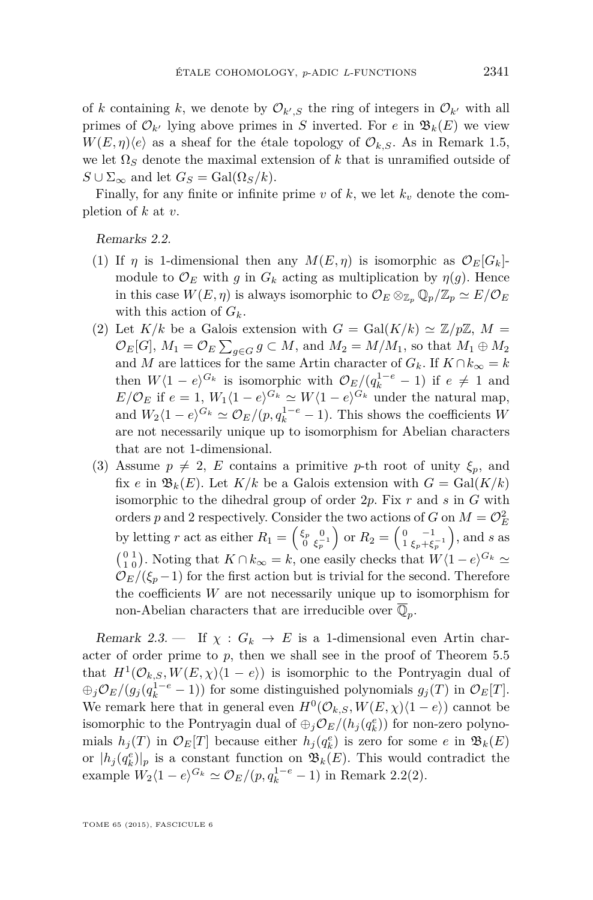<span id="page-11-0"></span>of *k* containing *k*, we denote by  $\mathcal{O}_{k',S}$  the ring of integers in  $\mathcal{O}_{k'}$  with all primes of  $\mathcal{O}_{k'}$  lying above primes in *S* inverted. For *e* in  $\mathfrak{B}_k(E)$  we view  $W(E, \eta)\langle e \rangle$  as a sheaf for the étale topology of  $\mathcal{O}_{k,S}$ . As in Remark [1.5,](#page-5-0) we let  $\Omega_S$  denote the maximal extension of k that is unramified outside of  $S \cup \Sigma_{\infty}$  and let  $G_S = \text{Gal}(\Omega_S/k)$ .

Finally, for any finite or infinite prime  $v$  of  $k$ , we let  $k_v$  denote the completion of *k* at *v*.

Remarks 2.2.

- (1) If  $\eta$  is 1-dimensional then any  $M(E, \eta)$  is isomorphic as  $\mathcal{O}_E[G_k]$ module to  $\mathcal{O}_E$  with *g* in  $G_k$  acting as multiplication by  $\eta(g)$ . Hence in this case  $W(E, \eta)$  is always isomorphic to  $\mathcal{O}_E \otimes_{\mathbb{Z}_p} \mathbb{Q}_p/\mathbb{Z}_p \simeq E/\mathcal{O}_E$ with this action of  $G_k$ .
- (2) Let  $K/k$  be a Galois extension with  $G = \text{Gal}(K/k) \simeq \mathbb{Z}/p\mathbb{Z}$ ,  $M =$  $\mathcal{O}_E[G], M_1 = \mathcal{O}_E \sum_{g \in G} g \subset M$ , and  $M_2 = M/M_1$ , so that  $M_1 \oplus M_2$ and *M* are lattices for the same Artin character of  $G_k$ . If  $K \cap k_{\infty} = k$ then  $W(1 - e)^{G_k}$  is isomorphic with  $\mathcal{O}_E/(q_k^{1-e} - 1)$  if  $e \neq 1$  and  $E/\mathcal{O}_E$  if  $e = 1$ ,  $W_1\langle 1 - e \rangle^{G_k} \simeq W\langle 1 - e \rangle^{G_k}$  under the natural map, and  $W_2(1 - e)^{G_k} \simeq \mathcal{O}_E/(p, q_k^{1-e} - 1)$ . This shows the coefficients *W* are not necessarily unique up to isomorphism for Abelian characters that are not 1-dimensional.
- (3) Assume  $p \neq 2$ , *E* contains a primitive *p*-th root of unity  $\xi_p$ , and fix *e* in  $\mathfrak{B}_k(E)$ . Let  $K/k$  be a Galois extension with  $G = \text{Gal}(K/k)$ isomorphic to the dihedral group of order 2*p*. Fix *r* and *s* in *G* with orders *p* and 2 respectively. Consider the two actions of *G* on  $M = \mathcal{O}_E^2$ by letting *r* act as either  $R_1 = \begin{pmatrix} \xi_p & 0 \\ 0 & \xi_p^{-1} \end{pmatrix}$  or  $R_2 = \begin{pmatrix} 0 \\ 1 \end{pmatrix}$ −1  $\left(\frac{-1}{\xi_p+\xi_p^{-1}}\right)$ , and *s* as  $\binom{0}{1}$ . Noting that  $K \cap k_{\infty} = k$ , one easily checks that  $W\langle 1 - e \rangle^{G_k} \simeq$  $\mathcal{O}_E/(\xi_p-1)$  for the first action but is trivial for the second. Therefore the coefficients *W* are not necessarily unique up to isomorphism for non-Abelian characters that are irreducible over  $\overline{\mathbb{Q}}_p$ .

Remark 2.3. — If  $\chi : G_k \to E$  is a 1-dimensional even Artin character of order prime to *p*, then we shall see in the proof of Theorem [5.5](#page-35-0) that  $H^1(\mathcal{O}_{k,S}, W(E,\chi)(1-e))$  is isomorphic to the Pontryagin dual of  $\bigoplus_j$ O<sub>E</sub>/(g<sub>j</sub>( $q_k^{1-e}$  − 1)) for some distinguished polynomials  $g_j(T)$  in O<sub>E</sub>[T]. We remark here that in general even  $H^0(\mathcal{O}_{k,S}, W(E,\chi)\langle 1-e \rangle)$  cannot be isomorphic to the Pontryagin dual of  $\bigoplus_j \mathcal{O}_E/(h_j(q_k^e))$  for non-zero polynomials  $h_j(T)$  in  $\mathcal{O}_E[T]$  because either  $h_j(q_k^e)$  is zero for some  $e$  in  $\mathfrak{B}_k(E)$ or  $|h_j(q_k^e)|_p$  is a constant function on  $\mathfrak{B}_k(E)$ . This would contradict the example  $W_2(1 - e)^{G_k} \simeq \mathcal{O}_E/(p, q_k^{1-e} - 1)$  in Remark 2.2(2).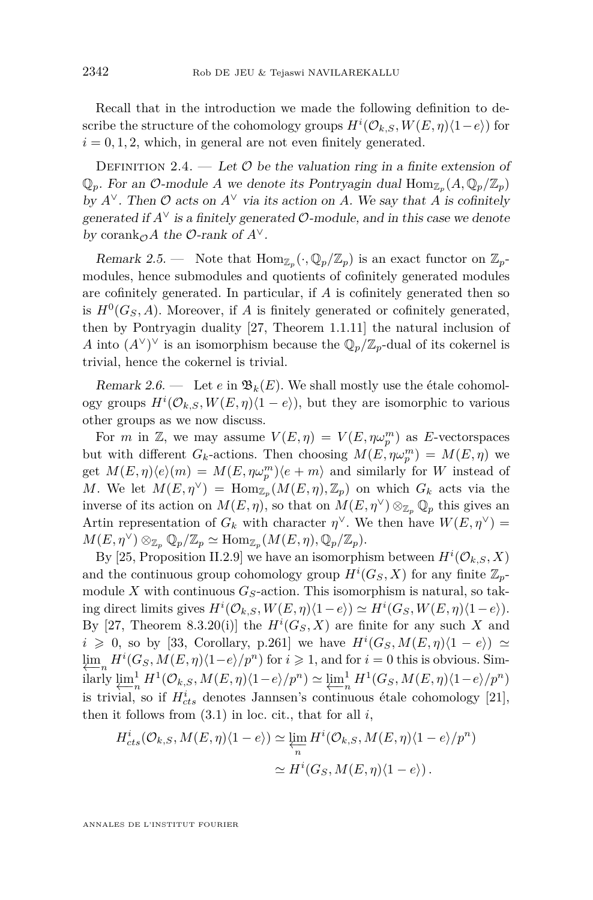<span id="page-12-0"></span>Recall that in the introduction we made the following definition to describe the structure of the cohomology groups  $H^{i}(\mathcal{O}_{k,S}, W(E, \eta)(1-e))$  for  $i = 0, 1, 2$ , which, in general are not even finitely generated.

DEFINITION 2.4. — Let  $\mathcal O$  be the valuation ring in a finite extension of  $\mathbb{Q}_p$ . For an  $\mathcal{O}\text{-module } A$  we denote its Pontryagin dual  $\text{Hom}_{\mathbb{Z}_p}(A, \mathbb{Q}_p/\mathbb{Z}_p)$ by  $A^{\vee}$ . Then  $\mathcal O$  acts on  $A^{\vee}$  via its action on *A*. We say that *A* is cofinitely generated if  $A^{\vee}$  is a finitely generated  $\mathcal{O}$ -module, and in this case we denote by corank<sub> $\mathcal{O}$ </sub>*A* the  $\mathcal{O}$ -rank of  $A^{\vee}$ .

Remark 2.5. — Note that  $\text{Hom}_{\mathbb{Z}_p}(\cdot,\mathbb{Q}_p/\mathbb{Z}_p)$  is an exact functor on  $\mathbb{Z}_p$ modules, hence submodules and quotients of cofinitely generated modules are cofinitely generated. In particular, if *A* is cofinitely generated then so is  $H^0(G_S, A)$ . Moreover, if *A* is finitely generated or cofinitely generated, then by Pontryagin duality [\[27,](#page-52-0) Theorem 1.1.11] the natural inclusion of *A* into  $(A^{\vee})^{\vee}$  is an isomorphism because the  $\mathbb{Q}_p/\mathbb{Z}_p$ -dual of its cokernel is trivial, hence the cokernel is trivial.

Remark 2.6. — Let  $e$  in  $\mathfrak{B}_k(E)$ . We shall mostly use the étale cohomology groups  $H^{i}(\mathcal{O}_{k,S}, W(E, \eta)(1-e))$ , but they are isomorphic to various other groups as we now discuss.

For *m* in Z, we may assume  $V(E, \eta) = V(E, \eta \omega_p^m)$  as E-vectorspaces but with different  $G_k$ -actions. Then choosing  $M(E, \eta \omega_p^m) = M(E, \eta)$  we get  $M(E, \eta)\langle e \rangle(m) = M(E, \eta \omega_p^m)\langle e + m \rangle$  and similarly for *W* instead of *M*. We let  $M(E, \eta^{\vee}) = \text{Hom}_{\mathbb{Z}_p}(M(E, \eta), \mathbb{Z}_p)$  on which  $G_k$  acts via the inverse of its action on  $M(E, \eta)$ , so that on  $M(E, \eta^{\vee}) \otimes_{\mathbb{Z}_p} \mathbb{Q}_p$  this gives an Artin representation of  $G_k$  with character  $\eta^{\vee}$ . We then have  $W(E, \eta^{\vee}) =$  $M(E, \eta^{\vee}) \otimes_{\mathbb{Z}_p} \mathbb{Q}_p/\mathbb{Z}_p \simeq \text{Hom}_{\mathbb{Z}_p}(M(E, \eta), \mathbb{Q}_p/\mathbb{Z}_p).$ 

By [\[25,](#page-52-0) Proposition II.2.9] we have an isomorphism between  $H^{i}(\mathcal{O}_{k,S}, X)$ and the continuous group cohomology group  $H^i(G_S, X)$  for any finite  $\mathbb{Z}_p$ module X with continuous  $G_S$ -action. This isomorphism is natural, so taking direct limits gives  $H^i(\mathcal{O}_{k,S}, W(E, \eta) \langle 1-e \rangle) \simeq H^i(G_S, W(E, \eta) \langle 1-e \rangle)$ . By [\[27,](#page-52-0) Theorem 8.3.20(i)] the  $H^i(G_S, X)$  are finite for any such X and *i* ≥ 0, so by [\[33,](#page-53-0) Corollary, p.261] we have  $H^i(G_S, M(E, \eta)(1 - e))$  ≃  $\lim_{n \to \infty} H^{i}(G_S, M(E, \eta)(1-e)/p^n)$  for  $i \geq 1$ , and for  $i = 0$  this is obvious. Sim-←−*<sup>n</sup>* ilarly  $\varprojlim_{n}^{1}$  $\lim_{n} H^{1}(\mathcal{O}_{k,S}, M(E, \eta)\langle 1-e \rangle / p^{n}) \simeq \underbrace{\lim_{n} \frac{1}{n}}$  $\frac{1}{n}$ *H*<sup>1</sup>(*G*<sub>*S*</sub></sub>*,M*(*E,n*) $\langle$ 1*−e* $\rangle$ */p*<sup>*n*</sup>) is trivial, so if  $H_{cts}^i$  denotes Jannsen's continuous étale cohomology [\[21\]](#page-52-0), then it follows from  $(3.1)$  in loc. cit., that for all  $i$ ,

$$
H_{cts}^{i}(\mathcal{O}_{k,S}, M(E, \eta)\langle 1-e \rangle) \simeq \varprojlim_{n} H^{i}(\mathcal{O}_{k,S}, M(E, \eta)\langle 1-e \rangle / p^{n})
$$

$$
\simeq H^{i}(G_{S}, M(E, \eta)\langle 1-e \rangle).
$$

ANNALES DE L'INSTITUT FOURIER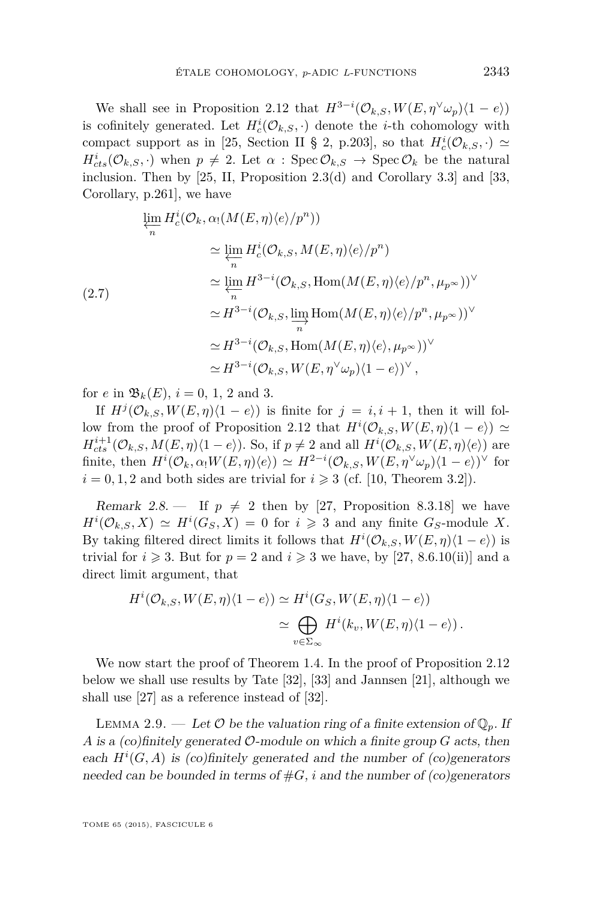<span id="page-13-0"></span>We shall see in Proposition [2.12](#page-14-0) that  $H^{3-i}(\mathcal{O}_{k,S}, W(E, \eta^{\vee} \omega_p)(1-e))$ is cofinitely generated. Let  $H_c^i(\mathcal{O}_{k,S},.)$  denote the *i*-th cohomology with compact support as in [\[25,](#page-52-0) Section II § 2, p.203], so that  $H_c^i(\mathcal{O}_{k,S},.) \simeq$  $H_{cts}^{i}(\mathcal{O}_{k,S},\cdot)$  when  $p \neq 2$ . Let  $\alpha$ : Spec  $\mathcal{O}_{k,S} \rightarrow \text{Spec } \mathcal{O}_k$  be the natural inclusion. Then by  $[25, II,$  $[25, II,$  Proposition  $2.3(d)$  and Corollary 3.3] and  $[33,$ Corollary, p.261], we have

$$
\lim_{n} H_c^i(\mathcal{O}_k, \alpha_1(M(E, \eta)\langle e \rangle/p^n))
$$
\n
$$
\approx \lim_{n} H_c^i(\mathcal{O}_{k,S}, M(E, \eta)\langle e \rangle/p^n)
$$
\n
$$
\approx \lim_{n} H^{3-i}(\mathcal{O}_{k,S}, \text{Hom}(M(E, \eta)\langle e \rangle/p^n, \mu_{p^{\infty}}))^{\vee}
$$
\n
$$
\approx H^{3-i}(\mathcal{O}_{k,S}, \lim_{n} \text{Hom}(M(E, \eta)\langle e \rangle/p^n, \mu_{p^{\infty}}))^{\vee}
$$
\n
$$
\approx H^{3-i}(\mathcal{O}_{k,S}, \text{Hom}(M(E, \eta)\langle e \rangle, \mu_{p^{\infty}}))^{\vee}
$$
\n
$$
\approx H^{3-i}(\mathcal{O}_{k,S}, W(E, \eta^{\vee}\omega_p)\langle 1 - e \rangle)^{\vee},
$$

for *e* in  $\mathfrak{B}_k(E)$ ,  $i = 0, 1, 2$  and 3.

If  $H^j(\mathcal{O}_{k,S}, W(E, \eta)(1-e))$  is finite for  $j = i, i + 1$ , then it will fol-low from the proof of Proposition [2.12](#page-14-0) that  $H^i(\mathcal{O}_{k,S}, W(E,\eta)(1-e)) \simeq$  $H_{cts}^{i+1}(\mathcal{O}_{k,S}, M(E, \eta)\langle 1-e \rangle)$ . So, if  $p \neq 2$  and all  $H^{i}(\mathcal{O}_{k,S}, W(E, \eta)\langle e \rangle)$  are finite, then  $H^{i}(\mathcal{O}_k, \alpha_! W(E, \eta) \langle e \rangle) \simeq H^{2-i}(\mathcal{O}_{k,S}, W(E, \eta^{\vee} \omega_p) \langle 1 - e \rangle)^{\vee}$  for  $i = 0, 1, 2$  and both sides are trivial for  $i \geq 3$  (cf. [\[10,](#page-51-0) Theorem 3.2]).

Remark 2.8.  $\blacksquare$  If  $p \neq 2$  then by [\[27,](#page-52-0) Proposition 8.3.18] we have  $H^{i}(\mathcal{O}_{k,S}, X) \simeq H^{i}(G_S, X) = 0$  for  $i \geqslant 3$  and any finite  $G_S$ -module X. By taking filtered direct limits it follows that  $H^{i}(\mathcal{O}_{k,S}, W(E, \eta)(1-e))$  is trivial for  $i \geq 3$ . But for  $p = 2$  and  $i \geq 3$  we have, by [\[27,](#page-52-0) 8.6.10(ii)] and a direct limit argument, that

$$
H^{i}(\mathcal{O}_{k,S}, W(E, \eta)(1-e)) \simeq H^{i}(G_{S}, W(E, \eta)(1-e))
$$
  

$$
\simeq \bigoplus_{v \in \Sigma_{\infty}} H^{i}(k_{v}, W(E, \eta)(1-e)).
$$

We now start the proof of Theorem [1.4.](#page-4-0) In the proof of Proposition [2.12](#page-14-0) below we shall use results by Tate [\[32\]](#page-53-0), [\[33\]](#page-53-0) and Jannsen [\[21\]](#page-52-0), although we shall use [\[27\]](#page-52-0) as a reference instead of [\[32\]](#page-53-0).

LEMMA 2.9. — Let  $\mathcal O$  be the valuation ring of a finite extension of  $\mathbb Q_p$ . If *A* is a (co)finitely generated O-module on which a finite group *G* acts, then each  $H^i(G, A)$  is (co)finitely generated and the number of (co)generators needed can be bounded in terms of  $#G$ , *i* and the number of (co)generators

TOME 65 (2015), FASCICULE 6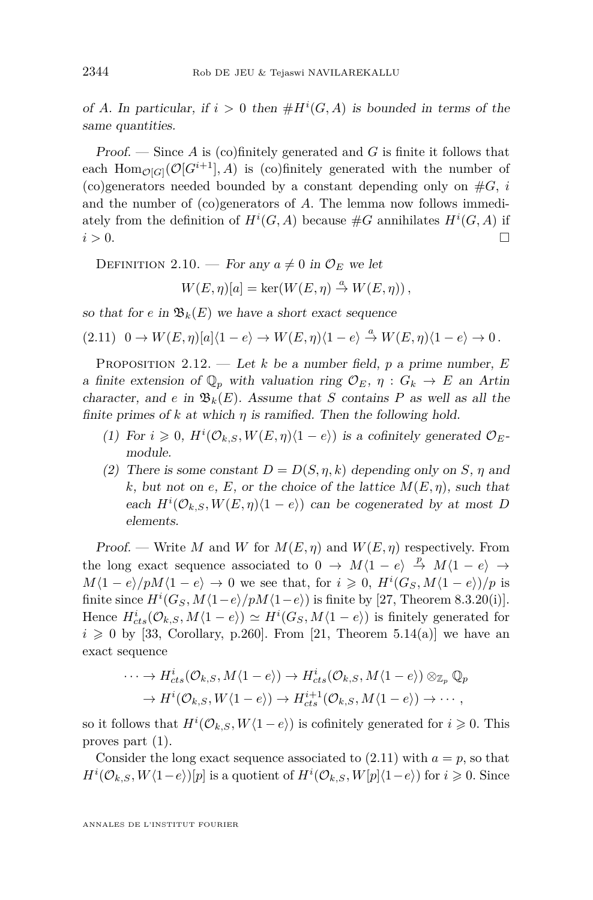<span id="page-14-0"></span>of *A*. In particular, if  $i > 0$  then  $#H^i(G, A)$  is bounded in terms of the same quantities.

Proof. — Since *A* is (co)finitely generated and *G* is finite it follows that each Hom<sub> $\mathcal{O}[G]$ </sub> $(\mathcal{O}[G^{i+1}], A)$  is (co)finitely generated with the number of (co)generators needed bounded by a constant depending only on  $#G$ , *i* and the number of (co)generators of *A*. The lemma now follows immediately from the definition of  $H^i(G, A)$  because  $\#G$  annihilates  $H^i(G, A)$  if  $i > 0$ .

DEFINITION 2.10. — For any  $a \neq 0$  in  $\mathcal{O}_E$  we let

$$
W(E, \eta)[a] = \ker(W(E, \eta) \stackrel{a}{\to} W(E, \eta)),
$$

so that for *e* in  $\mathfrak{B}_k(E)$  we have a short exact sequence

 $(2.11)$   $0 \rightarrow W(E, \eta)[a](1 - e) \rightarrow W(E, \eta)(1 - e) \stackrel{a}{\rightarrow} W(E, \eta)(1 - e) \rightarrow 0$ .

PROPOSITION 2.12. — Let *k* be a number field, *p* a prime number, *E* a finite extension of  $\mathbb{Q}_p$  with valuation ring  $\mathcal{O}_E$ ,  $\eta : G_k \to E$  an Artin character, and *e* in  $\mathfrak{B}_k(E)$ . Assume that *S* contains *P* as well as all the finite primes of  $k$  at which  $\eta$  is ramified. Then the following hold.

- (1) For  $i \geq 0$ ,  $H^i(\mathcal{O}_{k,S}, W(E, \eta)\langle 1-e \rangle)$  is a cofinitely generated  $\mathcal{O}_E$ module.
- (2) There is some constant  $D = D(S, \eta, k)$  depending only on *S*,  $\eta$  and *k*, but not on *e*, *E*, or the choice of the lattice  $M(E, \eta)$ , such that each  $H^i(\mathcal{O}_{k,S}, W(E, \eta)\langle 1-e \rangle)$  can be cogenerated by at most *D* elements.

Proof. — Write *M* and *W* for  $M(E, \eta)$  and  $W(E, \eta)$  respectively. From the long exact sequence associated to  $0 \rightarrow M(1 - e) \stackrel{p}{\rightarrow} M(1 - e) \rightarrow$  $M\langle 1 - e \rangle / pM\langle 1 - e \rangle \rightarrow 0$  we see that, for  $i \geq 0$ ,  $H^{i}(G_S, M\langle 1 - e \rangle)/p$  is finite since  $H^i(G_S, M\langle 1-e \rangle / pM\langle 1-e \rangle)$  is finite by [\[27,](#page-52-0) Theorem 8.3.20(i)]. Hence  $H_{cts}^{i}(\mathcal{O}_{k,S}, M\langle 1-e \rangle) \simeq H^{i}(G_{S}, M\langle 1-e \rangle)$  is finitely generated for  $i \geq 0$  by [\[33,](#page-53-0) Corollary, p.260]. From [\[21,](#page-52-0) Theorem 5.14(a)] we have an exact sequence

$$
\cdots \to H_{cts}^{i}(\mathcal{O}_{k,S}, M\langle 1-e \rangle) \to H_{cts}^{i}(\mathcal{O}_{k,S}, M\langle 1-e \rangle) \otimes_{\mathbb{Z}_p} \mathbb{Q}_p
$$
  

$$
\to H^{i}(\mathcal{O}_{k,S}, W\langle 1-e \rangle) \to H_{cts}^{i+1}(\mathcal{O}_{k,S}, M\langle 1-e \rangle) \to \cdots,
$$

so it follows that  $H^i(\mathcal{O}_{k,S}, W\langle 1-e \rangle)$  is cofinitely generated for  $i \geq 0$ . This proves part (1).

Consider the long exact sequence associated to  $(2.11)$  with  $a = p$ , so that  $H^{i}(\mathcal{O}_{k,S}, W\langle 1-e \rangle)[p]$  is a quotient of  $H^{i}(\mathcal{O}_{k,S}, W[p]\langle 1-e \rangle)$  for  $i \geq 0$ . Since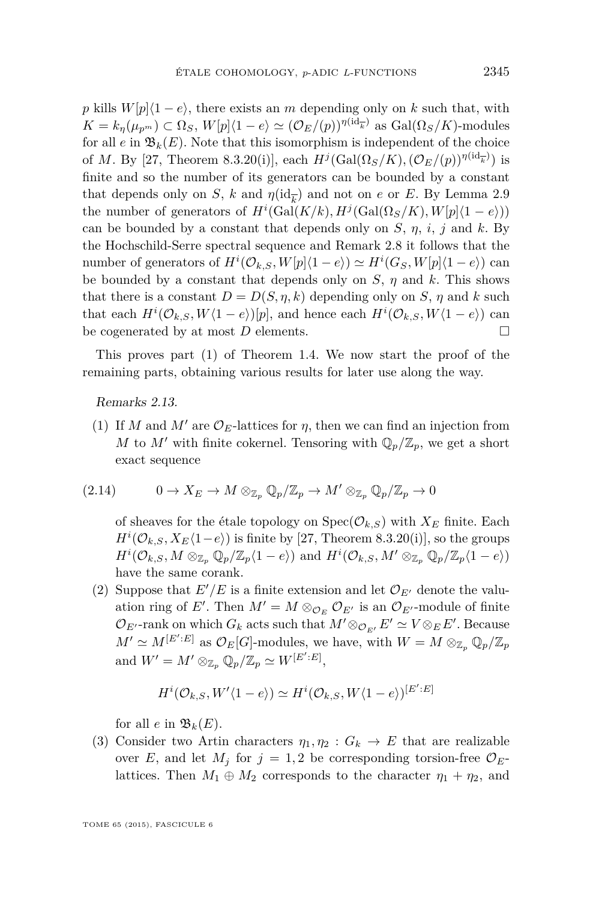<span id="page-15-0"></span>*p* kills  $W[p](1-e)$ , there exists an *m* depending only on *k* such that, with  $K = k_{\eta}(\mu_{p^m}) \subset \Omega_S$ ,  $W[p](1 - e) \simeq (\mathcal{O}_E/(p))^{\eta(\mathrm{id}_{\overline{k}})}$  as  $\mathrm{Gal}(\Omega_S/K)$ -modules for all  $e$  in  $\mathfrak{B}_k(E)$ . Note that this isomorphism is independent of the choice of *M*. By [\[27,](#page-52-0) Theorem 8.3.20(i)], each  $H^j(\text{Gal}(\Omega_S/K), (\mathcal{O}_E/(p)))^{\eta(\text{id}_{\overline{k}})}$  is finite and so the number of its generators can be bounded by a constant that depends only on *S*, *k* and  $\eta(\mathrm{id}_{\overline{k}})$  and not on *e* or *E*. By Lemma [2.9](#page-13-0) the number of generators of  $H^i(\text{Gal}(K/k), H^j(\text{Gal}(\Omega_S/K), W[p](1-e)))$ can be bounded by a constant that depends only on *S*, *η*, *i*, *j* and *k*. By the Hochschild-Serre spectral sequence and Remark [2.8](#page-13-0) it follows that the number of generators of  $H^i(\mathcal{O}_{k,S}, W[p](1-e)) \simeq H^i(G_S, W[p](1-e))$  can be bounded by a constant that depends only on  $S$ ,  $\eta$  and  $k$ . This shows that there is a constant  $D = D(S, \eta, k)$  depending only on *S*,  $\eta$  and *k* such that each  $H^{i}(\mathcal{O}_{k,S}, W\langle 1-e \rangle)[p]$ , and hence each  $H^{i}(\mathcal{O}_{k,S}, W\langle 1-e \rangle)$  can be cogenerated by at most  $D$  elements.  $\square$ 

This proves part (1) of Theorem [1.4.](#page-4-0) We now start the proof of the remaining parts, obtaining various results for later use along the way.

Remarks 2.13.

(1) If *M* and *M'* are  $\mathcal{O}_E$ -lattices for *η*, then we can find an injection from *M* to *M'* with finite cokernel. Tensoring with  $\mathbb{Q}_p/\mathbb{Z}_p$ , we get a short exact sequence

$$
(2.14) \t 0 \to X_E \to M \otimes_{\mathbb{Z}_p} \mathbb{Q}_p/\mathbb{Z}_p \to M' \otimes_{\mathbb{Z}_p} \mathbb{Q}_p/\mathbb{Z}_p \to 0
$$

of sheaves for the étale topology on  $Spec(\mathcal{O}_{k,S})$  with  $X_E$  finite. Each  $H^{i}(\mathcal{O}_{k,S}, X_{E}\langle 1-e \rangle)$  is finite by [\[27,](#page-52-0) Theorem 8.3.20(i)], so the groups  $H^{i}(\mathcal{O}_{k,S}, M \otimes_{\mathbb{Z}_p} \mathbb{Q}_p/\mathbb{Z}_p\langle 1-e \rangle)$  and  $H^{i}(\mathcal{O}_{k,S}, M' \otimes_{\mathbb{Z}_p} \mathbb{Q}_p/\mathbb{Z}_p\langle 1-e \rangle)$ have the same corank.

(2) Suppose that  $E'/E$  is a finite extension and let  $\mathcal{O}_{E'}$  denote the valuation ring of E'. Then  $M' = M \otimes_{\mathcal{O}_E} \mathcal{O}_{E'}$  is an  $\mathcal{O}_{E'}$ -module of finite  $\mathcal{O}_{E'}$ -rank on which  $G_k$  acts such that  $M' \otimes_{\mathcal{O}_{E'}} E' \simeq V \otimes_E E'$ . Because  $M' \simeq M^{[E':E]}$  as  $\mathcal{O}_E[G]$ -modules, we have, with  $W = M \otimes_{\mathbb{Z}_p} \mathbb{Q}_p/\mathbb{Z}_p$ and  $W' = M' \otimes_{\mathbb{Z}_p} \mathbb{Q}_p / \mathbb{Z}_p \simeq W^{[E':E]},$ 

$$
H^{i}(\mathcal{O}_{k,S}, W' \langle 1-e \rangle) \simeq H^{i}(\mathcal{O}_{k,S}, W \langle 1-e \rangle)^{[E':E]}
$$

for all *e* in  $\mathfrak{B}_k(E)$ .

(3) Consider two Artin characters  $\eta_1, \eta_2 : G_k \to E$  that are realizable over *E*, and let  $M_j$  for  $j = 1, 2$  be corresponding torsion-free  $\mathcal{O}_E$ lattices. Then  $M_1 \oplus M_2$  corresponds to the character  $\eta_1 + \eta_2$ , and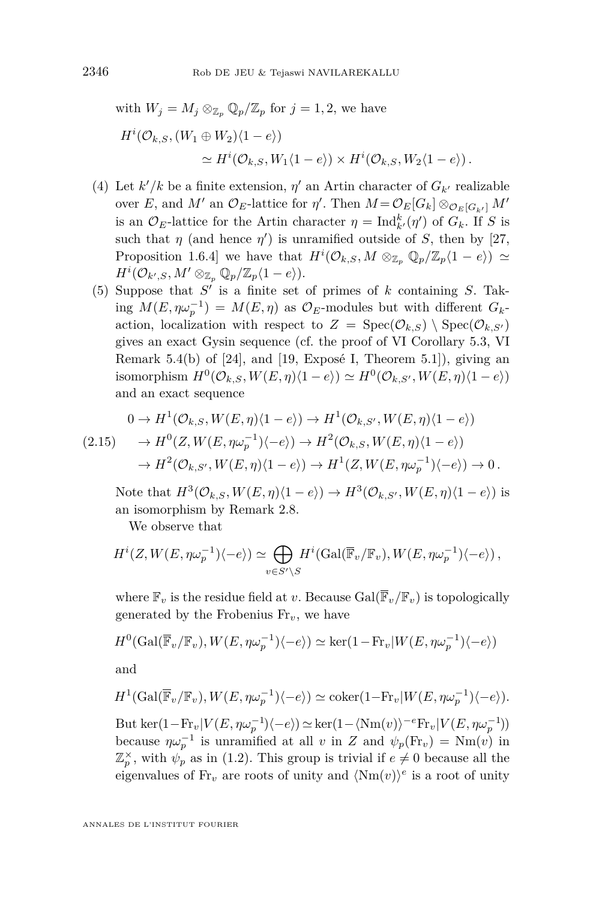<span id="page-16-0"></span>with 
$$
W_j = M_j \otimes_{\mathbb{Z}_p} \mathbb{Q}_p/\mathbb{Z}_p
$$
 for  $j = 1, 2$ , we have  
\n
$$
H^i(\mathcal{O}_{k,S}, (W_1 \oplus W_2)\langle 1 - e \rangle)
$$
\n
$$
\simeq H^i(\mathcal{O}_{k,S}, W_1\langle 1 - e \rangle) \times H^i(\mathcal{O}_{k,S}, W_2\langle 1 - e \rangle).
$$

- (4) Let  $k'/k$  be a finite extension,  $\eta'$  an Artin character of  $G_{k'}$  realizable  $\text{over } E$ , and  $M'$  an  $\mathcal{O}_E$ -lattice for  $\eta'$ . Then  $M = \mathcal{O}_E[G_k] \otimes_{\mathcal{O}_E[G_{k'}]} M'$ is an  $\mathcal{O}_E$ -lattice for the Artin character  $\eta = \text{Ind}_{k'}^k(\eta')$  of  $G_k$ . If *S* is such that  $\eta$  (and hence  $\eta'$ ) is unramified outside of *S*, then by [\[27,](#page-52-0) Proposition 1.6.4] we have that  $H^i(\mathcal{O}_{k,S}, M \otimes_{\mathbb{Z}_p} \mathbb{Q}_p/\mathbb{Z}_p\langle 1-e \rangle) \simeq$  $H^i(\mathcal{O}_{k',S}, M' \otimes_{\mathbb{Z}_p} \mathbb{Q}_p/\mathbb{Z}_p\langle 1-e \rangle).$
- (5) Suppose that  $S'$  is a finite set of primes of  $k$  containing  $S$ . Tak- $\log M(E, \eta \omega_p^{-1}) = M(E, \eta)$  as  $\mathcal{O}_E$ -modules but with different  $G_k$ action, localization with respect to  $Z = \text{Spec}(\mathcal{O}_{k,S}) \setminus \text{Spec}(\mathcal{O}_{k,S'})$ gives an exact Gysin sequence (cf. the proof of VI Corollary 5.3, VI Remark 5.4(b) of [\[24\]](#page-52-0), and [\[19,](#page-52-0) Exposé I, Theorem 5.1]), giving an isomorphism  $H^0(\mathcal{O}_{k,S}, W(E, \eta)(1-e)) \simeq H^0(\mathcal{O}_{k,S'}, W(E, \eta)(1-e))$ and an exact sequence

$$
0 \to H^1(\mathcal{O}_{k,S}, W(E, \eta)\langle 1 - e \rangle) \to H^1(\mathcal{O}_{k,S'}, W(E, \eta)\langle 1 - e \rangle)
$$
  
(2.15) 
$$
\to H^0(Z, W(E, \eta \omega_p^{-1})\langle -e \rangle) \to H^2(\mathcal{O}_{k,S}, W(E, \eta)\langle 1 - e \rangle)
$$

$$
\to H^2(\mathcal{O}_{k,S'}, W(E, \eta)\langle 1 - e \rangle) \to H^1(Z, W(E, \eta \omega_p^{-1})\langle -e \rangle) \to 0.
$$

Note that  $H^3(\mathcal{O}_{k,S}, W(E, \eta)\langle 1-e \rangle) \to H^3(\mathcal{O}_{k,S'}, W(E, \eta)\langle 1-e \rangle)$  is an isomorphism by Remark [2.8.](#page-13-0)

We observe that

$$
H^i(Z,W(E,\eta\omega_p^{-1})\langle -e \rangle) \simeq \bigoplus_{v \in S' \backslash S} H^i(\mathrm{Gal}(\overline{\mathbb{F}}_v/\mathbb{F}_v),W(E,\eta\omega_p^{-1})\langle -e \rangle)\,,
$$

where  $\mathbb{F}_v$  is the residue field at *v*. Because  $Gal(\overline{\mathbb{F}}_v/\mathbb{F}_v)$  is topologically generated by the Frobenius  $Fr_v$ , we have

$$
H^{0}(\text{Gal}(\overline{\mathbb{F}}_{v}/\mathbb{F}_{v}), W(E, \eta \omega_{p}^{-1})\langle -e \rangle) \simeq \ker(1 - \text{Fr}_{v}|W(E, \eta \omega_{p}^{-1})\langle -e \rangle)
$$

and

$$
H^1(\text{Gal}(\overline{\mathbb{F}}_v/\mathbb{F}_v), W(E, \eta \omega_p^{-1})\langle -e \rangle) \simeq \text{coker}(1 - \text{Fr}_v|W(E, \eta \omega_p^{-1})\langle -e \rangle).
$$

But ker(1-Fr<sub>*v*</sub>| $V(E, \eta \omega_p^{-1})\langle -e \rangle) \simeq \text{ker}(1-\langle \text{Nm}(v) \rangle^{-e} \text{Fr}_v | V(E, \eta \omega_p^{-1})$ ) because  $\eta \omega_p^{-1}$  is unramified at all *v* in *Z* and  $\psi_p(\text{Fr}_v) = \text{Nm}(v)$  in  $\mathbb{Z}_p^{\times}$ , with  $\psi_p$  as in [\(1.2\)](#page-3-0). This group is trivial if  $e \neq 0$  because all the eigenvalues of  $\text{Fr}_v$  are roots of unity and  $\langle \text{Nm}(v) \rangle^e$  is a root of unity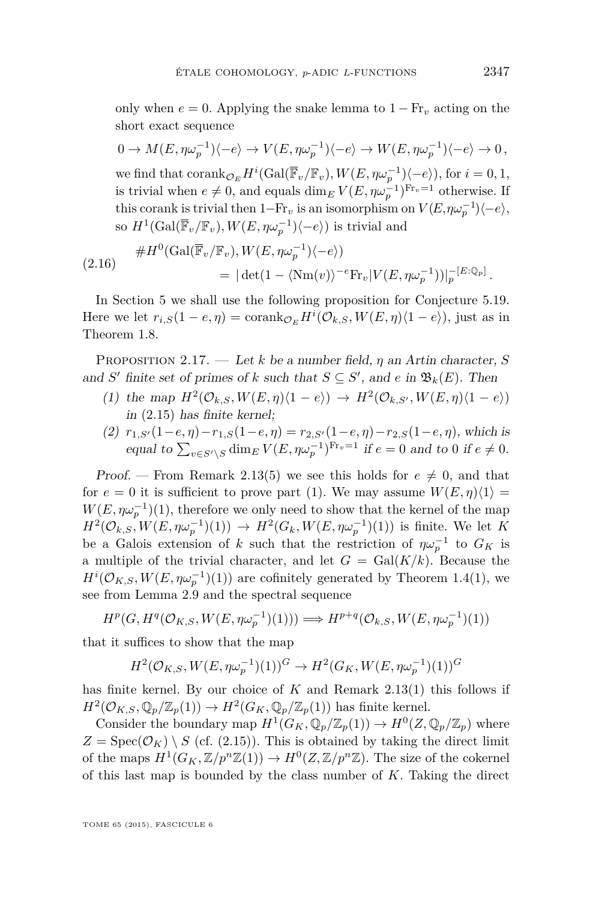<span id="page-17-0"></span>only when  $e = 0$ . Applying the snake lemma to  $1 - Fr_v$  acting on the short exact sequence

$$
0 \to M(E, \eta \omega_p^{-1})\langle -e \rangle \to V(E, \eta \omega_p^{-1})\langle -e \rangle \to W(E, \eta \omega_p^{-1})\langle -e \rangle \to 0,
$$
  
we find that  $\operatorname{corank}_{\mathcal{O}_E} H^i(\operatorname{Gal}(\overline{\mathbb{F}}_v/\mathbb{F}_v), W(E, \eta \omega_p^{-1})\langle -e \rangle)$ , for  $i = 0, 1$ ,  
is trivial when  $e \neq 0$ , and equals  $\dim_E V(E, \eta \omega_p^{-1})^{\operatorname{Fr}_v=1}$  otherwise. If  
this corank is trivial then  $1-\operatorname{Fr}_v$  is an isomorphism on  $V(E, \eta \omega_p^{-1})\langle -e \rangle$ ,  
so  $H^1(\operatorname{Gal}(\overline{\mathbb{F}}_v/\mathbb{F}_v), W(E, \eta \omega_p^{-1})\langle -e \rangle)$  is trivial and

$$
\#H^0(\text{Gal}(\overline{\mathbb{F}}_v/\mathbb{F}_v), W(E, \eta \omega_p^{-1})\langle -e \rangle)
$$
  
=  $|\det(1 - \langle \text{Nm}(v) \rangle^{-e} \text{Fr}_v |V(E, \eta \omega_p^{-1}))|_p^{-[E:\mathbb{Q}_p]}.$ 

In Section [5](#page-33-0) we shall use the following proposition for Conjecture [5.19.](#page-44-0) Here we let  $r_{i,S}(1 - e, \eta) = \text{corank}_{\mathcal{O}_E} H^i(\mathcal{O}_{k,S}, W(E, \eta) \langle 1 - e \rangle)$ , just as in Theorem [1.8.](#page-7-0)

Proposition 2.17. — Let *k* be a number field, *η* an Artin character, *S* and *S*<sup> $\prime$ </sup> finite set of primes of *k* such that  $S \subseteq S'$ , and *e* in  $\mathfrak{B}_k(E)$ . Then

- (1) the map  $H^2(\mathcal{O}_{k,S}, W(E, \eta)(1-e)) \to H^2(\mathcal{O}_{k,S'}, W(E, \eta)(1-e))$ in [\(2.15\)](#page-16-0) has finite kernel;
- (2)  $r_{1,S'}(1-e,\eta) r_{1,S}(1-e,\eta) = r_{2,S'}(1-e,\eta) r_{2,S}(1-e,\eta)$ , which is equal to  $\sum_{v \in S' \setminus S} \dim_E V(E, \eta \omega_p^{-1})^{\text{Fr}_v=1}$  if  $e = 0$  and to 0 if  $e \neq 0$ .

Proof. – From Remark [2.13\(](#page-15-0)5) we see this holds for  $e \neq 0$ , and that for  $e = 0$  it is sufficient to prove part (1). We may assume  $W(E, \eta)\langle 1 \rangle =$  $W(E, \eta \omega_p^{-1})(1)$ , therefore we only need to show that the kernel of the map  $H^2(\mathcal{O}_{k,S}, W(E, \eta \omega_p^{-1})(1)) \to H^2(G_k, W(E, \eta \omega_p^{-1})(1))$  is finite. We let K be a Galois extension of *k* such that the restriction of  $\eta \omega_p^{-1}$  to  $G_K$  is a multiple of the trivial character, and let  $G = \text{Gal}(K/k)$ . Because the  $H^{i}(\mathcal{O}_{K,S}, W(E, \eta \omega_p^{-1})(1))$  are cofinitely generated by Theorem [1.4\(](#page-4-0)1), we see from Lemma [2.9](#page-13-0) and the spectral sequence

$$
H^p(G, H^q(\mathcal{O}_{K,S}, W(E, \eta \omega_p^{-1})(1))) \Longrightarrow H^{p+q}(\mathcal{O}_{k,S}, W(E, \eta \omega_p^{-1})(1))
$$

that it suffices to show that the map

$$
H^2(\mathcal{O}_{K,S}, W(E, \eta \omega_p^{-1})(1))^G \to H^2(G_K, W(E, \eta \omega_p^{-1})(1))^G
$$

has finite kernel. By our choice of  $K$  and Remark [2.13\(](#page-15-0)1) this follows if  $H^2(\mathcal{O}_{K,S}, \mathbb{Q}_p/\mathbb{Z}_p(1)) \to H^2(G_K, \mathbb{Q}_p/\mathbb{Z}_p(1))$  has finite kernel.

Consider the boundary map  $H^1(G_K, \mathbb{Q}_p/\mathbb{Z}_p(1)) \to H^0(Z, \mathbb{Q}_p/\mathbb{Z}_p)$  where  $Z = \text{Spec}(\mathcal{O}_K) \setminus S$  (cf. [\(2.15\)](#page-16-0)). This is obtained by taking the direct limit of the maps  $H^1(G_K, \mathbb{Z}/p^n\mathbb{Z}(1)) \to H^0(\mathbb{Z}, \mathbb{Z}/p^n\mathbb{Z})$ . The size of the cokernel of this last map is bounded by the class number of *K*. Taking the direct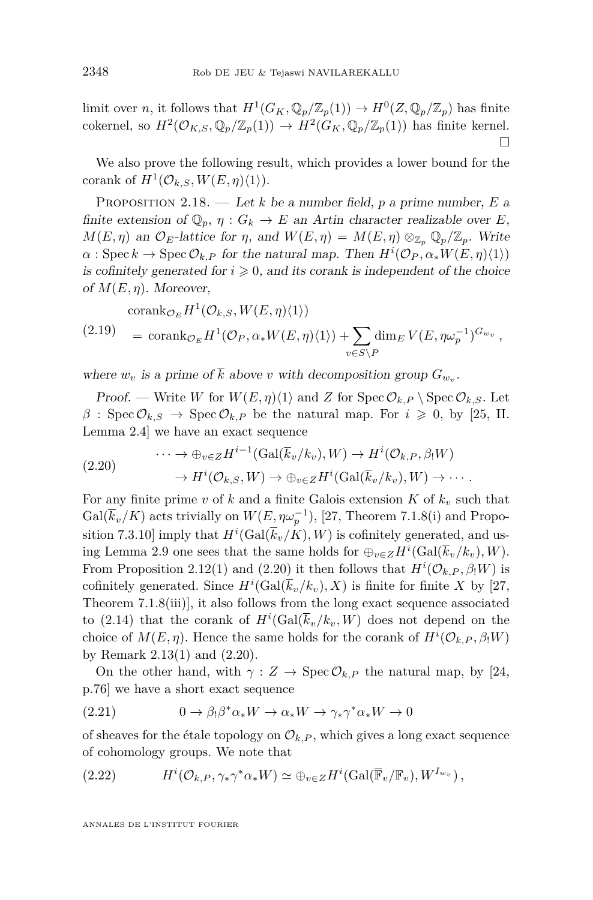<span id="page-18-0"></span>limit over *n*, it follows that  $H^1(G_K, \mathbb{Q}_p/\mathbb{Z}_p(1)) \to H^0(Z, \mathbb{Q}_p/\mathbb{Z}_p)$  has finite cokernel, so  $H^2(\mathcal{O}_{K,S}, \mathbb{Q}_p/\mathbb{Z}_p(1)) \to H^2(G_K, \mathbb{Q}_p/\mathbb{Z}_p(1))$  has finite kernel.  $\Box$ 

We also prove the following result, which provides a lower bound for the corank of  $H^1(\mathcal{O}_{k,S}, W(E, \eta)\langle 1 \rangle)$ .

Proposition 2.18. — Let *k* be a number field, *p* a prime number, *E* a finite extension of  $\mathbb{Q}_p$ ,  $\eta$  :  $G_k \to E$  an Artin character realizable over *E*,  $M(E, \eta)$  an  $\mathcal{O}_E$ -lattice for  $\eta$ , and  $W(E, \eta) = M(E, \eta) \otimes_{\mathbb{Z}_p} \mathbb{Q}_p/\mathbb{Z}_p$ . Write  $\alpha$ : Spec  $k \to \text{Spec } \mathcal{O}_{k,P}$  for the natural map. Then  $H^i(\mathcal{O}_P, \alpha_* W(E, \eta)\langle 1 \rangle)$ is cofinitely generated for  $i \geq 0$ , and its corank is independent of the choice of  $M(E, \eta)$ . Moreover,

$$
\begin{aligned} \operatorname{corank}_{\mathcal{O}_E} H^1(\mathcal{O}_{k,S}, W(E, \eta)\langle 1 \rangle) \\ &= \operatorname{corank}_{\mathcal{O}_E} H^1(\mathcal{O}_P, \alpha_* W(E, \eta)\langle 1 \rangle) + \sum_{v \in S \backslash P} \dim_E V(E, \eta \omega_p^{-1})^{G_{w_v}}, \end{aligned}
$$

where  $w_v$  is a prime of *k* above *v* with decomposition group  $G_{w_v}$ .

Proof. — Write *W* for  $W(E, \eta)\langle 1 \rangle$  and *Z* for Spec  $\mathcal{O}_{k,P} \setminus \text{Spec } \mathcal{O}_{k,S}$ . Let  $\beta$  : Spec  $\mathcal{O}_{k,S} \to \text{Spec } \mathcal{O}_{k,P}$  be the natural map. For  $i \geq 0$ , by [\[25,](#page-52-0) II. Lemma 2.4] we have an exact sequence

$$
(2.20) \qquad \qquad \cdots \to \oplus_{v \in Z} H^{i-1}(\text{Gal}(\overline{k}_v/k_v), W) \to H^i(\mathcal{O}_{k,P}, \beta_!W) \qquad \to H^i(\mathcal{O}_{k,S}, W) \to \oplus_{v \in Z} H^i(\text{Gal}(\overline{k}_v/k_v), W) \to \cdots.
$$

For any finite prime *v* of *k* and a finite Galois extension  $K$  of  $k_v$  such that  $Gal(\overline{k}_v/K)$  acts trivially on  $W(E, \eta \omega_p^{-1}),$  [\[27,](#page-52-0) Theorem 7.1.8(i) and Proposition 7.3.10] imply that  $H^i(\text{Gal}(\overline{k}_v/K), W)$  is cofinitely generated, and us-ing Lemma [2.9](#page-13-0) one sees that the same holds for  $\bigoplus_{v \in Z} H^i(\text{Gal}(\overline{k}_v/k_v), W)$ . From Proposition [2.12\(](#page-14-0)1) and (2.20) it then follows that  $H^{i}(\mathcal{O}_{k,P}, \beta_!W)$  is cofinitely generated. Since  $H^i(\text{Gal}(\overline{k}_v/k_v), X)$  is finite for finite X by [\[27,](#page-52-0) Theorem 7.1.8(iii)], it also follows from the long exact sequence associated to [\(2.14\)](#page-15-0) that the corank of  $H^i(\text{Gal}(\overline{k}_v/k_v, W)$  does not depend on the choice of  $M(E, \eta)$ . Hence the same holds for the corank of  $H^{i}(\mathcal{O}_{k,P}, \beta, W)$ by Remark [2.13\(](#page-15-0)1) and (2.20).

On the other hand, with  $\gamma : Z \to \text{Spec } \mathcal{O}_{k,P}$  the natural map, by [\[24,](#page-52-0) p.76] we have a short exact sequence

(2.21) 
$$
0 \to \beta_!\beta^*\alpha_*W \to \alpha_*W \to \gamma_*\gamma^*\alpha_*W \to 0
$$

of sheaves for the étale topology on  $\mathcal{O}_{k,P}$ , which gives a long exact sequence of cohomology groups. We note that

(2.22) 
$$
H^{i}(\mathcal{O}_{k,P},\gamma_*\gamma^*\alpha_*W)\simeq \oplus_{v\in Z}H^{i}(\text{Gal}(\overline{\mathbb{F}}_v/\mathbb{F}_v),W^{I_{w_v}}),
$$

ANNALES DE L'INSTITUT FOURIER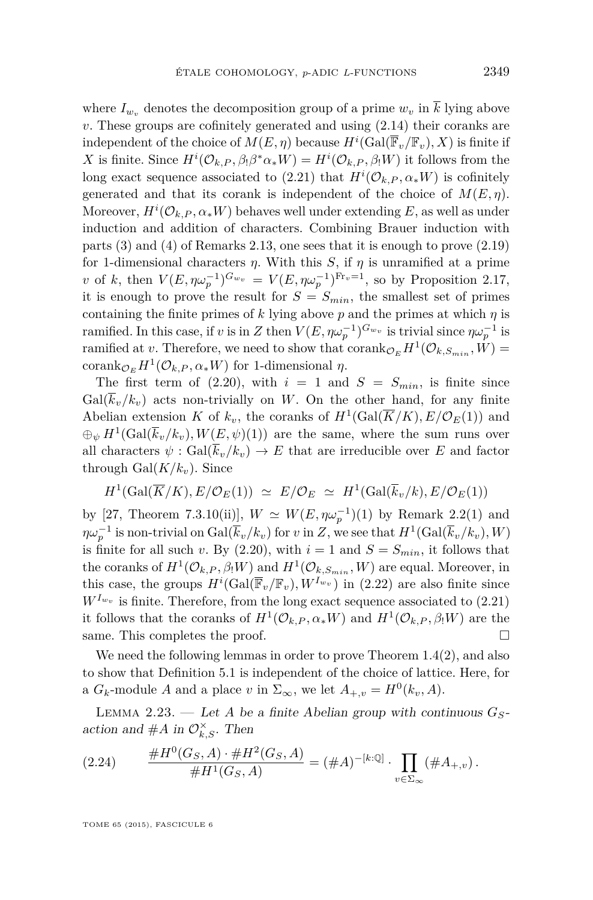<span id="page-19-0"></span>where  $I_{w_i}$  denotes the decomposition group of a prime  $w_v$  in  $\overline{k}$  lying above *v*. These groups are cofinitely generated and using [\(2.14\)](#page-15-0) their coranks are independent of the choice of  $M(E, \eta)$  because  $H^i(\text{Gal}(\overline{\mathbb{F}}_v/\mathbb{F}_v), X)$  is finite if *X* is finite. Since  $H^i(\mathcal{O}_{k,P}, \beta_!\beta^*\alpha_*W) = H^i(\mathcal{O}_{k,P}, \beta_!W)$  it follows from the long exact sequence associated to  $(2.21)$  that  $H^{i}(\mathcal{O}_{k,P}, \alpha_* W)$  is cofinitely generated and that its corank is independent of the choice of  $M(E, \eta)$ . Moreover,  $H^i(\mathcal{O}_{k,P}, \alpha_* W)$  behaves well under extending  $E$ , as well as under induction and addition of characters. Combining Brauer induction with parts (3) and (4) of Remarks [2.13,](#page-15-0) one sees that it is enough to prove [\(2.19\)](#page-18-0) for 1-dimensional characters  $\eta$ . With this *S*, if  $\eta$  is unramified at a prime *v* of *k*, then  $V(E, \eta \omega_p^{-1})^{G_{w_v}} = V(E, \eta \omega_p^{-1})^{\text{Fr}_v=1}$ , so by Proposition [2.17,](#page-17-0) it is enough to prove the result for  $S = S_{min}$ , the smallest set of primes containing the finite primes of  $k$  lying above  $p$  and the primes at which  $q$  is ramified. In this case, if *v* is in *Z* then  $V(E, \eta \omega_p^{-1})^{G_{w_v}}$  is trivial since  $\eta \omega_p^{-1}$  is ramified at *v*. Therefore, we need to show that  $\text{corank}_{\mathcal{O}_E} H^1(\mathcal{O}_{k,S_{min}}, W) =$  $\operatorname{corank}_{\mathcal{O}_E} H^1(\mathcal{O}_{k,P}, \alpha_* W)$  for 1-dimensional  $\eta$ .

The first term of [\(2.20\)](#page-18-0), with  $i = 1$  and  $S = S_{min}$ , is finite since  $Gal(k_v/k_v)$  acts non-trivially on W. On the other hand, for any finite Abelian extension *K* of  $k_v$ , the coranks of  $H^1(\text{Gal}(\overline{K}/K), E/\mathcal{O}_E(1))$  and  $\bigoplus_{\psi} H^1(\text{Gal}(\overline{k}_v/k_v), W(E, \psi)(1))$  are the same, where the sum runs over all characters  $\psi$ : Gal $(\overline{k}_v/k_v) \to E$  that are irreducible over *E* and factor through  $Gal(K/k_v)$ . Since

$$
H^1(\text{Gal}(\overline{K}/K), E/\mathcal{O}_E(1)) \simeq E/\mathcal{O}_E \simeq H^1(\text{Gal}(\overline{k}_v/k), E/\mathcal{O}_E(1))
$$

by [\[27,](#page-52-0) Theorem 7.3.10(ii)],  $W \simeq W(E, \eta \omega_p^{-1})(1)$  by Remark [2.2\(](#page-11-0)1) and  $\eta \omega_p^{-1}$  is non-trivial on  $Gal(\bar{k}_v/k_v)$  for *v* in *Z*, we see that  $H^1({\rm Gal}(\bar{k}_v/k_v), W)$ is finite for all such *v*. By [\(2.20\)](#page-18-0), with  $i = 1$  and  $S = S_{min}$ , it follows that the coranks of  $H^1(\mathcal{O}_{k,P}, \beta_! W)$  and  $H^1(\mathcal{O}_{k,S_{min}}, W)$  are equal. Moreover, in this case, the groups  $H^i(\text{Gal}(\overline{\mathbb{F}}_v/\mathbb{F}_v), W^{I_{w_v}})$  in [\(2.22\)](#page-18-0) are also finite since  $W^{I_{w_v}}$  is finite. Therefore, from the long exact sequence associated to  $(2.21)$ it follows that the coranks of  $H^1(\mathcal{O}_{k,P}, \alpha_* W)$  and  $H^1(\mathcal{O}_{k,P}, \beta_! W)$  are the same. This completes the proof.

We need the following lemmas in order to prove Theorem [1.4\(](#page-4-0)2), and also to show that Definition [5.1](#page-33-0) is independent of the choice of lattice. Here, for a  $G_k$ -module  $A$  and a place  $v$  in  $\Sigma_{\infty}$ , we let  $A_{+,v} = H^0(k_v, A)$ .

LEMMA 2.23. — Let *A* be a finite *Abelian group with continuous*  $G_S$ action and  $#A$  in  $\mathcal{O}_{k,S}^{\times}$ . Then

(2.24) 
$$
\frac{\#H^0(G_S, A) \cdot \#H^2(G_S, A)}{\#H^1(G_S, A)} = (\#A)^{-[k:\mathbb{Q}]} \cdot \prod_{v \in \Sigma_{\infty}} (\#A_{+,v}).
$$

TOME 65 (2015), FASCICULE 6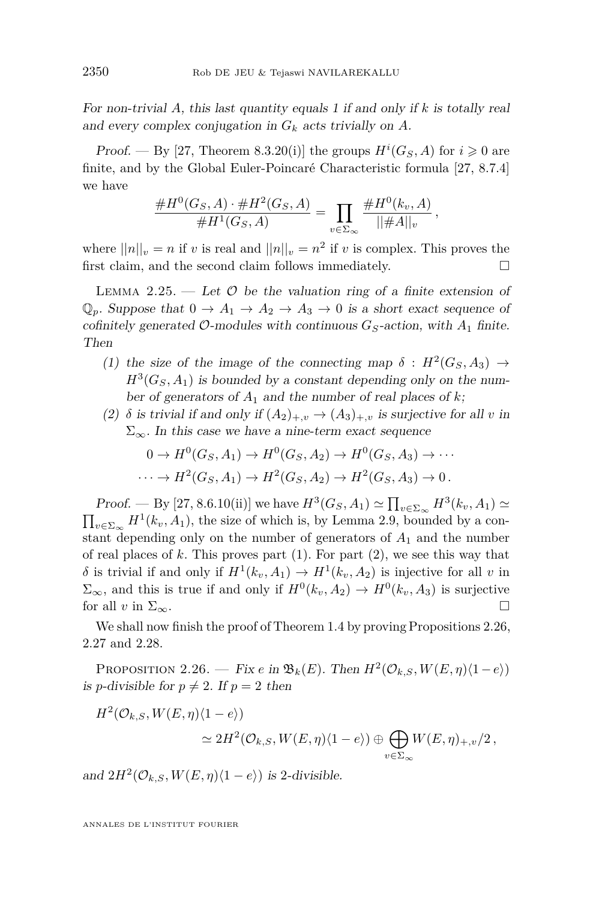<span id="page-20-0"></span>For non-trivial *A*, this last quantity equals 1 if and only if *k* is totally real and every complex conjugation in *G<sup>k</sup>* acts trivially on *A*.

*Proof.* — By [\[27,](#page-52-0) Theorem 8.3.20(i)] the groups  $H^{i}(G_S, A)$  for  $i \geq 0$  are finite, and by the Global Euler-Poincaré Characteristic formula [\[27,](#page-52-0) 8.7.4] we have

$$
\frac{\#H^0(G_S, A) \cdot \#H^2(G_S, A)}{\#H^1(G_S, A)} = \prod_{v \in \Sigma_{\infty}} \frac{\#H^0(k_v, A)}{||\#A||_v},
$$

where  $||n||_v = n$  if *v* is real and  $||n||_v = n^2$  if *v* is complex. This proves the first claim, and the second claim follows immediately.  $\Box$ 

LEMMA 2.25. — Let  $\mathcal O$  be the valuation ring of a finite extension of  $\mathbb{Q}_p$ . Suppose that  $0 \to A_1 \to A_2 \to A_3 \to 0$  is a short exact sequence of cofinitely generated  $\mathcal{O}$ -modules with continuous  $G_S$ -action, with  $A_1$  finite. Then

- (1) the size of the image of the connecting map  $\delta$  :  $H^2(G_S, A_3) \rightarrow$  $H^3(G_S, A_1)$  is bounded by a constant depending only on the number of generators of  $A_1$  and the number of real places of  $k$ ;
- (2)  $\delta$  is trivial if and only if  $(A_2)_{+,v} \to (A_3)_{+,v}$  is surjective for all *v* in  $\Sigma_{\infty}$ . In this case we have a nine-term exact sequence

$$
0 \to H^0(G_S, A_1) \to H^0(G_S, A_2) \to H^0(G_S, A_3) \to \cdots
$$
  

$$
\cdots \to H^2(G_S, A_1) \to H^2(G_S, A_2) \to H^2(G_S, A_3) \to 0.
$$

Proof. — By [\[27,](#page-52-0) 8.6.10(ii)] we have  $H^3(G_S, A_1) \simeq \prod_{v \in \Sigma_{\infty}} H^3(k_v, A_1) \simeq$  $\prod_{v \in \Sigma_{\infty}} H^1(k_v, A_1)$ , the size of which is, by Lemma [2.9,](#page-13-0) bounded by a constant depending only on the number of generators of *A*<sup>1</sup> and the number of real places of  $k$ . This proves part  $(1)$ . For part  $(2)$ , we see this way that  $\delta$  is trivial if and only if  $H^1(k_v, A_1) \to H^1(k_v, A_2)$  is injective for all *v* in  $\Sigma_{\infty}$ , and this is true if and only if  $H^0(k_v, A_2) \to H^0(k_v, A_3)$  is surjective for all *v* in  $\Sigma_{\infty}$ .

We shall now finish the proof of Theorem [1.4](#page-4-0) by proving Propositions 2.26, [2.27](#page-21-0) and [2.28.](#page-22-0)

PROPOSITION 2.26. — Fix *e* in  $\mathfrak{B}_k(E)$ . Then  $H^2(\mathcal{O}_{k,S}, W(E,\eta)\langle 1-e \rangle)$ is *p*-divisible for  $p \neq 2$ . If  $p = 2$  then

$$
H^2(\mathcal{O}_{k,S}, W(E,\eta)\langle 1-e \rangle) \approx 2H^2(\mathcal{O}_{k,S}, W(E,\eta)\langle 1-e \rangle) \oplus \bigoplus_{v \in \Sigma_{\infty}} W(E,\eta)_{+,v}/2,
$$

and  $2H^2(\mathcal{O}_{k,S}, W(E, \eta)\langle 1-e \rangle)$  is 2-divisible.

ANNALES DE L'INSTITUT FOURIER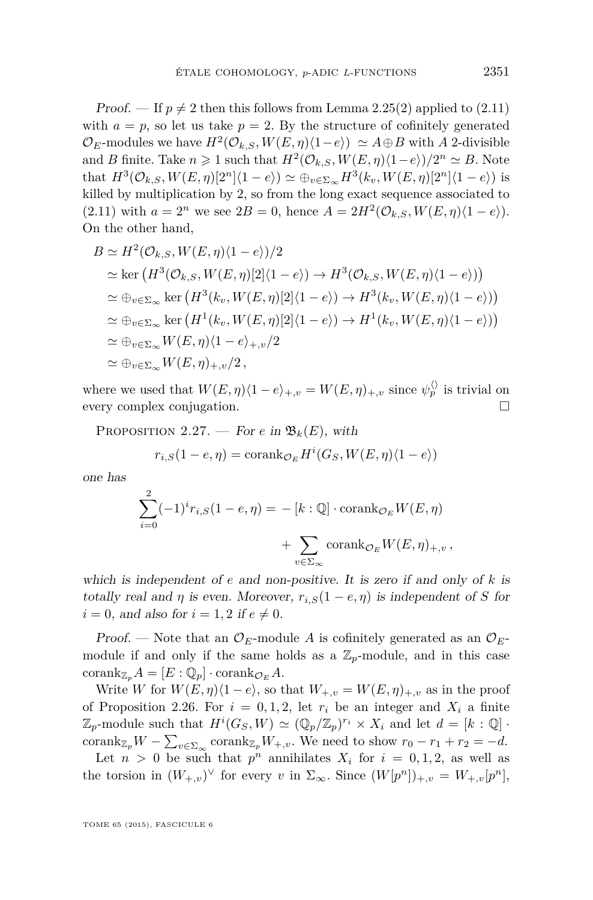<span id="page-21-0"></span>*Proof.* — If  $p \neq 2$  then this follows from Lemma [2.25\(](#page-20-0)2) applied to [\(2.11\)](#page-14-0) with  $a = p$ , so let us take  $p = 2$ . By the structure of cofinitely generated  $\mathcal{O}_E$ -modules we have  $H^2(\mathcal{O}_{k,S}, W(E, \eta)(1-e)) \simeq A \oplus B$  with *A* 2-divisible and *B* finite. Take  $n \geq 1$  such that  $H^2(\mathcal{O}_{k,S}, W(E, \eta)(1-e))/2^n \simeq B$ . Note that  $H^3(\mathcal{O}_{k,S}, W(E, \eta)[2^n](1-e)) \simeq \bigoplus_{v \in \Sigma_{\infty}} H^3(k_v, W(E, \eta)[2^n](1-e))$  is killed by multiplication by 2, so from the long exact sequence associated to  $(2.11)$  with  $a = 2^n$  we see  $2B = 0$ , hence  $A = 2H^2(\mathcal{O}_{k,S}, W(E, \eta)(1 - e)).$ On the other hand,

$$
B \simeq H^2(\mathcal{O}_{k,S}, W(E, \eta)\langle 1 - e \rangle)/2
$$
  
\simeq ker  $(H^3(\mathcal{O}_{k,S}, W(E, \eta)[2]\langle 1 - e \rangle) \rightarrow H^3(\mathcal{O}_{k,S}, W(E, \eta)\langle 1 - e \rangle))$   
\simeq  $\oplus_{v \in \Sigma_{\infty}} \ker (H^3(k_v, W(E, \eta)[2]\langle 1 - e \rangle) \rightarrow H^3(k_v, W(E, \eta)\langle 1 - e \rangle))$   
\simeq  $\oplus_{v \in \Sigma_{\infty}} \ker (H^1(k_v, W(E, \eta)[2]\langle 1 - e \rangle) \rightarrow H^1(k_v, W(E, \eta)\langle 1 - e \rangle))$   
\simeq  $\oplus_{v \in \Sigma_{\infty}} W(E, \eta)\langle 1 - e \rangle_{+,v}/2$   
\simeq  $\oplus_{v \in \Sigma_{\infty}} W(E, \eta)_{+,v}/2$ ,

where we used that  $W(E, \eta)(1 - e)_{+,v} = W(E, \eta)_{+,v}$  since  $\psi_p^{\langle \rangle}$  is trivial on every complex conjugation.

PROPOSITION 2.27. — For *e* in  $\mathfrak{B}_k(E)$ , with

$$
r_{i,S}(1-e,\eta) = \operatorname{corank}_{\mathcal{O}_E} H^i(G_S, W(E, \eta) \langle 1-e \rangle)
$$

one has

$$
\sum_{i=0}^{2} (-1)^{i} r_{i,S} (1 - e, \eta) = - [k : \mathbb{Q}] \cdot \operatorname{corank}_{\mathcal{O}_E} W(E, \eta)
$$

$$
+ \sum_{v \in \Sigma_{\infty}} \operatorname{corank}_{\mathcal{O}_E} W(E, \eta)_{+,v},
$$

which is independent of *e* and non-positive. It is zero if and only of *k* is totally real and *η* is even. Moreover,  $r_{i,S}(1 - e, \eta)$  is independent of *S* for  $i = 0$ , and also for  $i = 1, 2$  if  $e \neq 0$ .

Proof. — Note that an  $\mathcal{O}_E$ -module A is cofinitely generated as an  $\mathcal{O}_E$ module if and only if the same holds as a  $\mathbb{Z}_p$ -module, and in this case  $\operatorname{corank}_{\mathbb{Z}_p} A = [E : \mathbb{Q}_p] \cdot \operatorname{corank}_{\mathcal{O}_E} A.$ 

Write *W* for  $W(E, \eta) \langle 1 - e \rangle$ , so that  $W_{+,v} = W(E, \eta)_{+,v}$  as in the proof of Proposition [2.26.](#page-20-0) For  $i = 0, 1, 2$ , let  $r_i$  be an integer and  $X_i$  a finite  $\mathbb{Z}_p$ -module such that  $H^i(G_S, W) \simeq (\mathbb{Q}_p/\mathbb{Z}_p)^{r_i} \times X_i$  and let  $d = [k : \mathbb{Q}]$ . corank<sub>Z<sub>p</sub></sub>W –  $\sum_{v \in \Sigma_{\infty}}$  corank<sub>Z<sub>p</sub></sub>*W*<sub>+,*v*</sub>. We need to show  $r_0 - r_1 + r_2 = -d$ .

Let  $n > 0$  be such that  $p^n$  annihilates  $X_i$  for  $i = 0, 1, 2$ , as well as the torsion in  $(W_{+,v})^{\vee}$  for every *v* in  $\Sigma_{\infty}$ . Since  $(W[p^n])_{+,v} = W_{+,v}[p^n],$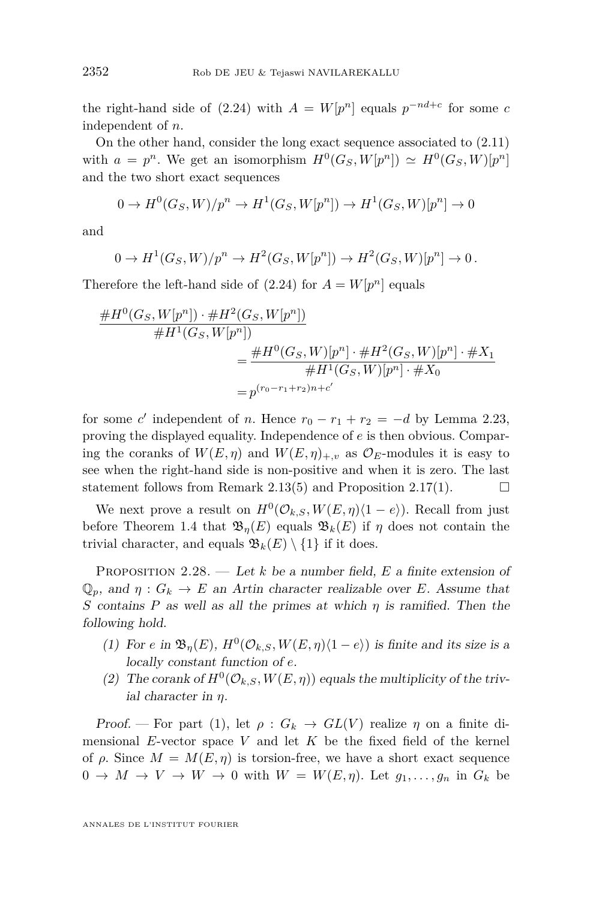<span id="page-22-0"></span>the right-hand side of  $(2.24)$  with  $A = W[p^n]$  equals  $p^{-nd+c}$  for some *c* independent of *n*.

On the other hand, consider the long exact sequence associated to [\(2.11\)](#page-14-0) with  $a = p^n$ . We get an isomorphism  $H^0(G_S, W[p^n]) \simeq H^0(G_S, W[p^n])$ and the two short exact sequences

$$
0 \to H^0(G_S, W)/p^n \to H^1(G_S, W[p^n]) \to H^1(G_S, W)[p^n] \to 0
$$

and

$$
0 \to H^1(G_S, W)/p^n \to H^2(G_S, W[p^n]) \to H^2(G_S, W)[p^n] \to 0.
$$

Therefore the left-hand side of  $(2.24)$  for  $A = W[p^n]$  equals

$$
\frac{\#H^0(G_S, W[p^n]) \cdot \#H^2(G_S, W[p^n])}{\#H^1(G_S, W[p^n])}
$$
\n
$$
= \frac{\#H^0(G_S, W)[p^n] \cdot \#H^2(G_S, W)[p^n] \cdot \#X_1}{\#H^1(G_S, W)[p^n] \cdot \#X_0}
$$
\n
$$
= p^{(r_0 - r_1 + r_2)n + c'}
$$

for some *c*' independent of *n*. Hence  $r_0 - r_1 + r_2 = -d$  by Lemma [2.23,](#page-19-0) proving the displayed equality. Independence of *e* is then obvious. Comparing the coranks of  $W(E, \eta)$  and  $W(E, \eta)_{+,v}$  as  $\mathcal{O}_E$ -modules it is easy to see when the right-hand side is non-positive and when it is zero. The last statement follows from Remark [2.13\(](#page-15-0)5) and Proposition [2.17\(](#page-17-0)1).  $\Box$ 

We next prove a result on  $H^0(\mathcal{O}_{k,S}, W(E, \eta)(1 - e))$ . Recall from just before Theorem [1.4](#page-4-0) that  $\mathfrak{B}_n(E)$  equals  $\mathfrak{B}_k(E)$  if  $\eta$  does not contain the trivial character, and equals  $\mathfrak{B}_k(E) \setminus \{1\}$  if it does.

Proposition 2.28. — Let *k* be a number field, *E* a finite extension of  $\mathbb{Q}_p$ , and  $\eta: G_k \to E$  an Artin character realizable over *E*. Assume that *S* contains *P* as well as all the primes at which *η* is ramified. Then the following hold.

- (1) For *e* in  $\mathfrak{B}_{\eta}(E)$ ,  $H^0(\mathcal{O}_{k,S}, W(E, \eta)\langle 1-e \rangle)$  is finite and its size is a locally constant function of *e*.
- (2) The corank of  $H^0(\mathcal{O}_{k,S}, W(E, \eta))$  equals the multiplicity of the trivial character in *η*.

Proof. — For part (1), let  $\rho: G_k \to GL(V)$  realize  $\eta$  on a finite dimensional *E*-vector space *V* and let *K* be the fixed field of the kernel of  $\rho$ . Since  $M = M(E, \eta)$  is torsion-free, we have a short exact sequence  $0 \to M \to V \to W \to 0$  with  $W = W(E, \eta)$ . Let  $g_1, \ldots, g_n$  in  $G_k$  be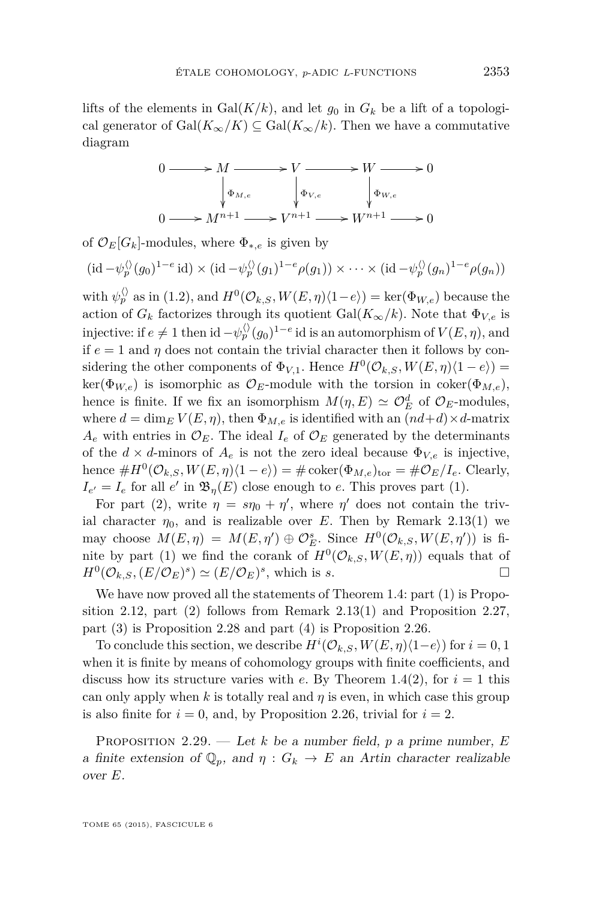<span id="page-23-0"></span>lifts of the elements in  $Gal(K/k)$ , and let  $g_0$  in  $G_k$  be a lift of a topological generator of  $Gal(K_{\infty}/K) \subseteq Gal(K_{\infty}/k)$ . Then we have a commutative diagram



of  $\mathcal{O}_E[G_k]$ -modules, where  $\Phi_{*,e}$  is given by

$$
(\mathrm{id} - \psi_p^{\langle \rangle}(g_0)^{1-e} \mathrm{id}) \times (\mathrm{id} - \psi_p^{\langle \rangle}(g_1)^{1-e}\rho(g_1)) \times \cdots \times (\mathrm{id} - \psi_p^{\langle \rangle}(g_n)^{1-e}\rho(g_n))
$$

with  $\psi_p^{\langle\rangle}$  as in [\(1.2\)](#page-3-0), and  $H^0(\mathcal{O}_{k,S}, W(E, \eta)\langle 1-e \rangle) = \text{ker}(\Phi_{W,e})$  because the action of  $G_k$  factorizes through its quotient Gal( $K_\infty/k$ ). Note that  $\Phi_{V,e}$  is injective: if  $e \neq 1$  then id  $-\psi_p^{\langle \rangle}(g_0)^{1-e}$  id is an automorphism of  $V(E, \eta),$  and if  $e = 1$  and  $\eta$  does not contain the trivial character then it follows by considering the other components of  $\Phi_{V,1}$ . Hence  $H^0(\mathcal{O}_{k,S}, W(E, \eta)(1-e)) =$  $\ker(\Phi_{W,e})$  is isomorphic as  $\mathcal{O}_E$ -module with the torsion in coker( $\Phi_{M,e}$ ), hence is finite. If we fix an isomorphism  $M(\eta, E) \simeq \mathcal{O}_E^d$  of  $\mathcal{O}_E$ -modules, where  $d = \dim_E V(E, \eta)$ , then  $\Phi_{M,e}$  is identified with an  $(nd+d) \times d$ -matrix  $A_e$  with entries in  $\mathcal{O}_E$ . The ideal  $I_e$  of  $\mathcal{O}_E$  generated by the determinants of the  $d \times d$ -minors of  $A_e$  is not the zero ideal because  $\Phi_{V,e}$  is injective, hence  $\#H^0(\mathcal{O}_{k,S}, W(E, \eta)(1-e)) = \# \text{coker}(\Phi_{M,e})_{\text{tor}} = \# \mathcal{O}_E/I_e$ . Clearly,  $I_{e'} = I_e$  for all *e'* in  $\mathfrak{B}_{\eta}(E)$  close enough to *e*. This proves part (1).

For part (2), write  $\eta = s\eta_0 + \eta'$ , where  $\eta'$  does not contain the trivial character  $\eta_0$ , and is realizable over *E*. Then by Remark [2.13\(](#page-15-0)1) we may choose  $M(E, \eta) = M(E, \eta') \oplus \mathcal{O}_E^s$ . Since  $H^0(\mathcal{O}_{k,S}, W(E, \eta'))$  is finite by part (1) we find the corank of  $H^0(\mathcal{O}_{k,S}, W(E,\eta))$  equals that of  $H^0(\mathcal{O}_{k,S}, (E/\mathcal{O}_E)^s) \simeq (E/\mathcal{O}_E)^s$ , which is *s*.

We have now proved all the statements of Theorem [1.4:](#page-4-0) part (1) is Propo-sition [2.12,](#page-14-0) part  $(2)$  follows from Remark 2.13 $(1)$  and Proposition [2.27,](#page-21-0) part (3) is Proposition [2.28](#page-22-0) and part (4) is Proposition [2.26.](#page-20-0)

To conclude this section, we describe  $H^i(\mathcal{O}_{k,S}, W(E, \eta) \langle 1-e \rangle)$  for  $i = 0, 1$ when it is finite by means of cohomology groups with finite coefficients, and discuss how its structure varies with *e*. By Theorem [1.4\(](#page-4-0)2), for  $i = 1$  this can only apply when *k* is totally real and *η* is even, in which case this group is also finite for  $i = 0$ , and, by Proposition [2.26,](#page-20-0) trivial for  $i = 2$ .

Proposition 2.29. — Let *k* be a number field, *p* a prime number, *E* a finite extension of  $\mathbb{Q}_p$ , and  $\eta : G_k \to E$  an Artin character realizable over *E*.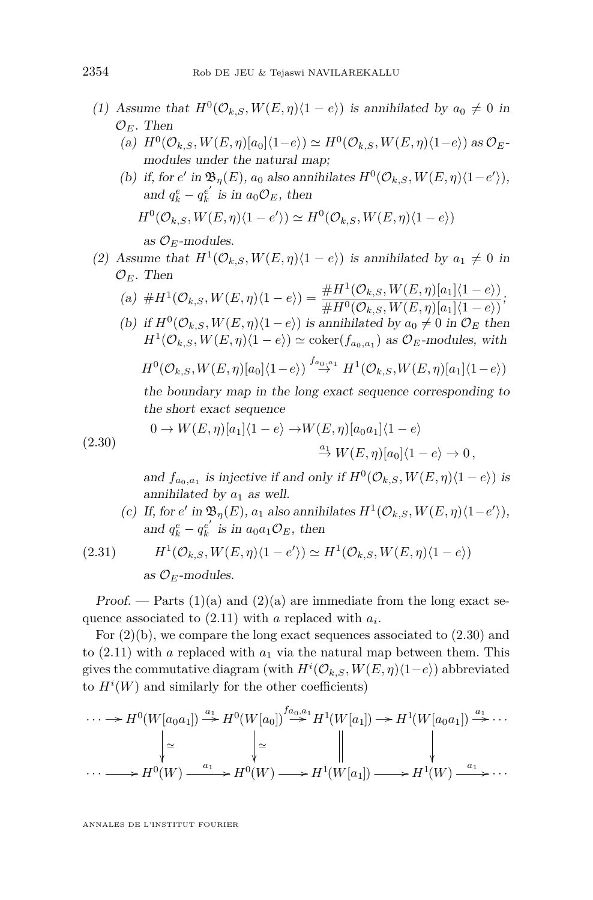- <span id="page-24-0"></span>(1) Assume that  $H^0(\mathcal{O}_{k,S}, W(E, \eta)(1-e))$  is annihilated by  $a_0 \neq 0$  in  $\mathcal{O}_E$ . Then
	- $H^0(\mathcal{O}_{k,S}, W(E, \eta)[a_0]\langle 1-e \rangle) \simeq H^0(\mathcal{O}_{k,S}, W(E, \eta)\langle 1-e \rangle)$  as  $\mathcal{O}_E$ modules under the natural map;
	- (b) if, for  $e'$  in  $\mathfrak{B}_{\eta}(E)$ ,  $a_0$  also annihilates  $H^0(\mathcal{O}_{k,S}, W(E, \eta)\langle 1-e' \rangle)$ , and  $q_k^e - q_k^{e'}$  is in  $a_0 \mathcal{O}_E$ , then  $H^0(\mathcal{O}_{k,S}, W(E, \eta)\langle 1-e'\rangle) \simeq H^0(\mathcal{O}_{k,S}, W(E, \eta)\langle 1-e\rangle)$ as  $\mathcal{O}_E$ -modules.
- (2) Assume that  $H^1(\mathcal{O}_{k,S}, W(E, \eta)(1-e))$  is annihilated by  $a_1 \neq 0$  in  $\mathcal{O}_E$ . Then

(a) 
$$
\#H^1(\mathcal{O}_{k,S}, W(E, \eta)\langle 1-e \rangle) = \frac{\#H^1(\mathcal{O}_{k,S}, W(E, \eta)[a_1]\langle 1-e \rangle)}{\#H^0(\mathcal{O}_{k,S}, W(E, \eta)[a_1]\langle 1-e \rangle)}
$$
;

(b) if  $H^0(\mathcal{O}_{k,S}, W(E, \eta)(1-e))$  is annihilated by  $a_0 \neq 0$  in  $\mathcal{O}_E$  then  $H^1(\mathcal{O}_{k,S}, W(E, \eta)\langle 1-e \rangle) \simeq \text{coker}(f_{a_0, a_1})$  as  $\mathcal{O}_E$ -modules, with

$$
H^{0}(\mathcal{O}_{k,S}, W(E,\eta)[a_0]\langle 1-e\rangle) \stackrel{f_{a_0,a_1}}{\rightarrow} H^{1}(\mathcal{O}_{k,S}, W(E,\eta)[a_1]\langle 1-e\rangle)
$$

the boundary map in the long exact sequence corresponding to the short exact sequence

(2.30) 
$$
0 \to W(E, \eta)[a_1] \langle 1 - e \rangle \to W(E, \eta)[a_0 a_1] \langle 1 - e \rangle
$$

$$
\xrightarrow{a} W(E, \eta)[a_0] \langle 1 - e \rangle \to 0,
$$

and  $f_{a_0, a_1}$  is injective if and only if  $H^0(\mathcal{O}_{k,S}, W(E, \eta)\langle 1-e \rangle)$  is annihilated by  $a_1$  as well.

(c) If, for  $e'$  in  $\mathfrak{B}_{\eta}(E)$ ,  $a_1$  also annihilates  $H^1(\mathcal{O}_{k,S}, W(E, \eta)\langle 1-e' \rangle)$ , and  $q_k^e - q_k^{e'}$  is in  $a_0 a_1 \mathcal{O}_E$ , then

(2.31) 
$$
H^1(\mathcal{O}_{k,S}, W(E,\eta)\langle 1-e'\rangle) \simeq H^1(\mathcal{O}_{k,S}, W(E,\eta)\langle 1-e\rangle)
$$

as  $\mathcal{O}_F$ -modules.

Proof. — Parts  $(1)(a)$  and  $(2)(a)$  are immediate from the long exact sequence associated to [\(2.11\)](#page-14-0) with *a* replaced with *a<sup>i</sup>* .

For  $(2)(b)$ , we compare the long exact sequences associated to  $(2.30)$  and to  $(2.11)$  with *a* replaced with  $a_1$  via the natural map between them. This gives the commutative diagram (with  $H^{i}(\mathcal{O}_{k,S}, W(E, \eta)(1-e))$  abbreviated to  $H^i(W)$  and similarly for the other coefficients)

$$
\cdots \longrightarrow H^0(W[a_0a_1]) \stackrel{a_1}{\longrightarrow} H^0(W[a_0]) \stackrel{f_{a_0,a_1}}{\longrightarrow} H^1(W[a_1]) \longrightarrow H^1(W[a_0a_1]) \stackrel{a_1}{\longrightarrow} \cdots
$$

$$
\downarrow \simeq \qquad \qquad \downarrow \simeq \qquad \qquad \downarrow
$$

$$
\cdots \longrightarrow H^0(W) \stackrel{a_1}{\longrightarrow} H^0(W) \longrightarrow H^1(W[a_1]) \longrightarrow H^1(W) \stackrel{a_1}{\longrightarrow} \cdots
$$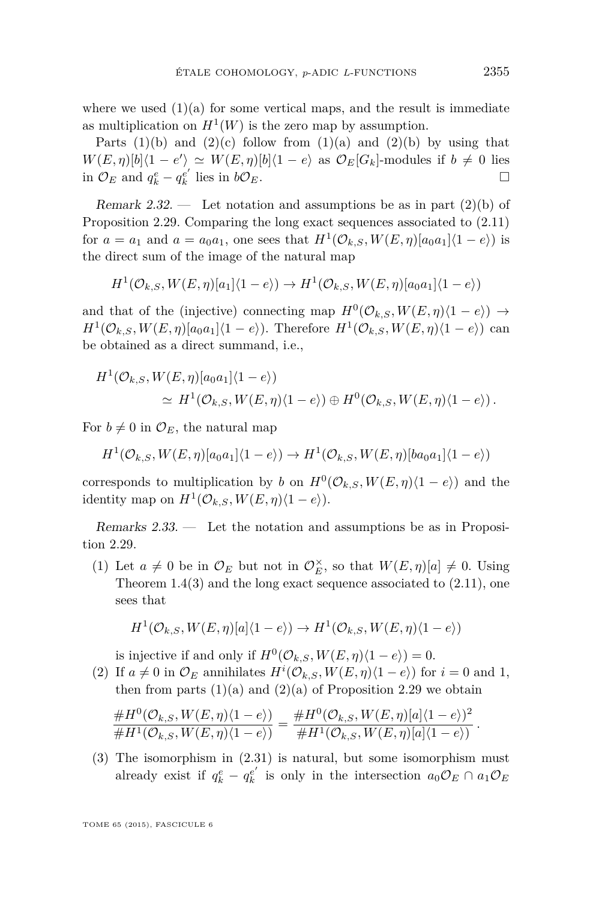<span id="page-25-0"></span>where we used  $(1)(a)$  for some vertical maps, and the result is immediate as multiplication on  $H^1(W)$  is the zero map by assumption.

Parts  $(1)(b)$  and  $(2)(c)$  follow from  $(1)(a)$  and  $(2)(b)$  by using that  $W(E, \eta)[b](1 - e') \simeq W(E, \eta)[b](1 - e)$  as  $\mathcal{O}_E[G_k]$ -modules if  $b \neq 0$  lies in  $\mathcal{O}_E$  and  $q_k^e - q_k^{e'}$  lies in  $b\mathcal{O}_E$ . □

Remark 2.32. — Let notation and assumptions be as in part  $(2)(b)$  of Proposition [2.29.](#page-23-0) Comparing the long exact sequences associated to [\(2.11\)](#page-14-0) for  $a = a_1$  and  $a = a_0a_1$ , one sees that  $H^1(\mathcal{O}_{k,S}, W(E, \eta)[a_0a_1]\langle 1-e \rangle)$  is the direct sum of the image of the natural map

$$
H^1(\mathcal{O}_{k,S}, W(E,\eta)[a_1]\langle 1-e \rangle) \to H^1(\mathcal{O}_{k,S}, W(E,\eta)[a_0a_1]\langle 1-e \rangle)
$$

and that of the (injective) connecting map  $H^0(\mathcal{O}_{k,S}, W(E, \eta)(1-e)) \rightarrow$  $H^1(\mathcal{O}_{k,S}, W(E, \eta)[a_0a_1]\langle 1-e \rangle)$ . Therefore  $H^1(\mathcal{O}_{k,S}, W(E, \eta)\langle 1-e \rangle)$  can be obtained as a direct summand, i.e.,

$$
H^1(\mathcal{O}_{k,S}, W(E,\eta)[a_0a_1]\langle 1-e\rangle)
$$
  
\n
$$
\simeq H^1(\mathcal{O}_{k,S}, W(E,\eta)\langle 1-e\rangle) \oplus H^0(\mathcal{O}_{k,S}, W(E,\eta)\langle 1-e\rangle).
$$

For  $b \neq 0$  in  $\mathcal{O}_E$ , the natural map

$$
H^1(\mathcal{O}_{k,S}, W(E,\eta)[a_0a_1]\langle 1-e\rangle) \to H^1(\mathcal{O}_{k,S}, W(E,\eta)[ba_0a_1]\langle 1-e\rangle)
$$

corresponds to multiplication by *b* on  $H^0(\mathcal{O}_{k,S}, W(E, \eta)(1-e))$  and the identity map on  $H^1(\mathcal{O}_{k,S}, W(E, \eta)\langle 1-e \rangle)$ .

Remarks 2.33. — Let the notation and assumptions be as in Proposition [2.29.](#page-23-0)

(1) Let  $a \neq 0$  be in  $\mathcal{O}_E$  but not in  $\mathcal{O}_E^{\times}$ , so that  $W(E, \eta)[a] \neq 0$ . Using Theorem  $1.4(3)$  $1.4(3)$  and the long exact sequence associated to  $(2.11)$ , one sees that

$$
H^1(\mathcal{O}_{k,S}, W(E,\eta)[a]\langle 1-e \rangle) \to H^1(\mathcal{O}_{k,S}, W(E,\eta)\langle 1-e \rangle)
$$

is injective if and only if  $H^0(\mathcal{O}_{k,S}, W(E, \eta)(1-e)) = 0.$ 

(2) If  $a \neq 0$  in  $\mathcal{O}_E$  annihilates  $H^i(\mathcal{O}_{k,S}, W(E, \eta)(1-e))$  for  $i = 0$  and 1, then from parts  $(1)(a)$  and  $(2)(a)$  of Proposition [2.29](#page-23-0) we obtain

$$
\frac{\#H^0(\mathcal{O}_{k,S}, W(E,\eta)\langle 1-e \rangle)}{\#H^1(\mathcal{O}_{k,S}, W(E,\eta)\langle 1-e \rangle)} = \frac{\#H^0(\mathcal{O}_{k,S}, W(E,\eta)[a]\langle 1-e \rangle)^2}{\#H^1(\mathcal{O}_{k,S}, W(E,\eta)[a]\langle 1-e \rangle)}.
$$

(3) The isomorphism in [\(2.31\)](#page-24-0) is natural, but some isomorphism must already exist if  $q_k^e - q_k^{e'}$  is only in the intersection  $a_0 \mathcal{O}_E \cap a_1 \mathcal{O}_E$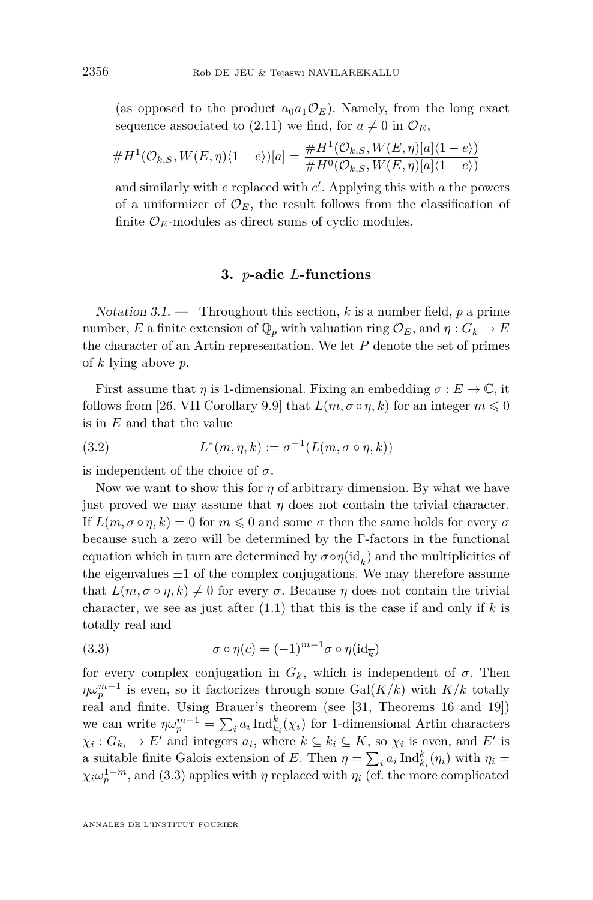<span id="page-26-0"></span>(as opposed to the product  $a_0a_1\mathcal{O}_E$ ). Namely, from the long exact sequence associated to [\(2.11\)](#page-14-0) we find, for  $a \neq 0$  in  $\mathcal{O}_E$ ,

$$
\#H^1(\mathcal{O}_{k,S}, W(E,\eta)\langle 1-e \rangle)[a] = \frac{\#H^1(\mathcal{O}_{k,S}, W(E,\eta)[a]\langle 1-e \rangle)}{\#H^0(\mathcal{O}_{k,S}, W(E,\eta)[a]\langle 1-e \rangle)}
$$

and similarly with *e* replaced with *e'*. Applying this with *a* the powers of a uniformizer of  $\mathcal{O}_E$ , the result follows from the classification of finite  $\mathcal{O}_E$ -modules as direct sums of cyclic modules.

#### **3.** *p***-adic** *L***-functions**

Notation 3.1. — Throughout this section, *k* is a number field, *p* a prime number, *E* a finite extension of  $\mathbb{Q}_p$  with valuation ring  $\mathcal{O}_E$ , and  $\eta: G_k \to E$ the character of an Artin representation. We let *P* denote the set of primes of *k* lying above *p*.

First assume that *η* is 1-dimensional. Fixing an embedding  $\sigma : E \to \mathbb{C}$ , it follows from [\[26,](#page-52-0) VII Corollary 9.9] that  $L(m, \sigma \circ \eta, k)$  for an integer  $m \leq 0$ is in *E* and that the value

(3.2) 
$$
L^*(m,\eta,k) := \sigma^{-1}(L(m,\sigma \circ \eta,k))
$$

is independent of the choice of  $\sigma$ .

Now we want to show this for  $\eta$  of arbitrary dimension. By what we have just proved we may assume that  $\eta$  does not contain the trivial character. If  $L(m, \sigma \circ \eta, k) = 0$  for  $m \leq 0$  and some  $\sigma$  then the same holds for every  $\sigma$ because such a zero will be determined by the Γ-factors in the functional equation which in turn are determined by  $\sigma \circ \eta(\mathrm{id}_{\overline{k}})$  and the multiplicities of the eigenvalues  $\pm 1$  of the complex conjugations. We may therefore assume that  $L(m, \sigma \circ \eta, k) \neq 0$  for every  $\sigma$ . Because  $\eta$  does not contain the trivial character, we see as just after [\(1.1\)](#page-2-0) that this is the case if and only if *k* is totally real and

(3.3) 
$$
\sigma \circ \eta(c) = (-1)^{m-1} \sigma \circ \eta(\mathrm{id}_{\overline{k}})
$$

for every complex conjugation in  $G_k$ , which is independent of  $\sigma$ . Then  $\eta \omega_p^{m-1}$  is even, so it factorizes through some  $Gal(K/k)$  with  $K/k$  totally real and finite. Using Brauer's theorem (see [\[31,](#page-52-0) Theorems 16 and 19]) we can write  $\eta \omega_p^{m-1} = \sum_i a_i \operatorname{Ind}_{k_i}^k(\chi_i)$  for 1-dimensional Artin characters  $\chi_i: G_{k_i} \to E'$  and integers  $a_i$ , where  $k \subseteq k_i \subseteq K$ , so  $\chi_i$  is even, and  $E'$  is a suitable finite Galois extension of *E*. Then  $\eta = \sum_i a_i \operatorname{Ind}_{k_i}^k(\eta_i)$  with  $\eta_i =$  $\chi_i \omega_p^{1-m}$ , and (3.3) applies with *η* replaced with *η*<sub>*i*</sub> (cf. the more complicated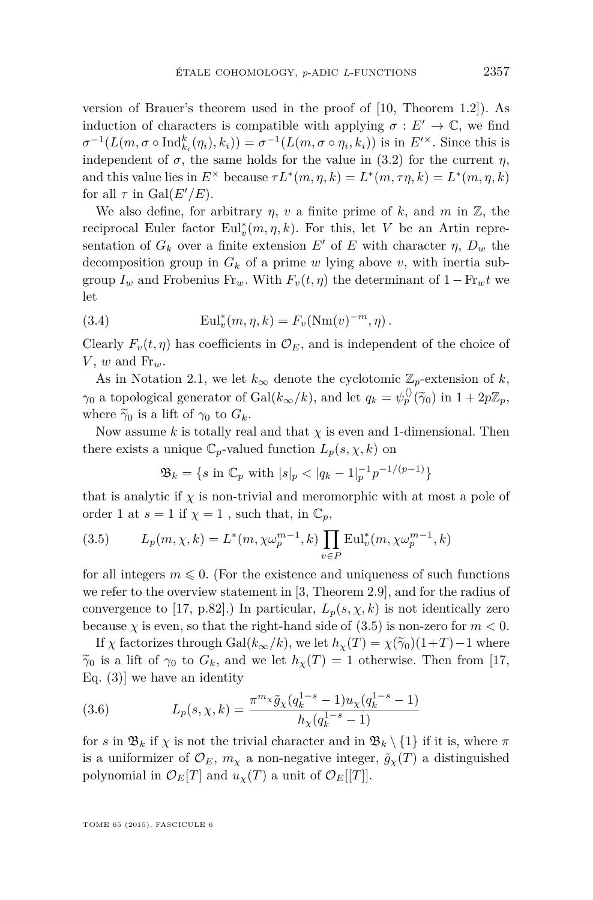<span id="page-27-0"></span>version of Brauer's theorem used in the proof of [\[10,](#page-51-0) Theorem 1.2]). As induction of characters is compatible with applying  $\sigma : E' \to \mathbb{C}$ , we find  $\sigma^{-1}(L(m, \sigma \circ \text{Ind}_{k_i}^k(\eta_i), k_i)) = \sigma^{-1}(L(m, \sigma \circ \eta_i, k_i))$  is in  $E^{\prime \times}$ . Since this is independent of  $\sigma$ , the same holds for the value in [\(3.2\)](#page-26-0) for the current *η*, and this value lies in  $E^{\times}$  because  $\tau L^*(m, \eta, k) = L^*(m, \tau\eta, k) = L^*(m, \eta, k)$ for all  $\tau$  in Gal( $E'/E$ ).

We also define, for arbitrary  $\eta$ ,  $\nu$  a finite prime of  $k$ , and  $m$  in  $\mathbb{Z}$ , the reciprocal Euler factor  $\text{Eul}_v^*(m, \eta, k)$ . For this, let *V* be an Artin representation of  $G_k$  over a finite extension  $E'$  of  $E$  with character  $\eta$ ,  $D_w$  the decomposition group in  $G_k$  of a prime  $w$  lying above  $v$ , with inertia subgroup  $I_w$  and Frobenius Fr<sub>w</sub>. With  $F_v(t, \eta)$  the determinant of  $1 - Fr_w t$  we let

(3.4) 
$$
\mathrm{Eul}_v^*(m, \eta, k) = F_v(\mathrm{Nm}(v)^{-m}, \eta).
$$

Clearly  $F_v(t, \eta)$  has coefficients in  $\mathcal{O}_E$ , and is independent of the choice of  $V, w$  and  $\text{Fr}_w$ .

As in Notation [2.1,](#page-10-0) we let  $k_{\infty}$  denote the cyclotomic  $\mathbb{Z}_p$ -extension of  $k$ , *γ*<sub>0</sub> a topological generator of Gal( $k_{\infty}/k$ ), and let  $q_k = \psi_p^{\langle \rangle}(\tilde{\gamma}_0)$  in  $1 + 2p\mathbb{Z}_p$ , where  $\widetilde{\gamma}_0$  is a lift of  $\gamma_0$  to  $G_k$ .

Now assume  $k$  is totally real and that  $\chi$  is even and 1-dimensional. Then there exists a unique  $\mathbb{C}_p$ -valued function  $L_p(s, \chi, k)$  on

$$
\mathfrak{B}_k = \{ s \text{ in } \mathbb{C}_p \text{ with } |s|_p < |q_k - 1|_p^{-1} p^{-1/(p-1)} \}
$$

that is analytic if  $\chi$  is non-trivial and meromorphic with at most a pole of order 1 at  $s = 1$  if  $\chi = 1$ , such that, in  $\mathbb{C}_p$ ,

(3.5) 
$$
L_p(m, \chi, k) = L^*(m, \chi \omega_p^{m-1}, k) \prod_{v \in P} \text{Eul}_v^*(m, \chi \omega_p^{m-1}, k)
$$

for all integers  $m \leq 0$ . (For the existence and uniqueness of such functions we refer to the overview statement in [\[3,](#page-51-0) Theorem 2.9], and for the radius of convergence to [\[17,](#page-52-0) p.82].) In particular,  $L_p(s, \chi, k)$  is not identically zero because  $\chi$  is even, so that the right-hand side of  $(3.5)$  is non-zero for  $m < 0$ .

If *χ* factorizes through Gal( $k_{\infty}/k$ ), we let  $h_{\chi}(T) = \chi(\tilde{\gamma}_0)(1+T) - 1$  where  $\widetilde{\gamma}_0$  is a lift of  $\gamma_0$  to  $G_k$ , and we let  $h_\chi(T) = 1$  otherwise. Then from [\[17,](#page-52-0) Eq.  $(3)$ ] we have an identity

(3.6) 
$$
L_p(s, \chi, k) = \frac{\pi^{m_{\chi}} \tilde{g}_{\chi}(q_k^{1-s} - 1) u_{\chi}(q_k^{1-s} - 1)}{h_{\chi}(q_k^{1-s} - 1)}
$$

for *s* in  $\mathfrak{B}_k$  if  $\chi$  is not the trivial character and in  $\mathfrak{B}_k \setminus \{1\}$  if it is, where  $\pi$ is a uniformizer of  $\mathcal{O}_E$ ,  $m_\chi$  a non-negative integer,  $\tilde{g}_\chi(T)$  a distinguished polynomial in  $\mathcal{O}_E[T]$  and  $u_\chi(T)$  a unit of  $\mathcal{O}_E[[T]]$ .

TOME 65 (2015), FASCICULE 6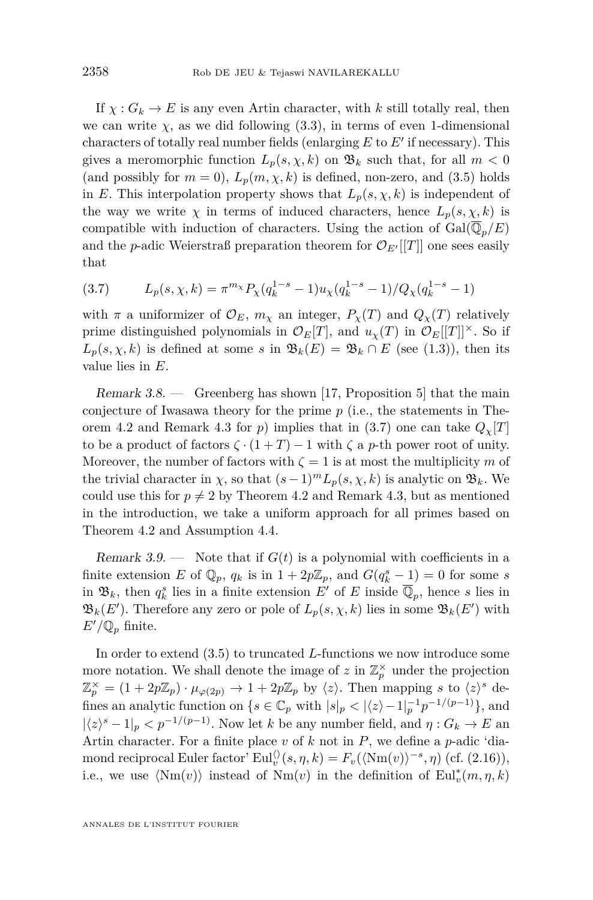<span id="page-28-0"></span>If  $\chi: G_k \to E$  is any even Artin character, with *k* still totally real, then we can write  $\chi$ , as we did following [\(3.3\)](#page-26-0), in terms of even 1-dimensional characters of totally real number fields (enlarging  $E$  to  $E'$  if necessary). This gives a meromorphic function  $L_p(s, \chi, k)$  on  $\mathfrak{B}_k$  such that, for all  $m < 0$ (and possibly for  $m = 0$ ),  $L_p(m, \chi, k)$  is defined, non-zero, and [\(3.5\)](#page-27-0) holds in *E*. This interpolation property shows that  $L_p(s, \chi, k)$  is independent of the way we write  $\chi$  in terms of induced characters, hence  $L_p(s, \chi, k)$  is compatible with induction of characters. Using the action of  $Gal(\overline{\mathbb{Q}}_n/E)$ and the *p*-adic Weierstraß preparation theorem for  $\mathcal{O}_{E'}[[T]]$  one sees easily that

(3.7) 
$$
L_p(s, \chi, k) = \pi^{m_{\chi}} P_{\chi}(q_k^{1-s} - 1) u_{\chi}(q_k^{1-s} - 1) / Q_{\chi}(q_k^{1-s} - 1)
$$

with  $\pi$  a uniformizer of  $\mathcal{O}_E$ ,  $m_\chi$  an integer,  $P_\chi(T)$  and  $Q_\chi(T)$  relatively prime distinguished polynomials in  $\mathcal{O}_E[T]$ , and  $u_\chi(T)$  in  $\mathcal{O}_E[T]|^\times$ . So if  $L_p(s, \chi, k)$  is defined at some *s* in  $\mathfrak{B}_k(E) = \mathfrak{B}_k \cap E$  (see [\(1.3\)](#page-3-0)), then its value lies in *E*.

Remark  $3.8.$  — Greenberg has shown [\[17,](#page-52-0) Proposition 5] that the main conjecture of Iwasawa theory for the prime *p* (i.e., the statements in The-orem [4.2](#page-31-0) and Remark [4.3](#page-31-0) for *p*) implies that in (3.7) one can take  $Q_\gamma[T]$ to be a product of factors  $\zeta \cdot (1+T) - 1$  with  $\zeta$  a *p*-th power root of unity. Moreover, the number of factors with  $\zeta = 1$  is at most the multiplicity *m* of the trivial character in  $\chi$ , so that  $(s-1)^m L_p(s, \chi, k)$  is analytic on  $\mathfrak{B}_k$ . We could use this for  $p \neq 2$  by Theorem [4.2](#page-31-0) and Remark [4.3,](#page-31-0) but as mentioned in the introduction, we take a uniform approach for all primes based on Theorem [4.2](#page-31-0) and Assumption [4.4.](#page-31-0)

Remark 3.9. — Note that if  $G(t)$  is a polynomial with coefficients in a finite extension *E* of  $\mathbb{Q}_p$ ,  $q_k$  is in  $1 + 2p\mathbb{Z}_p$ , and  $G(q_k^s - 1) = 0$  for some *s* in  $\mathfrak{B}_k$ , then  $q_k^s$  lies in a finite extension  $E'$  of  $E$  inside  $\overline{\mathbb{Q}}_p$ , hence *s* lies in  $\mathfrak{B}_k(E')$ . Therefore any zero or pole of  $L_p(s, \chi, k)$  lies in some  $\mathfrak{B}_k(E')$  with  $E'/\mathbb{Q}_p$  finite.

In order to extend [\(3.5\)](#page-27-0) to truncated *L*-functions we now introduce some more notation. We shall denote the image of  $z$  in  $\mathbb{Z}_p^{\times}$  under the projection  $\mathbb{Z}_p^{\times} = (1 + 2p\mathbb{Z}_p) \cdot \mu_{\varphi(2p)} \to 1 + 2p\mathbb{Z}_p$  by  $\langle z \rangle$ . Then mapping *s* to  $\langle z \rangle^s$  defines an analytic function on  $\{s \in \mathbb{C}_p \text{ with } |s|_p < |\langle z \rangle - 1|_p^{-1}p^{-1/(p-1)}\},\$ and  $|\langle z \rangle^s - 1|_p < p^{-1/(p-1)}$ . Now let *k* be any number field, and  $\eta: G_k \to E$  and Artin character. For a finite place *v* of *k* not in *P*, we define a *p*-adic 'diamond reciprocal Euler factor'  $\text{Eul}_v^{\langle\rangle}(s, \eta, k) = F_v(\langle \text{Nm}(v) \rangle^{-s}, \eta)$  (cf. [\(2.16\)](#page-17-0)), i.e., we use  $\langle Nm(v) \rangle$  instead of  $Nm(v)$  in the definition of  $Eul_v^*(m, \eta, k)$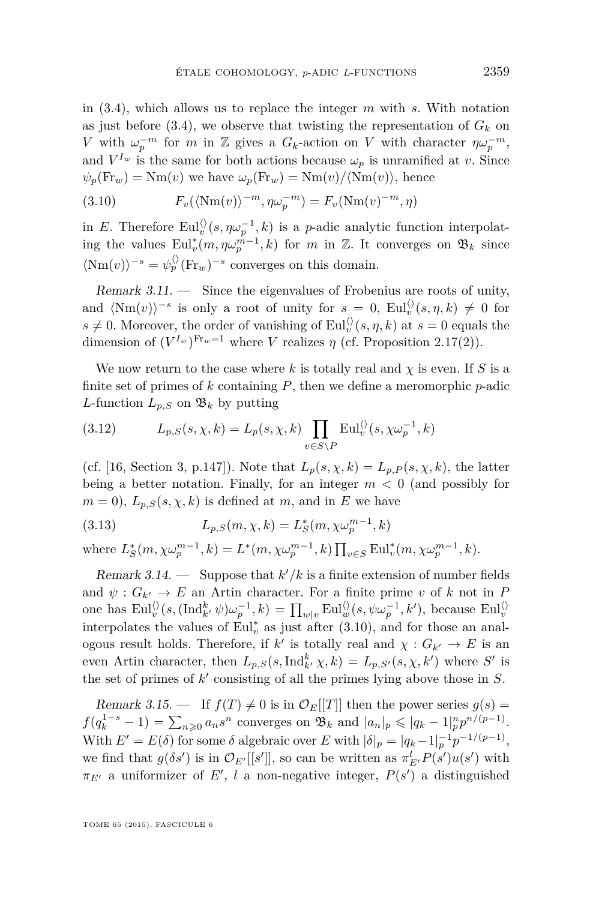<span id="page-29-0"></span>in [\(3.4\)](#page-27-0), which allows us to replace the integer *m* with *s*. With notation as just before [\(3.4\)](#page-27-0), we observe that twisting the representation of  $G_k$  on *V* with  $\omega_p^{-m}$  for *m* in Z gives a  $G_k$ -action on *V* with character  $\eta \omega_p^{-m}$ , and  $V^{I_w}$  is the same for both actions because  $\omega_p$  is unramified at *v*. Since  $\psi_p(\text{Fr}_w) = \text{Nm}(v)$  we have  $\omega_p(\text{Fr}_w) = \text{Nm}(v)/\langle \text{Nm}(v) \rangle$ , hence

(3.10) 
$$
F_v(\langle \text{Nm}(v) \rangle^{-m}, \eta \omega_p^{-m}) = F_v(\text{Nm}(v)^{-m}, \eta)
$$

in *E*. Therefore  $\text{Eul}_v^{\langle\rangle}(s, \eta \omega_p^{-1}, k)$  is a *p*-adic analytic function interpolating the values  $\text{Eul}_v^*(m, \eta \omega_p^{m-1}, k)$  for *m* in Z. It converges on  $\mathfrak{B}_k$  since  $\langle Nm(v) \rangle^{-s} = \psi_p^{\langle \rangle}(\text{Fr}_w)^{-s}$  converges on this domain.

Remark 3.11. — Since the eigenvalues of Frobenius are roots of unity, and  $\langle Nm(v)\rangle$ <sup>-*s*</sup> is only a root of unity for  $s = 0$ ,  $Eul_v^{\langle\rangle}(s, \eta, k) \neq 0$  for  $s \neq 0$ . Moreover, the order of vanishing of Eul $_v^{\langle \rangle}(s, \eta, k)$  at  $s = 0$  equals the dimension of  $(V^{I_w})^{\text{Fr}_w=1}$  where *V* realizes  $\eta$  (cf. Proposition [2.17\(](#page-17-0)2)).

We now return to the case where  $k$  is totally real and  $\chi$  is even. If  $S$  is a finite set of primes of *k* containing *P*, then we define a meromorphic *p*-adic *L*-function  $L_{p,S}$  on  $\mathfrak{B}_k$  by putting

(3.12) 
$$
L_{p,S}(s,\chi,k) = L_p(s,\chi,k) \prod_{v \in S \backslash P} \text{Eul}_v^{\langle \rangle}(s,\chi \omega_p^{-1},k)
$$

(cf. [\[16,](#page-52-0) Section 3, p.147]). Note that  $L_p(s, \chi, k) = L_{p,P}(s, \chi, k)$ , the latter being a better notation. Finally, for an integer  $m < 0$  (and possibly for  $m = 0$ ,  $L_{p,S}(s, \chi, k)$  is defined at *m*, and in *E* we have

(3.13) 
$$
L_{p,S}(m,\chi,k) = L_S^*(m,\chi \omega_p^{m-1},k)
$$

where  $L_S^*(m, \chi \omega_p^{m-1}, k) = L^*(m, \chi \omega_p^{m-1}, k) \prod_{v \in S} \text{Eul}_v^*(m, \chi \omega_p^{m-1}, k)$ .

Remark 3.14.  $\sim$  Suppose that  $k'/k$  is a finite extension of number fields and  $\psi: G_{k'} \to E$  an Artin character. For a finite prime *v* of *k* not in *P* one has  $\text{Eul}_v^{\langle\rangle}(s, (\text{Ind}_{k'}^k \psi)\omega_p^{-1}, k) = \prod_{w|v} \text{Eul}_w^{\langle\rangle}(s, \psi \omega_p^{-1}, k'),$  because  $\text{Eul}_v^{\langle\rangle}$ interpolates the values of  $\text{Eul}_v^*$  as just after (3.10), and for those an analogous result holds. Therefore, if  $k'$  is totally real and  $\chi: G_{k'} \to E$  is an even Artin character, then  $L_{p,S}(s, \text{Ind}_{k}^{k} \chi, k) = L_{p,S'}(s, \chi, k')$  where S' is the set of primes of  $k'$  consisting of all the primes lying above those in  $S$ .

Remark 3.15.  $\blacksquare$  If  $f(T) \neq 0$  is in  $\mathcal{O}_E[[T]]$  then the power series  $g(s)$  $f(q_k^{1-s} - 1) = \sum_{n \geq 0} a_n s^n$  converges on  $\mathfrak{B}_k$  and  $|a_n|_p \leq |q_k - 1|_p^n p^{n/(p-1)}$ . With  $E' = E(\delta)$  for some  $\delta$  algebraic over  $E$  with  $|\delta|_p = |q_k - 1|_p^{-1} p^{-1/(p-1)}$ , we find that  $g(\delta s')$  is in  $\mathcal{O}_{E'}[[s']]$ , so can be written as  $\pi_{E'}^l P(s')u(s')$  with  $\pi_{E'}$  a uniformizer of *E*', *l* a non-negative integer,  $P(s')$  a distinguished

TOME 65 (2015), FASCICULE 6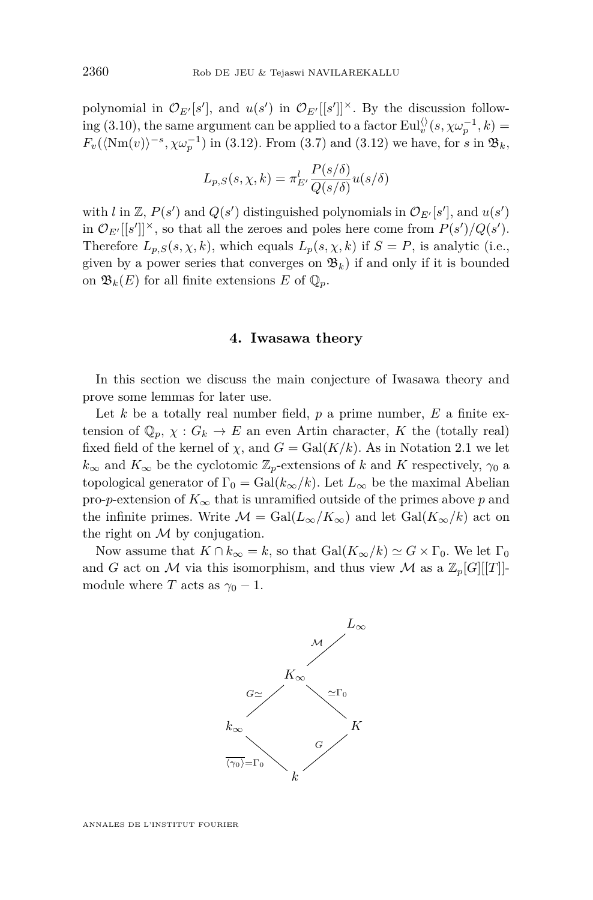<span id="page-30-0"></span>polynomial in  $\mathcal{O}_{E'}[s']$ , and  $u(s')$  in  $\mathcal{O}_{E'}[[s']]^{\times}$ . By the discussion follow- $\lim_{\omega \to 0} (3.10)$  $\lim_{\omega \to 0} (3.10)$ , the same argument can be applied to a factor  $\text{Eul}_v^{\langle \rangle}(s, \chi \omega_p^{-1}, k) =$  $F_v(\langle \text{Nm}(v) \rangle^{-s}, \chi \omega_p^{-1})$  in [\(3.12\)](#page-29-0). From [\(3.7\)](#page-28-0) and (3.12) we have, for *s* in  $\mathfrak{B}_k$ ,

$$
L_{p,S}(s,\chi,k) = \pi_{E'}^l \frac{P(s/\delta)}{Q(s/\delta)} u(s/\delta)
$$

with *l* in  $\mathbb{Z}, P(s')$  and  $Q(s')$  distinguished polynomials in  $\mathcal{O}_{E'}[s']$ , and  $u(s')$ in  $\mathcal{O}_{E'}[[s']]^{\times}$ , so that all the zeroes and poles here come from  $P(s')/Q(s')$ . Therefore  $L_{p,S}(s, \chi, k)$ , which equals  $L_p(s, \chi, k)$  if  $S = P$ , is analytic (i.e., given by a power series that converges on  $\mathfrak{B}_k$ ) if and only if it is bounded on  $\mathfrak{B}_k(E)$  for all finite extensions E of  $\mathbb{Q}_p$ .

#### **4. Iwasawa theory**

In this section we discuss the main conjecture of Iwasawa theory and prove some lemmas for later use.

Let  $k$  be a totally real number field,  $p$  a prime number,  $E$  a finite extension of  $\mathbb{Q}_p$ ,  $\chi: G_k \to E$  an even Artin character, *K* the (totally real) fixed field of the kernel of  $\chi$ , and  $G = \text{Gal}(K/k)$ . As in Notation [2.1](#page-10-0) we let  $k_{\infty}$  and  $K_{\infty}$  be the cyclotomic  $\mathbb{Z}_p$ -extensions of *k* and *K* respectively,  $\gamma_0$  a topological generator of  $\Gamma_0 = \text{Gal}(k_\infty/k)$ . Let  $L_\infty$  be the maximal Abelian pro-*p*-extension of  $K_{\infty}$  that is unramified outside of the primes above *p* and the infinite primes. Write  $\mathcal{M} = \text{Gal}(L_{\infty}/K_{\infty})$  and let  $\text{Gal}(K_{\infty}/k)$  act on the right on  $M$  by conjugation.

Now assume that  $K \cap k_{\infty} = k$ , so that  $Gal(K_{\infty}/k) \simeq G \times \Gamma_0$ . We let  $\Gamma_0$ and *G* act on *M* via this isomorphism, and thus view *M* as a  $\mathbb{Z}_p[G][[T]]$ module where *T* acts as  $\gamma_0 - 1$ .



ANNALES DE L'INSTITUT FOURIER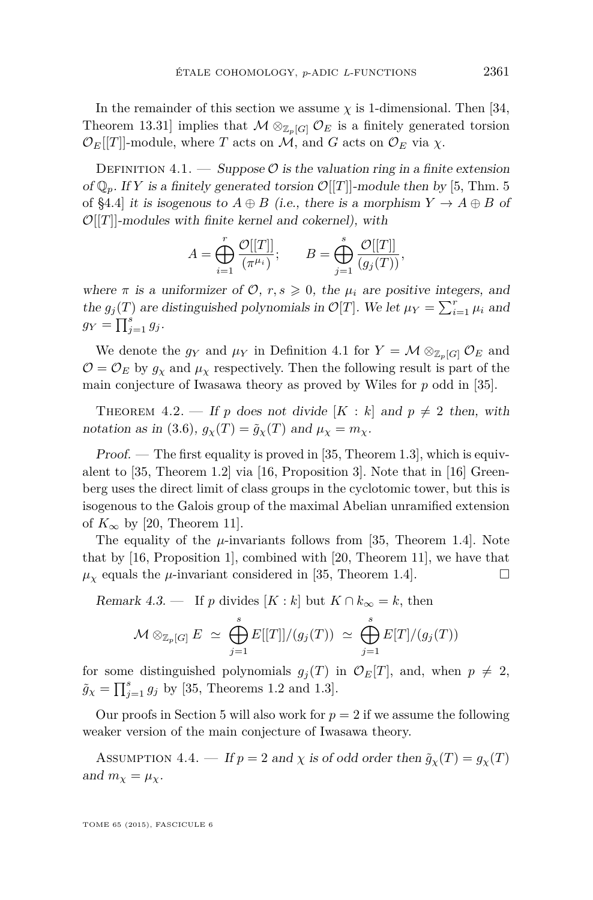<span id="page-31-0"></span>In the remainder of this section we assume  $\chi$  is 1-dimensional. Then [\[34,](#page-53-0) Theorem 13.31] implies that  $\mathcal{M} \otimes_{\mathbb{Z}_p[G]} \mathcal{O}_E$  is a finitely generated torsion  $\mathcal{O}_E[[T]]$ -module, where *T* acts on *M*, and *G* acts on  $\mathcal{O}_E$  via *χ*.

DEFINITION 4.1. — Suppose  $\mathcal{O}$  is the valuation ring in a finite extension of  $\mathbb{Q}_p$ . If *Y* is a finitely generated torsion  $\mathcal{O}[[T]]$ -module then by [\[5,](#page-51-0) Thm. 5] of §4.4] it is isogenous to  $A \oplus B$  (i.e., there is a morphism  $Y \to A \oplus B$  of  $\mathcal{O}[[T]]$ -modules with finite kernel and cokernel), with

$$
A = \bigoplus_{i=1}^r \frac{\mathcal{O}[[T]]}{(\pi^{\mu_i})}; \qquad B = \bigoplus_{j=1}^s \frac{\mathcal{O}[[T]]}{(g_j(T))},
$$

where  $\pi$  is a uniformizer of  $\mathcal{O}, r, s \geq 0$ , the  $\mu_i$  are positive integers, and the  $g_j(T)$  are distinguished polynomials in  $\mathcal{O}[T]$ . We let  $\mu_Y = \sum_{i=1}^r \mu_i$  and  $g_Y = \prod_{j=1}^s g_j$ .

We denote the  $g_Y$  and  $\mu_Y$  in Definition 4.1 for  $Y = \mathcal{M} \otimes_{\mathbb{Z}_p[G]} \mathcal{O}_E$  and  $\mathcal{O} = \mathcal{O}_E$  by  $g_\chi$  and  $\mu_\chi$  respectively. Then the following result is part of the main conjecture of Iwasawa theory as proved by Wiles for *p* odd in [\[35\]](#page-53-0).

THEOREM 4.2. — If p does not divide  $[K : k]$  and  $p \neq 2$  then, with notation as in [\(3.6\)](#page-27-0),  $g_\chi(T) = \tilde{g}_\chi(T)$  and  $\mu_\chi = m_\chi$ .

 $Proof.$  — The first equality is proved in [\[35,](#page-53-0) Theorem 1.3], which is equivalent to [\[35,](#page-53-0) Theorem 1.2] via [\[16,](#page-52-0) Proposition 3]. Note that in [\[16\]](#page-52-0) Greenberg uses the direct limit of class groups in the cyclotomic tower, but this is isogenous to the Galois group of the maximal Abelian unramified extension of  $K_{\infty}$  by [\[20,](#page-52-0) Theorem 11].

The equality of the  $\mu$ -invariants follows from [\[35,](#page-53-0) Theorem 1.4]. Note that by [\[16,](#page-52-0) Proposition 1], combined with [\[20,](#page-52-0) Theorem 11], we have that  $\mu_{\chi}$  equals the  $\mu$ -invariant considered in [\[35,](#page-53-0) Theorem 1.4].

Remark 4.3. — If p divides  $[K : k]$  but  $K \cap k_{\infty} = k$ , then

$$
\mathcal{M} \otimes_{\mathbb{Z}_p[G]} E \simeq \bigoplus_{j=1}^s E[[T]]/(g_j(T)) \simeq \bigoplus_{j=1}^s E[T]/(g_j(T))
$$

for some distinguished polynomials  $g_j(T)$  in  $\mathcal{O}_E[T]$ , and, when  $p \neq 2$ ,  $\tilde{g}_{\chi} = \prod_{j=1}^{s} g_j$  by [\[35,](#page-53-0) Theorems 1.2 and 1.3].

Our proofs in Section [5](#page-33-0) will also work for  $p = 2$  if we assume the following weaker version of the main conjecture of Iwasawa theory.

ASSUMPTION 4.4. — If  $p = 2$  and  $\chi$  is of odd order then  $\tilde{g}_{\chi}(T) = g_{\chi}(T)$ and  $m_\chi = \mu_\chi$ .

TOME 65 (2015), FASCICULE 6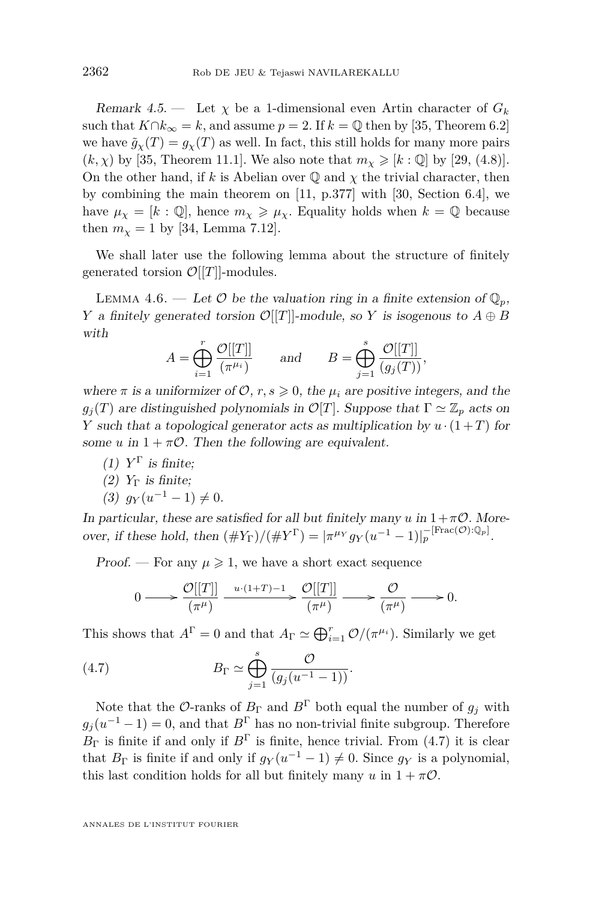<span id="page-32-0"></span>Remark 4.5.  $\longrightarrow$  Let  $\chi$  be a 1-dimensional even Artin character of  $G_k$ such that  $K \cap k_{\infty} = k$ , and assume  $p = 2$ . If  $k = \mathbb{Q}$  then by [\[35,](#page-53-0) Theorem 6.2] we have  $\tilde{g}_{\chi}(T) = g_{\chi}(T)$  as well. In fact, this still holds for many more pairs  $(k, \chi)$  by [\[35,](#page-53-0) Theorem 11.1]. We also note that  $m_\chi \geq k$ : Q] by [\[29,](#page-52-0) (4.8)]. On the other hand, if *k* is Abelian over  $\mathbb Q$  and  $\chi$  the trivial character, then by combining the main theorem on [\[11,](#page-52-0) p.377] with [\[30,](#page-52-0) Section 6.4], we have  $\mu_{\chi} = [k : \mathbb{Q}]$ , hence  $m_{\chi} \geq \mu_{\chi}$ . Equality holds when  $k = \mathbb{Q}$  because then  $m_{\chi} = 1$  by [\[34,](#page-53-0) Lemma 7.12].

We shall later use the following lemma about the structure of finitely generated torsion  $\mathcal{O}[[T]]$ -modules.

LEMMA 4.6. — Let  $\mathcal O$  be the valuation ring in a finite extension of  $\mathbb Q_p$ , *Y* a finitely generated torsion  $\mathcal{O}[[T]]$ -module, so *Y* is isogenous to  $A \oplus B$ with

$$
A = \bigoplus_{i=1}^{r} \frac{\mathcal{O}[[T]]}{(\pi^{\mu_i})} \quad \text{and} \quad B = \bigoplus_{j=1}^{s} \frac{\mathcal{O}[[T]]}{(g_j(T))},
$$

where  $\pi$  is a uniformizer of  $\mathcal{O}, r, s \geq 0$ , the  $\mu_i$  are positive integers, and the  $g_j(T)$  are distinguished polynomials in  $\mathcal{O}[T]$ . Suppose that  $\Gamma \simeq \mathbb{Z}_p$  acts on *Y* such that a topological generator acts as multiplication by  $u \cdot (1+T)$  for some *u* in  $1 + \pi \mathcal{O}$ . Then the following are equivalent.

- $(1)$   $Y^{\Gamma}$  is finite;
- (2)  $Y_{\Gamma}$  is finite;

$$
(3) \t g_Y(u^{-1} - 1) \neq 0.
$$

In particular, these are satisfied for all but finitely many  $u$  in  $1+\pi\mathcal{O}$ . Moreover, if these hold, then  $(\#Y_{\Gamma})/(\#Y^{\Gamma}) = |\pi^{\mu_Y} g_Y(u^{-1} - 1)|_p^{-[\text{Frac}(\mathcal{O}) : \mathbb{Q}_p]}$ .

Proof. — For any  $\mu \geq 1$ , we have a short exact sequence

$$
0 \longrightarrow \frac{\mathcal{O}[[T]]}{(\pi^{\mu})} \xrightarrow{u \cdot (1+T)-1} \frac{\mathcal{O}[[T]]}{(\pi^{\mu})} \longrightarrow \frac{\mathcal{O}}{(\pi^{\mu})} \longrightarrow 0.
$$

This shows that  $A^{\Gamma} = 0$  and that  $A_{\Gamma} \simeq \bigoplus_{i=1}^{r} \mathcal{O}/(\pi^{\mu_i})$ . Similarly we get

(4.7) 
$$
B_{\Gamma} \simeq \bigoplus_{j=1}^{s} \frac{\mathcal{O}}{(g_j(u^{-1}-1))}.
$$

Note that the  $\mathcal{O}\text{-}\text{ranks}$  of  $B_{\Gamma}$  and  $B^{\Gamma}$  both equal the number of  $g_j$  with  $g_j(u^{-1}-1) = 0$ , and that  $B^{\Gamma}$  has no non-trivial finite subgroup. Therefore  $B_{\Gamma}$  is finite if and only if  $B^{\Gamma}$  is finite, hence trivial. From (4.7) it is clear that  $B_{\Gamma}$  is finite if and only if  $g_Y(u^{-1} - 1) \neq 0$ . Since  $g_Y$  is a polynomial, this last condition holds for all but finitely many  $u$  in  $1 + \pi \mathcal{O}$ .

ANNALES DE L'INSTITUT FOURIER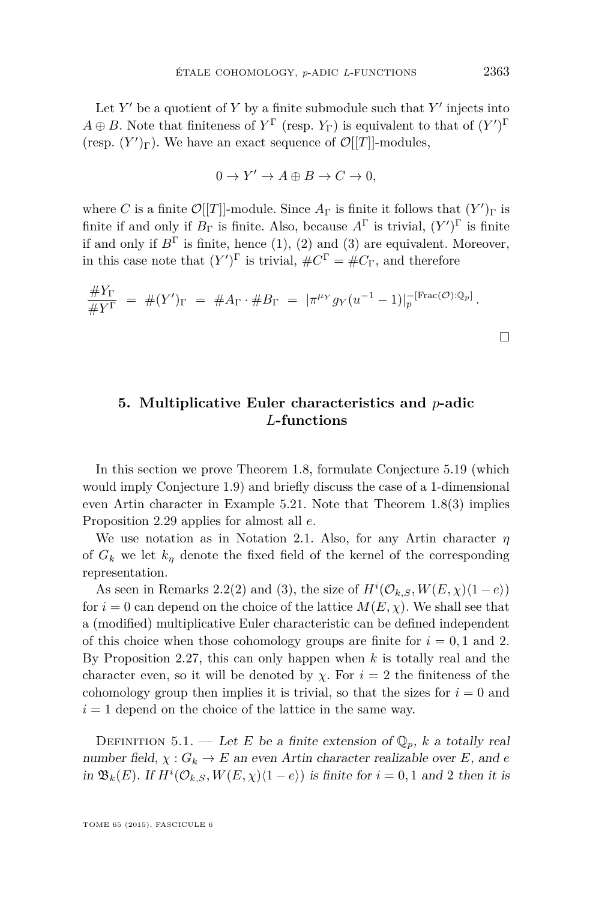<span id="page-33-0"></span>Let  $Y'$  be a quotient of  $Y$  by a finite submodule such that  $Y'$  injects into  $A \oplus B$ . Note that finiteness of  $Y^{\Gamma}$  (resp.  $Y_{\Gamma}$ ) is equivalent to that of  $(Y')^{\Gamma}$ (resp.  $(Y')$ <sub> $\Gamma$ </sub>). We have an exact sequence of  $\mathcal{O}[[T]]$ -modules,

$$
0 \to Y' \to A \oplus B \to C \to 0,
$$

where *C* is a finite  $\mathcal{O}[[T]]$ -module. Since  $A_{\Gamma}$  is finite it follows that  $(Y')_{\Gamma}$  is finite if and only if  $B_{\Gamma}$  is finite. Also, because  $A^{\Gamma}$  is trivial,  $(Y')^{\Gamma}$  is finite if and only if  $B^{\Gamma}$  is finite, hence (1), (2) and (3) are equivalent. Moreover, in this case note that  $(Y')^{\Gamma}$  is trivial,  $\#C^{\Gamma} = \#C_{\Gamma}$ , and therefore

$$
\frac{\#Y_{\Gamma}}{\#Y^{\Gamma}} = \#(Y')_{\Gamma} = \#A_{\Gamma} \cdot \#B_{\Gamma} = |\pi^{\mu_Y} g_Y(u^{-1} - 1)|_p^{-[\text{Frac}(\mathcal{O}) : \mathbb{Q}_p]}.
$$

**5. Multiplicative Euler characteristics and** *p***-adic** *L***-functions**

In this section we prove Theorem [1.8,](#page-7-0) formulate Conjecture [5.19](#page-44-0) (which would imply Conjecture [1.9\)](#page-8-0) and briefly discuss the case of a 1-dimensional even Artin character in Example [5.21.](#page-45-0) Note that Theorem [1.8\(](#page-7-0)3) implies Proposition [2.29](#page-23-0) applies for almost all *e*.

We use notation as in Notation [2.1.](#page-10-0) Also, for any Artin character *η* of  $G_k$  we let  $k_n$  denote the fixed field of the kernel of the corresponding representation.

As seen in Remarks [2.2\(](#page-11-0)2) and (3), the size of  $H^{i}(\mathcal{O}_{k,S}, W(E, \chi)(1-e))$ for  $i = 0$  can depend on the choice of the lattice  $M(E, \chi)$ . We shall see that a (modified) multiplicative Euler characteristic can be defined independent of this choice when those cohomology groups are finite for  $i = 0, 1$  and 2. By Proposition [2.27,](#page-21-0) this can only happen when *k* is totally real and the character even, so it will be denoted by  $\chi$ . For  $i = 2$  the finiteness of the cohomology group then implies it is trivial, so that the sizes for  $i = 0$  and  $i = 1$  depend on the choice of the lattice in the same way.

DEFINITION 5.1. — Let *E* be a finite extension of  $\mathbb{Q}_p$ , *k* a totally real number field,  $\chi: G_k \to E$  an even Artin character realizable over *E*, and *e* in  $\mathfrak{B}_k(E)$ . If  $H^i(\mathcal{O}_{k,S}, W(E,\chi)\langle 1-e \rangle)$  is finite for  $i = 0, 1$  and 2 then it is

TOME 65 (2015), FASCICULE 6

 $\Box$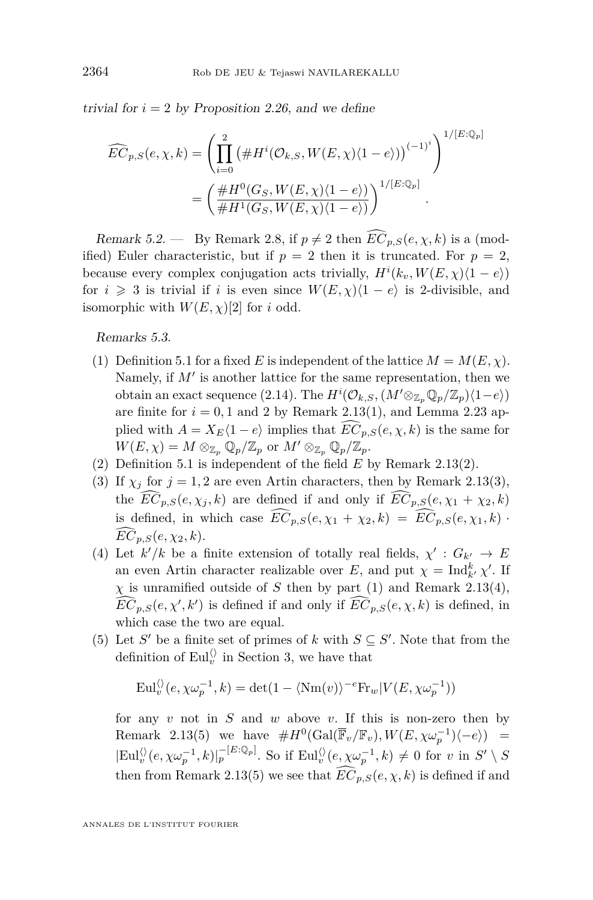<span id="page-34-0"></span>trivial for  $i = 2$  by Proposition [2.26,](#page-20-0) and we define

$$
\widehat{EC}_{p,S}(e,\chi,k) = \left(\prod_{i=0}^{2} \left(\#H^{i}(\mathcal{O}_{k,S},W(E,\chi)\langle 1-e\rangle)\right)^{(-1)^{i}}\right)^{1/[E:\mathbb{Q}_{p}]}
$$

$$
= \left(\frac{\#H^{0}(G_{S},W(E,\chi)\langle 1-e\rangle)}{\#H^{1}(G_{S},W(E,\chi)\langle 1-e\rangle)}\right)^{1/[E:\mathbb{Q}_{p}]}.
$$

Remark 5.2. — By Remark [2.8,](#page-13-0) if  $p \neq 2$  then  $\widehat{EC}_{p,S}(e,\chi,k)$  is a (modified) Euler characteristic, but if  $p = 2$  then it is truncated. For  $p = 2$ , because every complex conjugation acts trivially,  $H^i(k_v, W(E, \chi)(1 - e))$ for  $i \geq 3$  is trivial if *i* is even since  $W(E, \chi)(1 - e)$  is 2-divisible, and isomorphic with  $W(E, \chi)[2]$  for *i* odd.

Remarks 5.3.

- (1) Definition [5.1](#page-33-0) for a fixed *E* is independent of the lattice  $M = M(E, \chi)$ . Namely, if  $M'$  is another lattice for the same representation, then we obtain an exact sequence [\(2.14\)](#page-15-0). The  $H^{i}(\mathcal{O}_{k,S}, (M' \otimes_{\mathbb{Z}_p} \mathbb{Q}_p/\mathbb{Z}_p)(1-e))$ are finite for  $i = 0, 1$  and 2 by Remark [2.13\(](#page-15-0)1), and Lemma [2.23](#page-19-0) applied with  $A = X_E(1 - e)$  implies that  $\widehat{EC}_{p,S}(e, \chi, k)$  is the same for  $W(E, \chi) = M \otimes_{\mathbb{Z}_p} \mathbb{Q}_p/\mathbb{Z}_p$  or  $M' \otimes_{\mathbb{Z}_p} \mathbb{Q}_p/\mathbb{Z}_p$ .
- (2) Definition [5.1](#page-33-0) is independent of the field *E* by Remark [2.13\(](#page-15-0)2).
- (3) If  $\chi_j$  for  $j = 1, 2$  are even Artin characters, then by Remark [2.13\(](#page-15-0)3), the  $\widehat{EC}_{p,S}(e,\chi_i,k)$  are defined if and only if  $\widehat{EC}_{p,S}(e,\chi_1+\chi_2,k)$ is defined, in which case  $\widehat{EC}_{p,S}(e, \chi_1 + \chi_2, k) = \widehat{EC}_{p,S}(e, \chi_1, k)$ .  $\widehat{EC}_{p,S}(e, \chi_2, k).$
- (4) Let  $k'/k$  be a finite extension of totally real fields,  $\chi' : G_{k'} \to E$ an even Artin character realizable over *E*, and put  $\chi = \text{Ind}_{k}^{k} \chi'$ . If  $\chi$  is unramified outside of *S* then by part (1) and Remark [2.13\(](#page-15-0)4),  $\widehat{EC}_{p,S}(e,\chi',k')$  is defined if and only if  $\widehat{EC}_{p,S}(e,\chi,k)$  is defined, in which case the two are equal.
- (5) Let *S'* be a finite set of primes of *k* with  $S \subseteq S'$ . Note that from the definition of  $\text{Eul}_v^{\langle\rangle}$  in Section [3,](#page-26-0) we have that

$$
\mathrm{Eul}_{v}^{\langle\rangle}(e,\chi\omega_{p}^{-1},k)=\det(1-\langle\mathrm{Nm}(v)\rangle^{-e}\mathrm{Fr}_{w}|V(E,\chi\omega_{p}^{-1}))
$$

for any *v* not in *S* and *w* above *v*. If this is non-zero then by Remark [2.13\(](#page-15-0)5) we have  $#H^0(\text{Gal}(\overline{\mathbb{F}}_v/\mathbb{F}_v), W(E, \chi \omega_p^{-1})\langle -e \rangle) =$  $|\text{Eul}_v^{\langle\rangle}(e, \chi \omega_p^{-1}, k)|_p^{-[E:\mathbb{Q}_p]}$ . So if  $\text{Eul}_v^{\langle\rangle}(e, \chi \omega_p^{-1}, k) \neq 0$  for *v* in  $S' \setminus S$ then from Remark [2.13\(](#page-15-0)5) we see that  $\widehat{EC}_{p,S}(e,\chi,k)$  is defined if and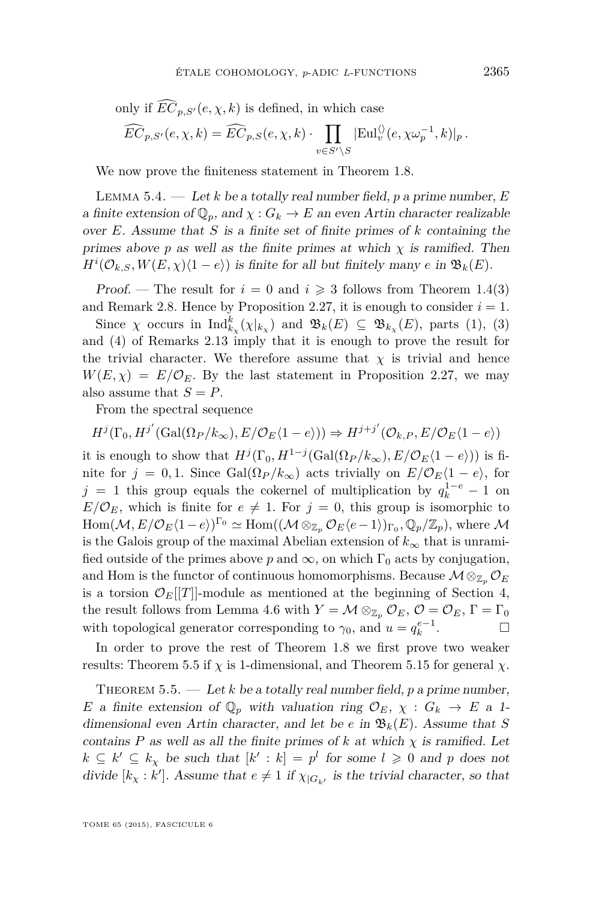<span id="page-35-0"></span>only if 
$$
\widehat{EC}_{p,S'}(e,\chi,k)
$$
 is defined, in which case  
\n
$$
\widehat{EC}_{p,S'}(e,\chi,k) = \widehat{EC}_{p,S}(e,\chi,k) \cdot \prod_{v \in S' \backslash S} |\text{Eul}_v^{\langle\rangle}(e,\chi \omega_p^{-1},k)|_p.
$$

We now prove the finiteness statement in Theorem [1.8.](#page-7-0)

Lemma 5.4. — Let *k* be a totally real number field, *p* a prime number, *E* a finite extension of  $\mathbb{Q}_p$ , and  $\chi : G_k \to E$  an even Artin character realizable over *E*. Assume that *S* is a finite set of finite primes of *k* containing the primes above *p* as well as the finite primes at which  $\chi$  is ramified. Then  $H^{i}(\mathcal{O}_{k,S}, W(E, \chi)(1-e))$  is finite for all but finitely many *e* in  $\mathfrak{B}_{k}(E)$ .

*Proof.* — The result for  $i = 0$  and  $i \geq 3$  follows from Theorem [1.4\(](#page-4-0)3) and Remark [2.8.](#page-13-0) Hence by Proposition [2.27,](#page-21-0) it is enough to consider  $i = 1$ .

Since  $\chi$  occurs in  $\text{Ind}_{k_\chi}^k(\chi|_{k_\chi})$  and  $\mathfrak{B}_k(E) \subseteq \mathfrak{B}_{k_\chi}(E)$ , parts (1), (3) and (4) of Remarks [2.13](#page-15-0) imply that it is enough to prove the result for the trivial character. We therefore assume that  $\chi$  is trivial and hence  $W(E, \chi) = E/\mathcal{O}_E$ . By the last statement in Proposition [2.27,](#page-21-0) we may also assume that  $S = P$ .

From the spectral sequence

$$
H^j(\Gamma_0, H^{j'}(\text{Gal}(\Omega_P/k_\infty), E/\mathcal{O}_E\langle 1-e \rangle)) \Rightarrow H^{j+j'}(\mathcal{O}_{k,P}, E/\mathcal{O}_E\langle 1-e \rangle)
$$

it is enough to show that  $H^j(\Gamma_0, H^{1-j}(\text{Gal}(\Omega_P/k_\infty), E/\mathcal{O}_E\langle 1-e\rangle))$  is finite for  $j = 0, 1$ . Since Gal $(\Omega_P / k_\infty)$  acts trivially on  $E/\mathcal{O}_E\langle 1 - e \rangle$ , for *j* = 1 this group equals the cokernel of multiplication by  $q_k^{1-e} - 1$  on  $E/\mathcal{O}_E$ , which is finite for  $e \neq 1$ . For  $j = 0$ , this group is isomorphic to  $\text{Hom}(\mathcal{M}, E/\mathcal{O}_E\langle 1-e \rangle)^\Gamma$ <sup>0</sup>  $\simeq \text{Hom}((\mathcal{M} \otimes_{\mathbb{Z}_p} \mathcal{O}_E\langle e-1 \rangle)_{\Gamma_0}, \mathbb{Q}_p/\mathbb{Z}_p)$ , where  $\mathcal{M}$ is the Galois group of the maximal Abelian extension of  $k_{\infty}$  that is unramified outside of the primes above p and  $\infty$ , on which  $\Gamma_0$  acts by conjugation, and Hom is the functor of continuous homomorphisms. Because  $\mathcal{M} \otimes_{\mathbb{Z}_p} \mathcal{O}_E$ is a torsion  $\mathcal{O}_E[[T]]$ -module as mentioned at the beginning of Section [4,](#page-30-0) the result follows from Lemma [4.6](#page-32-0) with  $Y = M \otimes_{\mathbb{Z}_p} \mathcal{O}_E$ ,  $\mathcal{O} = \mathcal{O}_E$ ,  $\Gamma = \Gamma_0$ with topological generator corresponding to  $\gamma_0$ , and  $u = q_k^{e-1}$ . — П

In order to prove the rest of Theorem [1.8](#page-7-0) we first prove two weaker results: Theorem 5.5 if  $\chi$  is 1-dimensional, and Theorem [5.15](#page-40-0) for general  $\chi$ .

THEOREM 5.5.  $-$  Let *k* be a totally real number field, *p* a prime number, *E* a finite extension of  $\mathbb{Q}_p$  with valuation ring  $\mathcal{O}_E$ ,  $\chi : G_k \to E$  a 1dimensional even Artin character, and let be *e* in  $\mathfrak{B}_k(E)$ . Assume that *S* contains *P* as well as all the finite primes of  $k$  at which  $\chi$  is ramified. Let  $k \subseteq k' \subseteq k_\chi$  be such that  $[k': k] = p^l$  for some  $l \geq 0$  and *p* does not divide  $[k_\chi : k']$ . Assume that  $e \neq 1$  if  $\chi_{|G_{k'}}$  is the trivial character, so that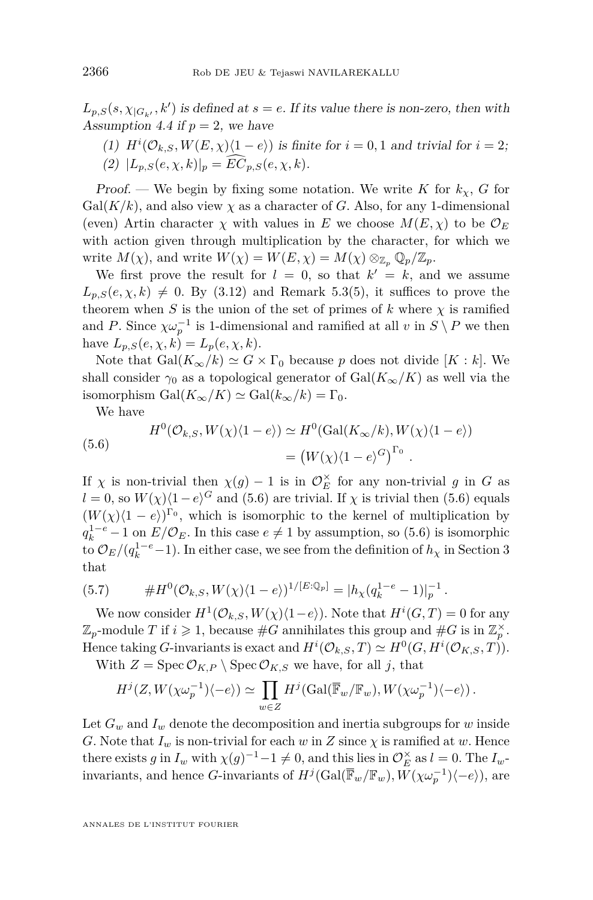<span id="page-36-0"></span> $L_{p,S}(s, \chi_{|G_{k'}}, k')$  is defined at  $s = e$ . If its value there is non-zero, then with Assumption [4.4](#page-31-0) if  $p = 2$ , we have

(1)  $H^{i}(\mathcal{O}_{k,S}, W(E,\chi)\langle 1-e \rangle)$  is finite for  $i = 0,1$  and trivial for  $i = 2;$ (2)  $|L_{p,S}(e, \chi, k)|_p = \widehat{EC}_{p,S}(e, \chi, k).$ 

Proof. — We begin by fixing some notation. We write *K* for  $k_\chi$ , *G* for  $Gal(K/k)$ , and also view  $\chi$  as a character of *G*. Also, for any 1-dimensional (even) Artin character  $\chi$  with values in *E* we choose  $M(E, \chi)$  to be  $\mathcal{O}_E$ with action given through multiplication by the character, for which we write  $M(\chi)$ , and write  $W(\chi) = W(E, \chi) = M(\chi) \otimes_{\mathbb{Z}_p} \mathbb{Q}_p / \mathbb{Z}_p$ .

We first prove the result for  $l = 0$ , so that  $k' = k$ , and we assume  $L_{p,S}(e,\chi,k) \neq 0$ . By [\(3.12\)](#page-29-0) and Remark [5.3\(](#page-34-0)5), it suffices to prove the theorem when *S* is the union of the set of primes of *k* where  $\chi$  is ramified and *P*. Since  $\chi \omega_p^{-1}$  is 1-dimensional and ramified at all *v* in  $S \setminus P$  we then have  $L_{p,S}(e, \chi, k) = L_p(e, \chi, k)$ .

Note that  $Gal(K_{\infty}/k) \simeq G \times \Gamma_0$  because p does not divide [K : k]. We shall consider  $\gamma_0$  as a topological generator of  $Gal(K_{\infty}/K)$  as well via the isomorphism  $Gal(K_{\infty}/K) \simeq Gal(k_{\infty}/k) = \Gamma_0$ .

We have

(5.6) 
$$
H^{0}(\mathcal{O}_{k,S}, W(\chi)\langle 1-e \rangle) \simeq H^{0}(\text{Gal}(K_{\infty}/k), W(\chi)\langle 1-e \rangle)
$$

$$
= (W(\chi)\langle 1-e \rangle^{G})^{\Gamma_{0}}.
$$

If  $\chi$  is non-trivial then  $\chi(g) - 1$  is in  $\mathcal{O}_E^{\times}$  for any non-trivial *g* in *G* as  $l = 0$ , so  $W(\chi)\langle 1-e \rangle^G$  and (5.6) are trivial. If  $\chi$  is trivial then (5.6) equals  $(W(\chi)(1-e))^{\Gamma_0}$ , which is isomorphic to the kernel of multiplication by  $q_k^{1-e} - 1$  on  $E/\mathcal{O}_E$ . In this case  $e \neq 1$  by assumption, so (5.6) is isomorphic to  $\mathcal{O}_E/(q_k^{1-e}-1)$ . In either case, we see from the definition of  $h_\chi$  in Section [3](#page-26-0) that

(5.7) 
$$
\#H^{0}(\mathcal{O}_{k,S}, W(\chi)\langle 1-e \rangle)^{1/[E:\mathbb{Q}_{p}]} = |h_{\chi}(q_{k}^{1-e}-1)|_{p}^{-1}.
$$

We now consider  $H^1(\mathcal{O}_{k,S}, W(\chi)(1-e))$ . Note that  $H^i(G,T) = 0$  for any  $\mathbb{Z}_p$ -module *T* if  $i \geq 1$ , because  $\#G$  annihilates this group and  $\#G$  is in  $\mathbb{Z}_p^{\times}$ . Hence taking *G*-invariants is exact and  $H^{i}(\mathcal{O}_{k,S},T) \simeq H^{0}(G, H^{i}(\mathcal{O}_{K,S},T)).$ 

With  $Z = \text{Spec } \mathcal{O}_{K,P} \setminus \text{Spec } \mathcal{O}_{K,S}$  we have, for all *j*, that

$$
H^j(Z, W(\chi \omega_p^{-1})\langle -e \rangle) \simeq \prod_{w \in Z} H^j(\text{Gal}(\overline{\mathbb{F}}_w/\mathbb{F}_w), W(\chi \omega_p^{-1})\langle -e \rangle).
$$

Let  $G_w$  and  $I_w$  denote the decomposition and inertia subgroups for *w* inside *G*. Note that  $I_w$  is non-trivial for each *w* in *Z* since  $\chi$  is ramified at *w*. Hence there exists *g* in  $I_w$  with  $\chi(g)^{-1} - 1 \neq 0$ , and this lies in  $\mathcal{O}_E^{\times}$  as  $l = 0$ . The  $I_w$ invariants, and hence *G*-invariants of  $H^j(\text{Gal}(\overline{\mathbb{F}}_w/\mathbb{F}_w), W(\chi \omega_p^{-1})\langle -e \rangle)$ , are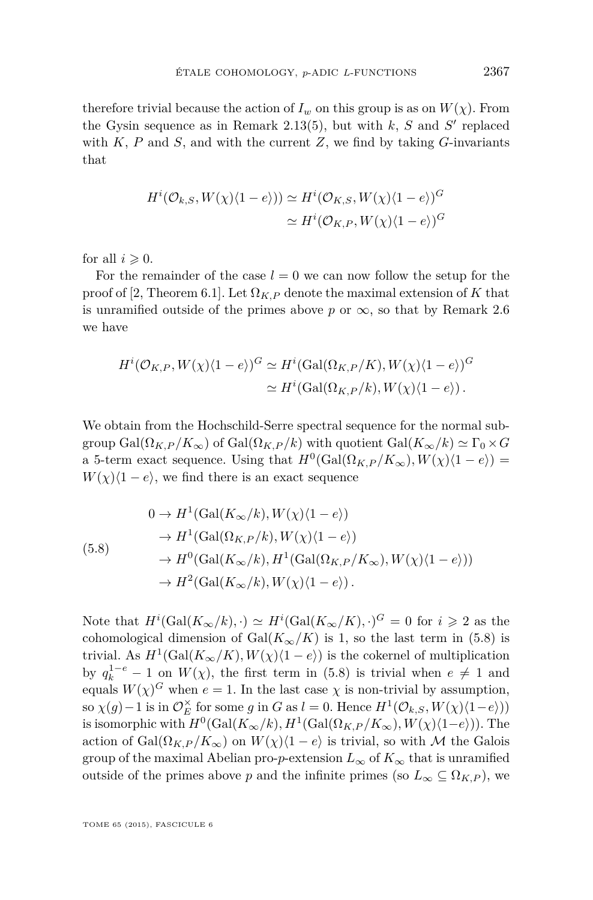<span id="page-37-0"></span>therefore trivial because the action of  $I_w$  on this group is as on  $W(\chi)$ . From the Gysin sequence as in Remark [2.13\(](#page-15-0)5), but with  $k$ ,  $S$  and  $S'$  replaced with  $K$ ,  $P$  and  $S$ , and with the current  $Z$ , we find by taking  $G$ -invariants that

$$
H^{i}(\mathcal{O}_{k,S}, W(\chi)\langle 1-e \rangle)) \simeq H^{i}(\mathcal{O}_{K,S}, W(\chi)\langle 1-e \rangle)^{G}
$$

$$
\simeq H^{i}(\mathcal{O}_{K,P}, W(\chi)\langle 1-e \rangle)^{G}
$$

for all  $i \geqslant 0$ .

For the remainder of the case  $l = 0$  we can now follow the setup for the proof of [\[2,](#page-51-0) Theorem 6.1]. Let  $\Omega_{K,P}$  denote the maximal extension of K that is unramified outside of the primes above  $p$  or  $\infty$ , so that by Remark [2.6](#page-12-0) we have

$$
H^{i}(\mathcal{O}_{K,P}, W(\chi)\langle 1-e \rangle)^{G} \simeq H^{i}(\text{Gal}(\Omega_{K,P}/K), W(\chi)\langle 1-e \rangle)^{G}
$$
  

$$
\simeq H^{i}(\text{Gal}(\Omega_{K,P}/k), W(\chi)\langle 1-e \rangle).
$$

We obtain from the Hochschild-Serre spectral sequence for the normal subgroup Gal( $\Omega_{K,P}/K_{\infty}$ ) of Gal( $\Omega_{K,P}/k$ ) with quotient Gal( $K_{\infty}/k$ )  $\simeq \Gamma_0 \times G$ a 5-term exact sequence. Using that  $H^0(\text{Gal}(\Omega_{K,P}/K_\infty), W(\chi)(1-e))$  =  $W(\chi)(1 - e)$ , we find there is an exact sequence

$$
\begin{aligned}\n0 &\rightarrow H^1(\text{Gal}(K_{\infty}/k), W(\chi)\langle 1-e \rangle) \\
&\rightarrow H^1(\text{Gal}(\Omega_{K,P}/k), W(\chi)\langle 1-e \rangle) \\
&\rightarrow H^0(\text{Gal}(K_{\infty}/k), H^1(\text{Gal}(\Omega_{K,P}/K_{\infty}), W(\chi)\langle 1-e \rangle)) \\
&\rightarrow H^2(\text{Gal}(K_{\infty}/k), W(\chi)\langle 1-e \rangle).\n\end{aligned}
$$

Note that  $H^i(\text{Gal}(K_\infty/k), \cdot) \simeq H^i(\text{Gal}(K_\infty/K), \cdot)^G = 0$  for  $i \geq 2$  as the cohomological dimension of Gal( $K_{\infty}/K$ ) is 1, so the last term in (5.8) is trivial. As  $H^1(\text{Gal}(K_\infty/K), W(\chi)(1-e))$  is the cokernel of multiplication by  $q_k^{1-e} - 1$  on  $W(\chi)$ , the first term in (5.8) is trivial when  $e \neq 1$  and equals  $W(\chi)^G$  when  $e = 1$ . In the last case  $\chi$  is non-trivial by assumption, so  $\chi(g) - 1$  is in  $\mathcal{O}_E^{\times}$  for some *g* in *G* as *l* = 0. Hence  $H^1(\mathcal{O}_{k,S}, W(\chi)(1-e))$ is isomorphic with  $H^0(\text{Gal}(K_\infty/k), H^1(\text{Gal}(\Omega_{K,P}/K_\infty), W(\chi)(1-e)))$ . The action of Gal $(\Omega_{K,P}/K_{\infty})$  on  $W(\chi)(1-e)$  is trivial, so with M the Galois group of the maximal Abelian pro-*p*-extension  $L_{\infty}$  of  $K_{\infty}$  that is unramified outside of the primes above *p* and the infinite primes (so  $L_{\infty} \subseteq \Omega_{K,P}$ ), we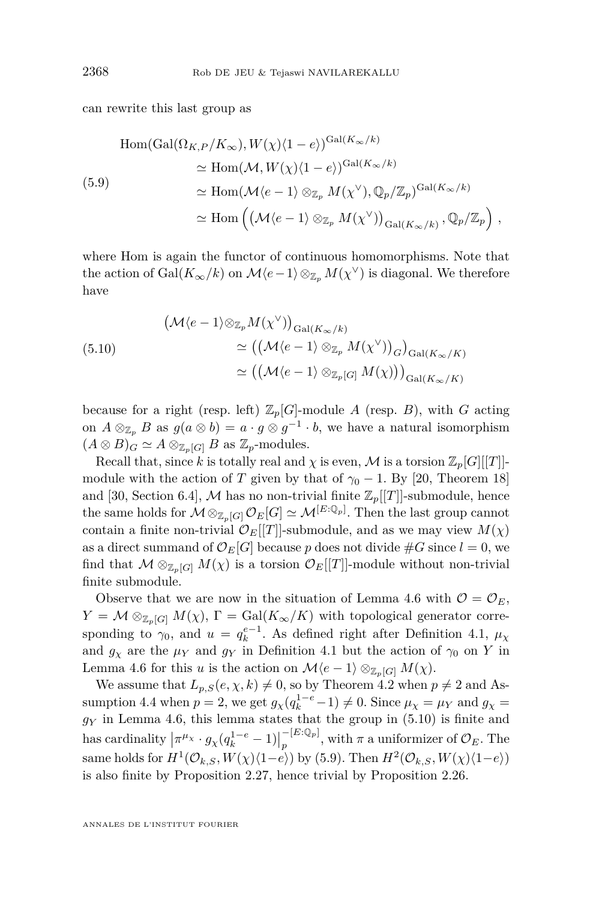<span id="page-38-0"></span>can rewrite this last group as

$$
\text{Hom}(\text{Gal}(\Omega_{K,P}/K_{\infty}), W(\chi)(1-e))^{\text{Gal}(K_{\infty}/k)}
$$
\n
$$
\simeq \text{Hom}(\mathcal{M}, W(\chi)(1-e))^{\text{Gal}(K_{\infty}/k)}
$$
\n
$$
\simeq \text{Hom}(\mathcal{M}\langle e-1\rangle \otimes_{\mathbb{Z}_p} M(\chi^{\vee}), \mathbb{Q}_p/\mathbb{Z}_p)^{\text{Gal}(K_{\infty}/k)}
$$
\n
$$
\simeq \text{Hom}\left(\left(\mathcal{M}\langle e-1\rangle \otimes_{\mathbb{Z}_p} M(\chi^{\vee})\right)_{\text{Gal}(K_{\infty}/k)}, \mathbb{Q}_p/\mathbb{Z}_p\right),
$$

where Hom is again the functor of continuous homomorphisms. Note that the action of  $Gal(K_{\infty}/k)$  on  $\mathcal{M}\langle e-1\rangle\otimes_{\mathbb{Z}_p} M(\chi^{\vee})$  is diagonal. We therefore have

(5.10)  
\n
$$
(\mathcal{M}\langle e-1\rangle \otimes_{\mathbb{Z}_p} M(\chi^{\vee}))_{\text{Gal}(K_{\infty}/k)}
$$
\n
$$
\simeq ((\mathcal{M}\langle e-1\rangle \otimes_{\mathbb{Z}_p} M(\chi^{\vee}))_G)_{\text{Gal}(K_{\infty}/K)}
$$
\n
$$
\simeq ((\mathcal{M}\langle e-1\rangle \otimes_{\mathbb{Z}_p[G]} M(\chi)))_{\text{Gal}(K_{\infty}/K)}
$$

because for a right (resp. left)  $\mathbb{Z}_p[G]$ -module *A* (resp. *B*), with *G* acting on  $A \otimes_{\mathbb{Z}_p} B$  as  $g(a \otimes b) = a \cdot g \otimes g^{-1} \cdot b$ , we have a natural isomorphism  $(A \otimes B)_G \simeq A \otimes_{\mathbb{Z}_p[G]} B$  as  $\mathbb{Z}_p$ -modules.

Recall that, since k is totally real and  $\chi$  is even, M is a torsion  $\mathbb{Z}_p[G][[T]]$ module with the action of *T* given by that of  $\gamma_0 - 1$ . By [\[20,](#page-52-0) Theorem 18] and [\[30,](#page-52-0) Section 6.4], M has no non-trivial finite  $\mathbb{Z}_p[[T]]$ -submodule, hence the same holds for  $\mathcal{M} \otimes_{\mathbb{Z}_p[G]} \mathcal{O}_E[G] \simeq \mathcal{M}^{[E:\mathbb{Q}_p]}$ . Then the last group cannot contain a finite non-trivial  $\mathcal{O}_E[[T]]$ -submodule, and as we may view  $M(\chi)$ as a direct summand of  $\mathcal{O}_E[G]$  because p does not divide  $\#G$  since  $l = 0$ , we find that  $\mathcal{M} \otimes_{\mathbb{Z}_p[G]} M(\chi)$  is a torsion  $\mathcal{O}_E[[T]]$ -module without non-trivial finite submodule.

Observe that we are now in the situation of Lemma [4.6](#page-32-0) with  $\mathcal{O} = \mathcal{O}_E$ ,  $Y = \mathcal{M} \otimes_{\mathbb{Z}_p[G]} M(\chi)$ ,  $\Gamma = \text{Gal}(K_\infty/K)$  with topological generator corresponding to  $\gamma_0$ , and  $u = q_k^{e-1}$ . As defined right after Definition [4.1,](#page-31-0)  $\mu_\chi$ and  $g_\chi$  are the  $\mu_Y$  and  $g_Y$  in Definition [4.1](#page-31-0) but the action of  $\gamma_0$  on Y in Lemma [4.6](#page-32-0) for this *u* is the action on  $\mathcal{M}\langle e-1\rangle \otimes_{\mathbb{Z}_n[G]} M(\chi)$ .

We assume that  $L_{p,S}(e, \chi, k) \neq 0$ , so by Theorem [4.2](#page-31-0) when  $p \neq 2$  and As-sumption [4.4](#page-31-0) when  $p = 2$ , we get  $g_{\chi}(q_k^{1-e} - 1) \neq 0$ . Since  $\mu_{\chi} = \mu_Y$  and  $g_{\chi} =$ *g<sup>Y</sup>* in Lemma [4.6,](#page-32-0) this lemma states that the group in (5.10) is finite and has cardinality  $\left| \pi^{\mu_X} \cdot g_\chi(q_k^{1-e} - 1) \right|$ −[*E*:Q*p*]  $p^{(L \cdot \mathcal{Q}_p)}$ , with  $\pi$  a uniformizer of  $\mathcal{O}_E$ . The same holds for  $H^1(\mathcal{O}_{k,S}, W(\chi)(1-e))$  by (5.9). Then  $H^2(\mathcal{O}_{k,S}, W(\chi)(1-e))$ is also finite by Proposition [2.27,](#page-21-0) hence trivial by Proposition [2.26.](#page-20-0)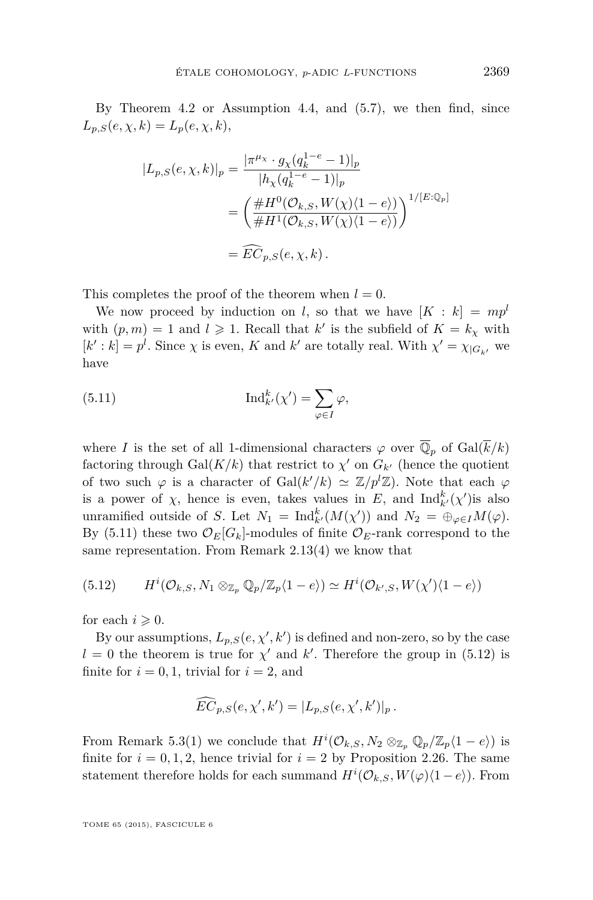<span id="page-39-0"></span>By Theorem [4.2](#page-31-0) or Assumption [4.4,](#page-31-0) and [\(5.7\)](#page-36-0), we then find, since  $L_{p,S}(e, \chi, k) = L_p(e, \chi, k),$ 

$$
|L_{p,S}(e,\chi,k)|_p = \frac{|\pi^{\mu_X} \cdot g_\chi(q_k^{1-e} - 1)|_p}{|h_\chi(q_k^{1-e} - 1)|_p}
$$
  
= 
$$
\left(\frac{\#H^0(\mathcal{O}_{k,S}, W(\chi)(1-e))}{\#H^1(\mathcal{O}_{k,S}, W(\chi)(1-e))}\right)^{1/[E:\mathbb{Q}_p]}
$$
  
=  $\widehat{EC}_{p,S}(e,\chi,k).$ 

This completes the proof of the theorem when  $l = 0$ .

We now proceed by induction on *l*, so that we have  $[K : k] = mp^l$ with  $(p, m) = 1$  and  $l \geq 1$ . Recall that  $k'$  is the subfield of  $K = k_{\chi}$  with  $[k': k] = p^l$ . Since  $\chi$  is even, *K* and  $k'$  are totally real. With  $\chi' = \chi_{|G_{k'}}$  we have

(5.11) 
$$
\operatorname{Ind}_{k'}^k(\chi') = \sum_{\varphi \in I} \varphi,
$$

where *I* is the set of all 1-dimensional characters  $\varphi$  over  $\overline{\mathbb{Q}}_p$  of Gal( $\overline{k}/k$ ) factoring through  $Gal(K/k)$  that restrict to  $\chi'$  on  $G_{k'}$  (hence the quotient of two such  $\varphi$  is a character of Gal $(k'/k) \simeq \mathbb{Z}/p^l\mathbb{Z}$ ). Note that each  $\varphi$ is a power of  $\chi$ , hence is even, takes values in *E*, and  $\text{Ind}_{k}^{k}(\chi')$  is also unramified outside of *S*. Let  $N_1 = \text{Ind}_{k'}^k(M(\chi'))$  and  $N_2 = \bigoplus_{\varphi \in I} M(\varphi)$ . By (5.11) these two  $\mathcal{O}_E[G_k]$ -modules of finite  $\mathcal{O}_E$ -rank correspond to the same representation. From Remark [2.13\(](#page-15-0)4) we know that

(5.12) 
$$
H^{i}(\mathcal{O}_{k,S}, N_1 \otimes_{\mathbb{Z}_p} \mathbb{Q}_p/\mathbb{Z}_p\langle 1-e\rangle) \simeq H^{i}(\mathcal{O}_{k',S}, W(\chi')\langle 1-e\rangle)
$$

for each  $i \geqslant 0$ .

By our assumptions,  $L_{p,S}(e, \chi', k')$  is defined and non-zero, so by the case  $l = 0$  the theorem is true for  $\chi'$  and  $k'$ . Therefore the group in (5.12) is finite for  $i = 0, 1$ , trivial for  $i = 2$ , and

$$
\widehat{EC}_{p,S}(e,\chi',k') = |L_{p,S}(e,\chi',k')|_p.
$$

From Remark [5.3\(](#page-34-0)1) we conclude that  $H^{i}(\mathcal{O}_{k,S}, N_2 \otimes_{\mathbb{Z}_p} \mathbb{Q}_p/\mathbb{Z}_p\langle 1-e \rangle)$  is finite for  $i = 0, 1, 2$ , hence trivial for  $i = 2$  by Proposition [2.26.](#page-20-0) The same statement therefore holds for each summand  $H^{i}(\mathcal{O}_{k,S}, W(\varphi)(1-e))$ . From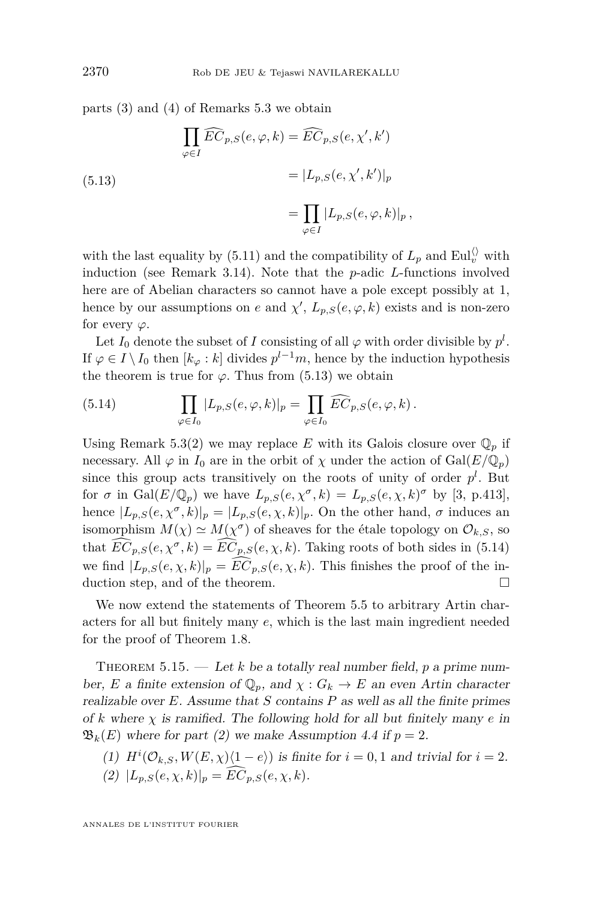<span id="page-40-0"></span>parts (3) and (4) of Remarks [5.3](#page-34-0) we obtain

(5.13)  
\n
$$
\prod_{\varphi \in I} \widehat{EC}_{p,S}(e, \varphi, k) = \widehat{EC}_{p,S}(e, \chi', k')
$$
\n
$$
= |L_{p,S}(e, \chi', k')|_p
$$
\n
$$
= \prod_{\varphi \in I} |L_{p,S}(e, \varphi, k)|_p,
$$

with the last equality by [\(5.11\)](#page-39-0) and the compatibility of  $L_p$  and  $\text{Eul}_v^{\langle\rangle}$  with induction (see Remark [3.14\)](#page-29-0). Note that the *p*-adic *L*-functions involved here are of Abelian characters so cannot have a pole except possibly at 1, hence by our assumptions on *e* and  $\chi'$ ,  $L_{p,S}(e, \varphi, k)$  exists and is non-zero for every *ϕ*.

Let  $I_0$  denote the subset of  $I$  consisting of all  $\varphi$  with order divisible by  $p^l$ . If  $\varphi \in I \setminus I_0$  then  $[k_{\varphi}:k]$  divides  $p^{l-1}m$ , hence by the induction hypothesis the theorem is true for  $\varphi$ . Thus from (5.13) we obtain

(5.14) 
$$
\prod_{\varphi \in I_0} |L_{p,S}(e,\varphi,k)|_p = \prod_{\varphi \in I_0} \widehat{EC}_{p,S}(e,\varphi,k).
$$

Using Remark [5.3\(](#page-34-0)2) we may replace *E* with its Galois closure over  $\mathbb{Q}_p$  if necessary. All  $\varphi$  in  $I_0$  are in the orbit of  $\chi$  under the action of Gal( $E/\mathbb{Q}_p$ ) since this group acts transitively on the roots of unity of order  $p<sup>l</sup>$ . But for  $\sigma$  in Gal( $E/\mathbb{Q}_p$ ) we have  $L_{p,S}(e,\chi^{\sigma},k) = L_{p,S}(e,\chi,k)^{\sigma}$  by [\[3,](#page-51-0) p.413], hence  $|L_{p,S}(e,\chi^{\sigma},k)|_p = |L_{p,S}(e,\chi,k)|_p$ . On the other hand,  $\sigma$  induces an isomorphism  $M(\chi) \simeq M(\chi^{\sigma})$  of sheaves for the étale topology on  $\mathcal{O}_{k,S}$ , so that  $\widehat{EC}_{p,S}(e,\chi^{\sigma},k) = \widehat{EC}_{p,S}(e,\chi,k)$ . Taking roots of both sides in (5.14) we find  $|L_{p,S}(e,\chi,k)|_p = \widehat{EC}_{p,S}(e,\chi,k)$ . This finishes the proof of the in-<br>duction step, and of the theorem. duction step, and of the theorem.

We now extend the statements of Theorem [5.5](#page-35-0) to arbitrary Artin characters for all but finitely many *e*, which is the last main ingredient needed for the proof of Theorem [1.8.](#page-7-0)

THEOREM  $5.15.$  — Let *k* be a totally real number field, *p* a prime number, *E* a finite extension of  $\mathbb{Q}_p$ , and  $\chi$  :  $G_k \to E$  an even Artin character realizable over *E*. Assume that *S* contains *P* as well as all the finite primes of  $k$  where  $\chi$  is ramified. The following hold for all but finitely many  $e$  in  $\mathfrak{B}_k(E)$  where for part (2) we make Assumption [4.4](#page-31-0) if  $p = 2$ .

- (1)  $H^i(\mathcal{O}_{k,S}, W(E,\chi)\langle 1-e \rangle)$  is finite for  $i = 0,1$  and trivial for  $i = 2$ .
- (2)  $|L_{p,S}(e,\chi,k)|_p = \widehat{EC}_{p,S}(e,\chi,k).$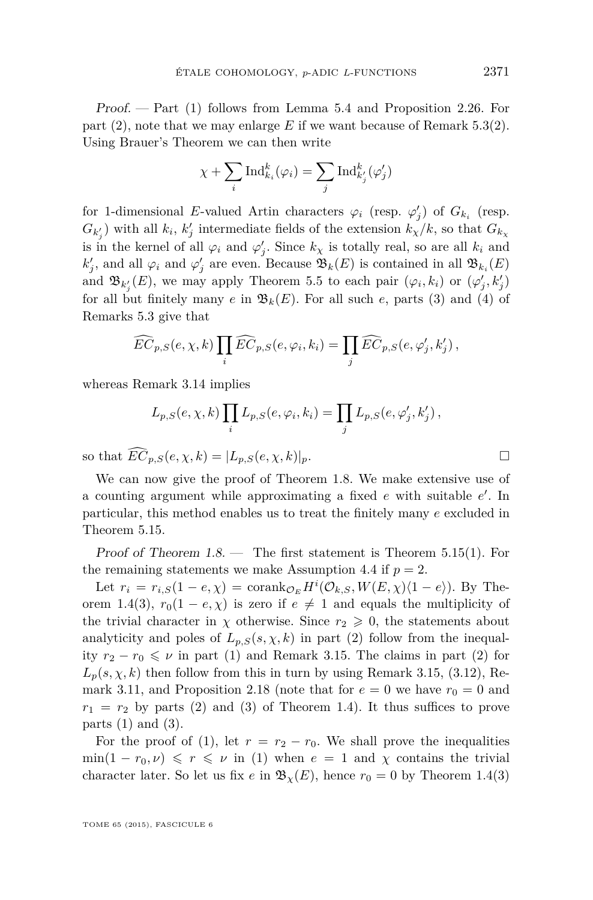Proof. — Part (1) follows from Lemma [5.4](#page-35-0) and Proposition [2.26.](#page-20-0) For part  $(2)$ , note that we may enlarge E if we want because of Remark 5.3 $(2)$ . Using Brauer's Theorem we can then write

$$
\chi + \sum_{i} \text{Ind}_{k_i}^{k}(\varphi_i) = \sum_{j} \text{Ind}_{k'_{j}}^{k}(\varphi'_{j})
$$

for 1-dimensional *E*-valued Artin characters  $\varphi_i$  (resp.  $\varphi'_j$ ) of  $G_{k_i}$  (resp.  $G_{k'_{j}}$ ) with all  $k_{i}$ ,  $k'_{j}$  intermediate fields of the extension  $k_{\chi}/k$ , so that  $G_{k_{\chi}}$ is in the kernel of all  $\varphi_i$  and  $\varphi'_j$ . Since  $k_\chi$  is totally real, so are all  $k_i$  and  $k'_{j}$ , and all  $\varphi_{i}$  and  $\varphi'_{j}$  are even. Because  $\mathfrak{B}_{k}(E)$  is contained in all  $\mathfrak{B}_{k_{i}}(E)$ and  $\mathfrak{B}_{k'_{j}}(E)$ , we may apply Theorem [5.5](#page-35-0) to each pair  $(\varphi_{i}, k_{i})$  or  $(\varphi'_{j}, k'_{j})$ for all but finitely many  $e$  in  $\mathfrak{B}_k(E)$ . For all such  $e$ , parts (3) and (4) of Remarks [5.3](#page-34-0) give that

$$
\widehat{EC}_{p,S}(e,\chi,k)\prod_{i}\widehat{EC}_{p,S}(e,\varphi_i,k_i)=\prod_{j}\widehat{EC}_{p,S}(e,\varphi'_j,k'_j),
$$

whereas Remark [3.14](#page-29-0) implies

$$
L_{p,S}(e,\chi,k)\prod_{i}L_{p,S}(e,\varphi_i,k_i)=\prod_{j}L_{p,S}(e,\varphi'_j,k'_j),
$$

so that  $\widehat{EC}_{p,S}(e,\chi,k) = |L_{p,S}(e,\chi,k)|_p$ .

We can now give the proof of Theorem [1.8.](#page-7-0) We make extensive use of a counting argument while approximating a fixed *e* with suitable *e'*. In particular, this method enables us to treat the finitely many *e* excluded in Theorem [5.15.](#page-40-0)

Proof of Theorem [1.8.](#page-7-0) — The first statement is Theorem [5.15\(](#page-40-0)1). For the remaining statements we make Assumption [4.4](#page-31-0) if  $p = 2$ .

Let  $r_i = r_{i,S}(1 - e, \chi) = \text{corank}_{\mathcal{O}_E} H^i(\mathcal{O}_{k,S}, W(E, \chi)\langle 1 - e \rangle)$ . By The-orem [1.4\(](#page-4-0)3),  $r_0(1 - e, \chi)$  is zero if  $e \neq 1$  and equals the multiplicity of the trivial character in  $\chi$  otherwise. Since  $r_2 \geq 0$ , the statements about analyticity and poles of  $L_{p,S}(s,\chi,k)$  in part (2) follow from the inequality  $r_2 - r_0 \leqslant \nu$  in part (1) and Remark [3.15.](#page-29-0) The claims in part (2) for  $L_p(s, \chi, k)$  then follow from this in turn by using Remark [3.15,](#page-29-0) [\(3.12\)](#page-29-0), Re-mark [3.11,](#page-29-0) and Proposition [2.18](#page-18-0) (note that for  $e = 0$  we have  $r_0 = 0$  and  $r_1 = r_2$  by parts (2) and (3) of Theorem [1.4\)](#page-4-0). It thus suffices to prove parts  $(1)$  and  $(3)$ .

For the proof of (1), let  $r = r_2 - r_0$ . We shall prove the inequalities  $\min(1 - r_0, \nu) \leq r \leq \nu \text{ in (1) when } e = 1 \text{ and } \chi \text{ contains the trivial}$ character later. So let us fix *e* in  $\mathfrak{B}_{\chi}(E)$ , hence  $r_0 = 0$  by Theorem [1.4\(](#page-4-0)3)

TOME 65 (2015), FASCICULE 6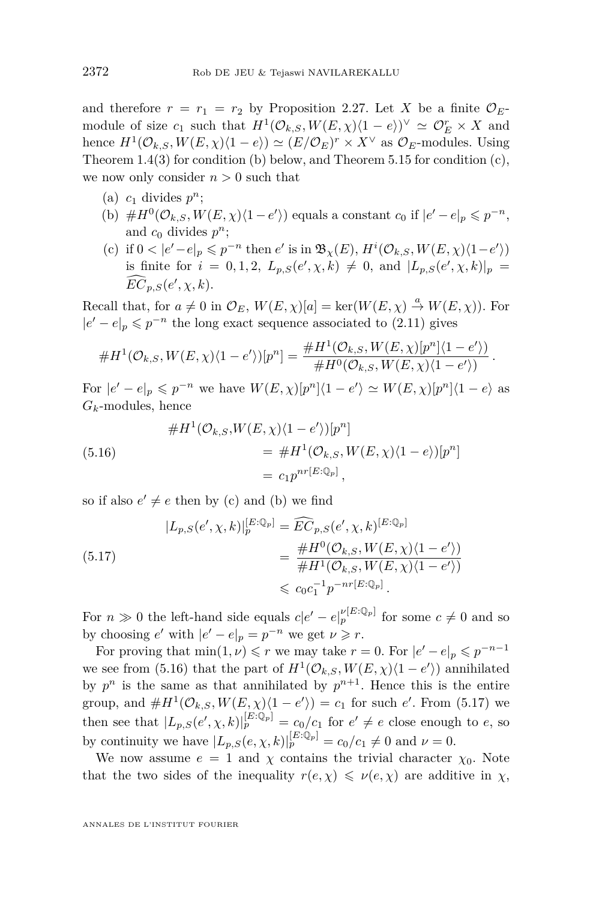<span id="page-42-0"></span>and therefore  $r = r_1 = r_2$  by Proposition [2.27.](#page-21-0) Let *X* be a finite  $\mathcal{O}_E$ module of size  $c_1$  such that  $H^1(\mathcal{O}_{k,S}, W(E, \chi)(1-e))^{\vee} \simeq \mathcal{O}_E^r \times X$  and hence  $H^1(\mathcal{O}_{k,S}, W(E,\chi)\langle 1-e \rangle) \simeq (E/\mathcal{O}_E)^r \times X^\vee$  as  $\mathcal{O}_E$ -modules. Using Theorem [1.4\(](#page-4-0)3) for condition (b) below, and Theorem [5.15](#page-40-0) for condition (c), we now only consider  $n > 0$  such that

- (a)  $c_1$  divides  $p^n$ ;
- (b)  $\#H^0(\mathcal{O}_{k,S}, W(E, \chi)\langle 1-e'\rangle)$  equals a constant  $c_0$  if  $|e'-e|_p \leqslant p^{-n}$ , and  $c_0$  divides  $p^n$ ;
- (c) if  $0 < |e'-e|_p \leqslant p^{-n}$  then  $e'$  is in  $\mathfrak{B}_{\chi}(E), H^i(\mathcal{O}_{k,S}, W(E, \chi)\langle 1-e' \rangle)$ is finite for  $i = 0, 1, 2, L_{p,S}(e', \chi, k) \neq 0$ , and  $|L_{p,S}(e', \chi, k)|_p =$  $\widehat{EC}_{p,S}(e',\chi,k).$

Recall that, for  $a \neq 0$  in  $\mathcal{O}_E$ ,  $W(E, \chi)[a] = \text{ker}(W(E, \chi) \stackrel{a}{\to} W(E, \chi))$ . For  $|e' - e|_p$  ≤  $p^{-n}$  the long exact sequence associated to [\(2.11\)](#page-14-0) gives

$$
\#H^1(\mathcal{O}_{k,S}, W(E,\chi)\langle 1-e'\rangle)[p^n] = \frac{\#H^1(\mathcal{O}_{k,S}, W(E,\chi)[p^n]\langle 1-e'\rangle)}{\#H^0(\mathcal{O}_{k,S}, W(E,\chi)\langle 1-e'\rangle)}.
$$
  
or  $|e'-e|_n \leqslant p^{-n}$  we have  $W(E,\chi)[p^n]\langle 1-e'\rangle \simeq W(E,\chi)[p^n]\langle 1-e\rangle$  as

For |*e*  $e|_p \leqslant p$  $^{-n}$  we have  $W(E, \chi)[p^n]\langle 1 - e' \rangle \simeq W(E, \chi)[p^n]\langle 1 - e \rangle$  as  $G_k$ -modules, hence

(5.16) 
$$
\#H^1(\mathcal{O}_{k,S}, W(E,\chi)\langle 1-e'\rangle)[p^n]
$$

$$
= \#H^1(\mathcal{O}_{k,S}, W(E,\chi)\langle 1-e\rangle)[p^n]
$$

$$
= c_1 p^{nr[E:\mathbb{Q}_p]},
$$

so if also  $e' \neq e$  then by (c) and (b) we find

$$
(5.17)
$$
\n
$$
|L_{p,S}(e', \chi, k)|_{p}^{[E:\mathbb{Q}_{p}]} = \widehat{EC}_{p,S}(e', \chi, k)^{[E:\mathbb{Q}_{p}]}
$$
\n
$$
= \frac{\#H^{0}(\mathcal{O}_{k,S}, W(E, \chi)\langle 1 - e' \rangle)}{\#H^{1}(\mathcal{O}_{k,S}, W(E, \chi)\langle 1 - e' \rangle)}
$$
\n
$$
\leq c_{0}c_{1}^{-1}p^{-nr[E:\mathbb{Q}_{p}]}.
$$

For  $n \gg 0$  the left-hand side equals  $c|e' - e|_p^{\nu[E:\mathbb{Q}_p]}$  for some  $c \neq 0$  and so by choosing  $e'$  with  $|e' - e|_p = p^{-n}$  we get  $\nu \ge r$ .

For proving that  $\min(1, \nu) \leq r$  we may take  $r = 0$ . For  $|e' - e|_p \leq p^{-n-1}$ we see from (5.16) that the part of  $H^1(\mathcal{O}_{k,S}, W(E,\chi)\langle 1-e'\rangle)$  annihilated by  $p^n$  is the same as that annihilated by  $p^{n+1}$ . Hence this is the entire group, and  $\#H^1(\mathcal{O}_{k,S}, W(E,\chi)\langle 1-e'\rangle) = c_1$  for such *e'*. From (5.17) we then see that  $|L_{p,S}(e', \chi, k)|_p^{[E:\mathbb{Q}_p]} = c_0/c_1$  for  $e' \neq e$  close enough to *e*, so by continuity we have  $|L_{p,S}(e,\chi,k)|_p^{[E:\mathbb{Q}_p]} = c_0/c_1 \neq 0$  and  $\nu = 0$ .

We now assume  $e = 1$  and  $\chi$  contains the trivial character  $\chi_0$ . Note that the two sides of the inequality  $r(e, \chi) \leq v(e, \chi)$  are additive in  $\chi$ ,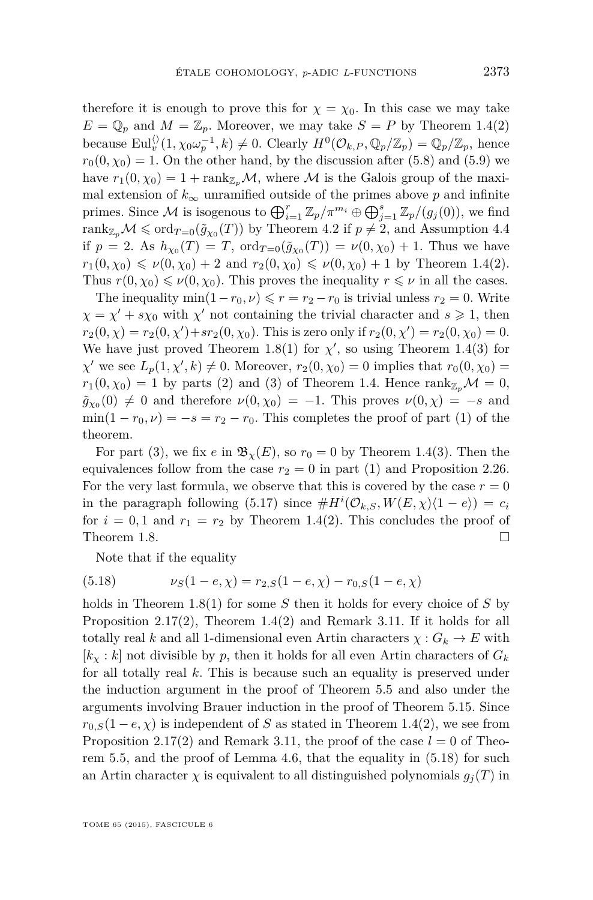<span id="page-43-0"></span>therefore it is enough to prove this for  $\chi = \chi_0$ . In this case we may take  $E = \mathbb{Q}_p$  and  $M = \mathbb{Z}_p$ . Moreover, we may take  $S = P$  by Theorem [1.4\(](#page-4-0)2) because  $\text{Eul}_v^{\langle\rangle}(1, \chi_0 \omega_p^{-1}, k) \neq 0$ . Clearly  $H^0(\mathcal{O}_{k,P}, \mathbb{Q}_p/\mathbb{Z}_p) = \mathbb{Q}_p/\mathbb{Z}_p$ , hence  $r_0(0, \chi_0) = 1$ . On the other hand, by the discussion after [\(5.8\)](#page-37-0) and [\(5.9\)](#page-38-0) we have  $r_1(0, \chi_0) = 1 + \text{rank}_{\mathbb{Z}_p} \mathcal{M}$ , where M is the Galois group of the maximal extension of  $k_{\infty}$  unramified outside of the primes above p and infinite primes. Since M is isogenous to  $\bigoplus_{i=1}^{r} \mathbb{Z}_p / \pi^{m_i} \oplus \bigoplus_{j=1}^{s} \mathbb{Z}_p / (g_j(0))$ , we find  $\text{rank}_{\mathbb{Z}_p}\mathcal{M}\leqslant \text{ord}_{T=0}(\tilde{g}_{\chi_0}(T))$  by Theorem [4.2](#page-31-0) if  $p\neq 2$ , and Assumption [4.4](#page-31-0) if  $p = 2$ . As  $h_{\chi_0}(T) = T$ ,  $\text{ord}_{T=0}(\tilde{g}_{\chi_0}(T)) = \nu(0, \chi_0) + 1$ . Thus we have  $r_1(0, \chi_0) \leq v(0, \chi_0) + 2$  and  $r_2(0, \chi_0) \leq v(0, \chi_0) + 1$  by Theorem [1.4\(](#page-4-0)2). Thus  $r(0, \chi_0) \leq v(0, \chi_0)$ . This proves the inequality  $r \leq v$  in all the cases.

The inequality  $\min(1-r_0, \nu) \leq r = r_2 - r_0$  is trivial unless  $r_2 = 0$ . Write  $\chi = \chi' + s\chi_0$  with  $\chi'$  not containing the trivial character and  $s \geq 1$ , then  $r_2(0, \chi) = r_2(0, \chi') + sr_2(0, \chi_0)$ . This is zero only if  $r_2(0, \chi') = r_2(0, \chi_0) = 0$ . We have just proved Theorem [1.8\(](#page-7-0)1) for  $\chi'$ , so using Theorem [1.4\(](#page-4-0)3) for  $\chi'$  we see  $L_p(1, \chi', k) \neq 0$ . Moreover,  $r_2(0, \chi_0) = 0$  implies that  $r_0(0, \chi_0) =$  $r_1(0, \chi_0) = 1$  by parts (2) and (3) of Theorem [1.4.](#page-4-0) Hence rank<sub>Z<sub>p</sub></sub> $\mathcal{M} = 0$ ,  $\tilde{g}_{\chi_0}(0) \neq 0$  and therefore  $\nu(0, \chi_0) = -1$ . This proves  $\nu(0, \chi) = -s$  and  $\min(1 - r_0, \nu) = -s = r_2 - r_0$ . This completes the proof of part (1) of the theorem.

For part (3), we fix *e* in  $\mathfrak{B}_{\chi}(E)$ , so  $r_0 = 0$  by Theorem [1.4\(](#page-4-0)3). Then the equivalences follow from the case  $r_2 = 0$  in part (1) and Proposition [2.26.](#page-20-0) For the very last formula, we observe that this is covered by the case  $r = 0$ in the paragraph following [\(5.17\)](#page-42-0) since  $#H^{i}(\mathcal{O}_{k,S}, W(E,\chi)(1-e)) = c_i$ for  $i = 0, 1$  and  $r_1 = r_2$  by Theorem [1.4\(](#page-4-0)2). This concludes the proof of Theorem [1.8.](#page-7-0)  $\Box$ 

Note that if the equality

(5.18) 
$$
\nu_S(1-e,\chi) = r_{2,S}(1-e,\chi) - r_{0,S}(1-e,\chi)
$$

holds in Theorem [1.8\(](#page-7-0)1) for some *S* then it holds for every choice of *S* by Proposition [2.17\(](#page-17-0)2), Theorem [1.4\(](#page-4-0)2) and Remark [3.11.](#page-29-0) If it holds for all totally real *k* and all 1-dimensional even Artin characters  $\chi : G_k \to E$  with  $[k_x : k]$  not divisible by p, then it holds for all even Artin characters of  $G_k$ for all totally real *k*. This is because such an equality is preserved under the induction argument in the proof of Theorem [5.5](#page-35-0) and also under the arguments involving Brauer induction in the proof of Theorem [5.15.](#page-40-0) Since  $r_{0,S}(1-e,\chi)$  is independent of *S* as stated in Theorem [1.4\(](#page-4-0)2), we see from Proposition [2.17\(](#page-17-0)2) and Remark [3.11,](#page-29-0) the proof of the case  $l = 0$  of Theorem [5.5,](#page-35-0) and the proof of Lemma [4.6,](#page-32-0) that the equality in (5.18) for such an Artin character  $\chi$  is equivalent to all distinguished polynomials  $g_j(T)$  in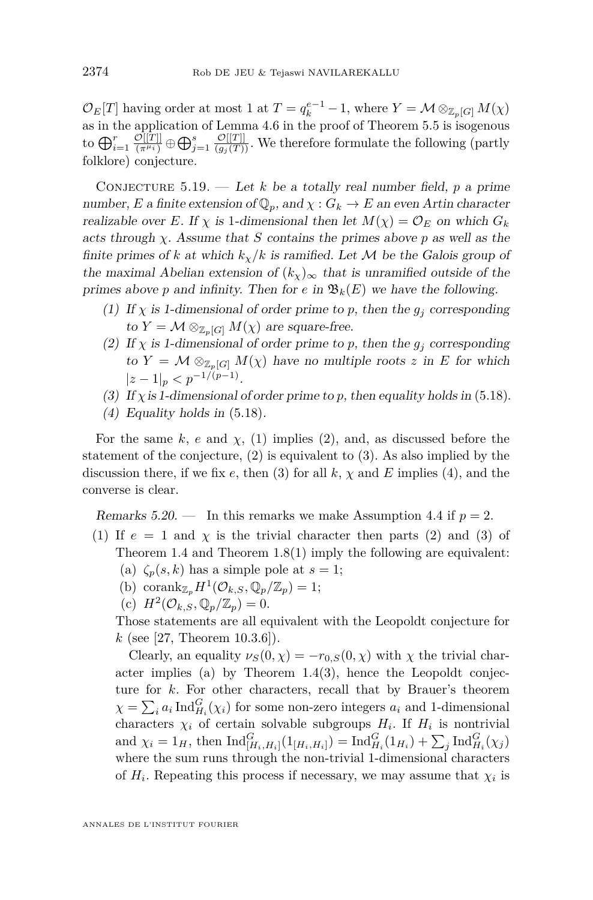<span id="page-44-0"></span> $\mathcal{O}_E[T]$  having order at most 1 at  $T = q_k^{e-1} - 1$ , where  $Y = \mathcal{M} \otimes_{\mathbb{Z}_p[G]} M(\chi)$ as in the application of Lemma [4.6](#page-32-0) in the proof of Theorem [5.5](#page-35-0) is isogenous to  $\bigoplus_{i=1}^r \frac{\mathcal{O}[[T]]}{(\pi^{\mu_i})}$  $\mathcal{O}[[T]] \oplus \bigoplus_{j=1}^s \frac{\mathcal{O}[[T]]}{(g_j(T))}$ . We therefore formulate the following (partly folklore) conjecture.

CONJECTURE  $5.19.$  — Let *k* be a totally real number field, *p* a prime number, *E* a finite extension of  $\mathbb{Q}_p$ , and  $\chi : G_k \to E$  an even Artin character realizable over *E*. If  $\chi$  is 1-dimensional then let  $M(\chi) = \mathcal{O}_E$  on which  $G_k$ acts through *χ*. Assume that *S* contains the primes above *p* as well as the finite primes of *k* at which  $k_y/k$  is ramified. Let M be the Galois group of the maximal Abelian extension of  $(k_x)_{\infty}$  that is unramified outside of the primes above *p* and infinity. Then for *e* in  $\mathfrak{B}_k(E)$  we have the following.

- (1) If  $\chi$  is 1-dimensional of order prime to p, then the  $g_j$  corresponding to  $Y = \mathcal{M} \otimes_{\mathbb{Z}_n[G]} M(\chi)$  are square-free.
- (2) If  $\chi$  is 1-dimensional of order prime to p, then the  $g_j$  corresponding to  $Y = \mathcal{M} \otimes_{\mathbb{Z}_p[G]} M(\chi)$  have no multiple roots z in E for which  $|z - 1|_p < p^{-1/(p-1)}.$
- (3) If  $\chi$  is 1-dimensional of order prime to p, then equality holds in [\(5.18\)](#page-43-0).
- (4) Equality holds in [\(5.18\)](#page-43-0).

For the same  $k$ ,  $e$  and  $\chi$ , (1) implies (2), and, as discussed before the statement of the conjecture, (2) is equivalent to (3). As also implied by the discussion there, if we fix  $e$ , then (3) for all  $k$ ,  $\chi$  and  $E$  implies (4), and the converse is clear.

Remarks  $5.20$ . — In this remarks we make Assumption [4.4](#page-31-0) if  $p = 2$ .

- (1) If  $e = 1$  and  $\chi$  is the trivial character then parts (2) and (3) of Theorem [1.4](#page-4-0) and Theorem [1.8\(](#page-7-0)1) imply the following are equivalent:
	- (a)  $\zeta_p(s,k)$  has a simple pole at  $s=1$ ;
	- (b) corank $\mathbb{Z}_p H^1(\mathcal{O}_{k,S}, \mathbb{Q}_p/\mathbb{Z}_p) = 1;$
	- (c)  $H^2(\mathcal{O}_{k,S}, \mathbb{Q}_p/\mathbb{Z}_p) = 0.$

Those statements are all equivalent with the Leopoldt conjecture for *k* (see [\[27,](#page-52-0) Theorem 10.3.6]).

Clearly, an equality  $\nu_S(0, \chi) = -r_{0,S}(0, \chi)$  with  $\chi$  the trivial character implies (a) by Theorem [1.4\(](#page-4-0)3), hence the Leopoldt conjecture for *k*. For other characters, recall that by Brauer's theorem  $\chi = \sum_i a_i \operatorname{Ind}_{H_i}^G(\chi_i)$  for some non-zero integers  $a_i$  and 1-dimensional characters  $\chi_i$  of certain solvable subgroups  $H_i$ . If  $H_i$  is nontrivial and  $\chi_i = 1_H$ , then  $\text{Ind}_{[H_i, H_i]}^G(1_{[H_i, H_i]}) = \text{Ind}_{H_i}^G(1_{H_i}) + \sum_j \text{Ind}_{H_i}^G(\chi_j)$ where the sum runs through the non-trivial 1-dimensional characters of  $H_i$ . Repeating this process if necessary, we may assume that  $\chi_i$  is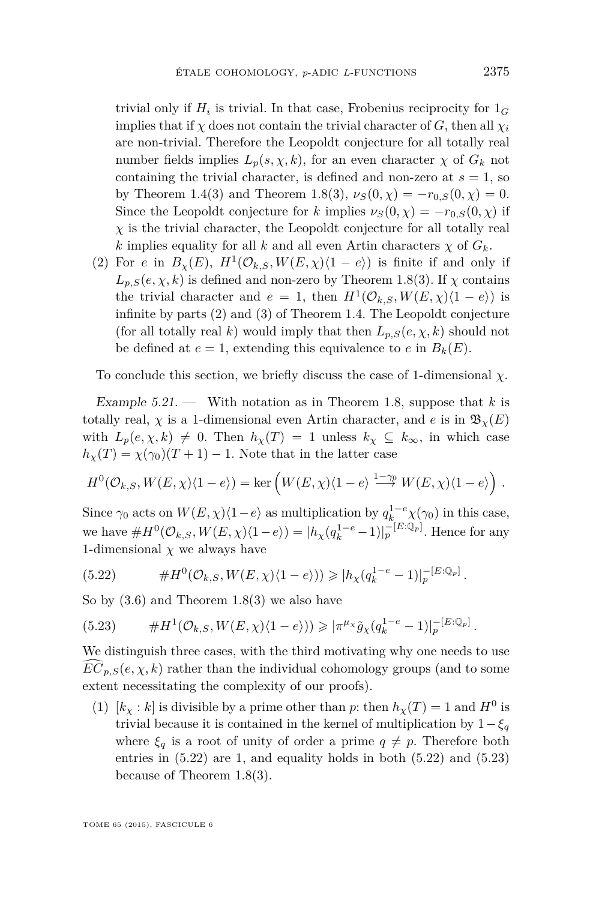<span id="page-45-0"></span>trivial only if  $H_i$  is trivial. In that case, Frobenius reciprocity for  $1_G$ implies that if  $\chi$  does not contain the trivial character of *G*, then all  $\chi_i$ are non-trivial. Therefore the Leopoldt conjecture for all totally real number fields implies  $L_p(s, \chi, k)$ , for an even character  $\chi$  of  $G_k$  not containing the trivial character, is defined and non-zero at  $s = 1$ , so by Theorem [1.4\(](#page-4-0)3) and Theorem [1.8\(](#page-7-0)3),  $\nu_S(0, \chi) = -r_{0,S}(0, \chi) = 0$ . Since the Leopoldt conjecture for *k* implies  $\nu_S(0, \chi) = -r_{0,S}(0, \chi)$  if  $\chi$  is the trivial character, the Leopoldt conjecture for all totally real *k* implies equality for all *k* and all even Artin characters  $\chi$  of  $G_k$ .

(2) For *e* in  $B_\chi(E)$ ,  $H^1(\mathcal{O}_{k,S}, W(E,\chi)\langle 1-e \rangle)$  is finite if and only if  $L_{p,S}(e, \chi, k)$  is defined and non-zero by Theorem [1.8\(](#page-7-0)3). If  $\chi$  contains the trivial character and  $e = 1$ , then  $H^1(\mathcal{O}_{k,S}, W(E, \chi)(1 - e))$  is infinite by parts (2) and (3) of Theorem [1.4.](#page-4-0) The Leopoldt conjecture (for all totally real *k*) would imply that then  $L_{p,S}(e, \chi, k)$  should not be defined at  $e = 1$ , extending this equivalence to  $e$  in  $B_k(E)$ .

To conclude this section, we briefly discuss the case of 1-dimensional *χ*.

Example  $5.21$ . — With notation as in Theorem [1.8,](#page-7-0) suppose that *k* is totally real,  $\chi$  is a 1-dimensional even Artin character, and *e* is in  $\mathfrak{B}_{\chi}(E)$ with  $L_p(e, \chi, k) \neq 0$ . Then  $h_\chi(T) = 1$  unless  $k_\chi \subseteq k_\infty$ , in which case  $h<sub>\chi</sub>(T) = \chi(\gamma_0)(T+1) - 1$ . Note that in the latter case

$$
H^{0}(\mathcal{O}_{k,S}, W(E,\chi)\langle 1-e\rangle) = \ker\left(W(E,\chi)\langle 1-e\rangle \stackrel{1-\gamma_{0}}{\longrightarrow} W(E,\chi)\langle 1-e\rangle\right).
$$

Since  $\gamma_0$  acts on  $W(E, \chi)\langle 1-e \rangle$  as multiplication by  $q_{k}^{1-e} \chi(\gamma_0)$  in this case, we have  $#H^0(\mathcal{O}_{k,S}, W(E,\chi)\langle 1-e \rangle) = |h_\chi(q_k^{1-e}-1)|_p^{-[E:\mathbb{Q}_p]}$ . Hence for any 1-dimensional  $\chi$  we always have

(5.22) 
$$
\#H^{0}(\mathcal{O}_{k,S}, W(E,\chi)\langle 1-e \rangle)) \geqslant |h_{\chi}(q_{k}^{1-e}-1)|_{p}^{-[E:\mathbb{Q}_{p}]}.
$$

So by  $(3.6)$  and Theorem [1.8\(](#page-7-0)3) we also have

(5.23) 
$$
\#H^1(\mathcal{O}_{k,S}, W(E,\chi)\langle 1-e\rangle)) \geqslant |\pi^{\mu_\chi}\tilde{g}_\chi(q_k^{1-e}-1)|_p^{-[E:\mathbb{Q}_p]}.
$$

We distinguish three cases, with the third motivating why one needs to use  $EC_{p,S}(e, \chi, k)$  rather than the individual cohomology groups (and to some extent necessitating the complexity of our proofs).

(1)  $[k_\chi : k]$  is divisible by a prime other than *p*: then  $h_\chi(T) = 1$  and  $H^0$  is trivial because it is contained in the kernel of multiplication by  $1-\xi_q$ where  $\xi_q$  is a root of unity of order a prime  $q \neq p$ . Therefore both entries in (5.22) are 1, and equality holds in both (5.22) and (5.23) because of Theorem [1.8\(](#page-7-0)3).

TOME 65 (2015), FASCICULE 6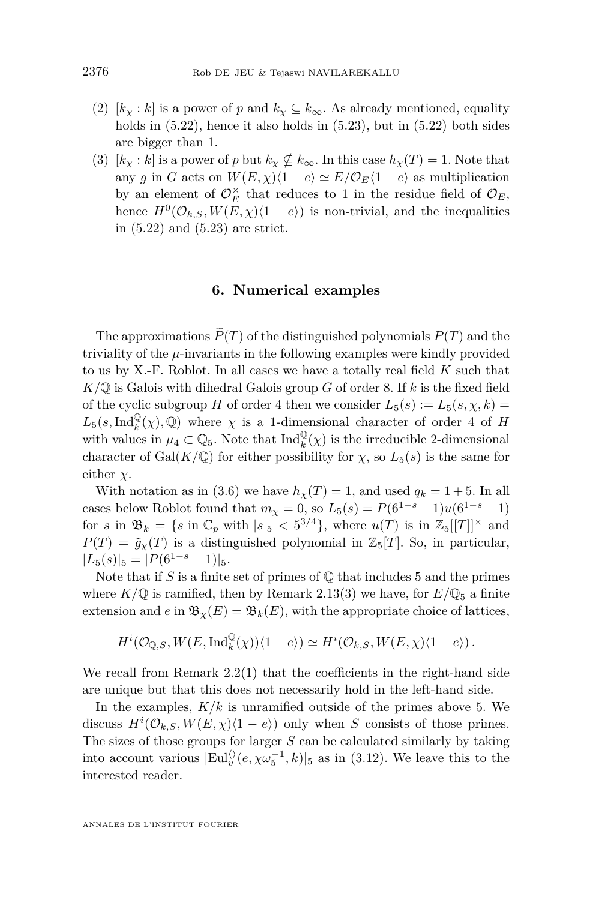- <span id="page-46-0"></span>(2)  $[k_x : k]$  is a power of *p* and  $k_x \nsubseteq k_\infty$ . As already mentioned, equality holds in  $(5.22)$ , hence it also holds in  $(5.23)$ , but in  $(5.22)$  both sides are bigger than 1.
- (3)  $[k_\chi : k]$  is a power of *p* but  $k_\chi \nsubseteq k_\infty$ . In this case  $h_\chi(T) = 1$ . Note that any *g* in *G* acts on  $W(E, \chi)\langle 1 - e \rangle \simeq E/\mathcal{O}_E\langle 1 - e \rangle$  as multiplication by an element of  $\mathcal{O}_E^{\times}$  that reduces to 1 in the residue field of  $\mathcal{O}_E$ , hence  $H^0(\mathcal{O}_{k,S}, W(E,\chi)\langle 1-e \rangle)$  is non-trivial, and the inequalities in [\(5.22\)](#page-45-0) and [\(5.23\)](#page-45-0) are strict.

#### **6. Numerical examples**

The approximations  $\widetilde{P}(T)$  of the distinguished polynomials  $P(T)$  and the triviality of the *µ*-invariants in the following examples were kindly provided to us by X.-F. Roblot. In all cases we have a totally real field *K* such that  $K/\mathbb{Q}$  is Galois with dihedral Galois group *G* of order 8. If *k* is the fixed field of the cyclic subgroup *H* of order 4 then we consider  $L_5(s) := L_5(s, \chi, k)$  $L_5(s, \text{Ind}_k^{\mathbb{Q}}(\chi), \mathbb{Q})$  where  $\chi$  is a 1-dimensional character of order 4 of *H* with values in  $\mu_4 \subset \mathbb{Q}_5$ . Note that  $\text{Ind}_k^{\mathbb{Q}}(\chi)$  is the irreducible 2-dimensional character of Gal( $K/\mathbb{Q}$ ) for either possibility for  $\chi$ , so  $L_5(s)$  is the same for either *χ*.

With notation as in [\(3.6\)](#page-27-0) we have  $h_\chi(T) = 1$ , and used  $q_k = 1 + 5$ . In all cases below Roblot found that  $m_{\chi} = 0$ , so  $L_5(s) = P(6^{1-s} - 1)u(6^{1-s} - 1)$ for *s* in  $\mathfrak{B}_k = \{s \text{ in } \mathbb{C}_p \text{ with } |s|_5 < 5^{3/4}\},\text{ where } u(T) \text{ is in } \mathbb{Z}_5[[T]]^\times \text{ and }$  $P(T) = \tilde{g}_{\chi}(T)$  is a distinguished polynomial in  $\mathbb{Z}_5[T]$ . So, in particular,  $|L_5(s)|_5 = |P(6^{1-s}-1)|_5.$ 

Note that if  $S$  is a finite set of primes of  $\mathbb{O}$  that includes 5 and the primes where  $K/\mathbb{Q}$  is ramified, then by Remark [2.13\(](#page-15-0)3) we have, for  $E/\mathbb{Q}_5$  a finite extension and *e* in  $\mathfrak{B}_{\chi}(E) = \mathfrak{B}_{k}(E)$ , with the appropriate choice of lattices,

$$
H^i(\mathcal{O}_{\mathbb{Q},S}, W(E, \mathrm{Ind}_k^\mathbb{Q}(\chi))\langle 1-e \rangle) \simeq H^i(\mathcal{O}_{k,S}, W(E,\chi)\langle 1-e \rangle)\,.
$$

We recall from Remark  $2.2(1)$  $2.2(1)$  that the coefficients in the right-hand side are unique but that this does not necessarily hold in the left-hand side.

In the examples,  $K/k$  is unramified outside of the primes above 5. We discuss  $H^{i}(\mathcal{O}_{k,S}, W(E,\chi)(1-e))$  only when *S* consists of those primes. The sizes of those groups for larger *S* can be calculated similarly by taking into account various  $|Eul_v^{\langle\rangle}(e, \chi \omega_5^{-1}, k)|_5$  as in [\(3.12\)](#page-29-0). We leave this to the interested reader.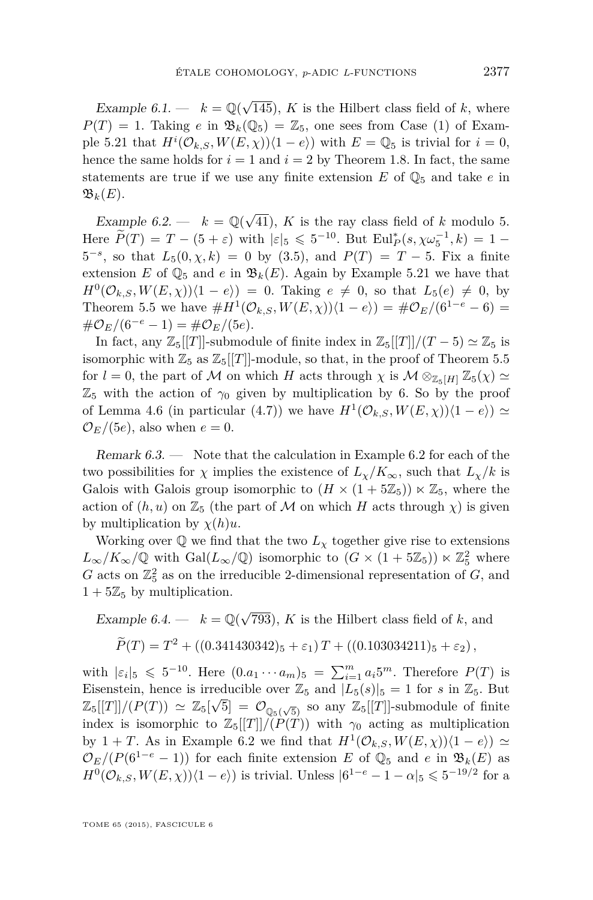<span id="page-47-0"></span>Example 6.1.  $- k = \mathbb{Q}(\sqrt{2k})$ 145), *K* is the Hilbert class field of *k*, where  $P(T) = 1$ . Taking *e* in  $\mathfrak{B}_k(\mathbb{Q}_5) = \mathbb{Z}_5$ , one sees from Case (1) of Exam-ple [5.21](#page-45-0) that  $H^i(\mathcal{O}_{k,S}, W(E, \chi))\langle 1-e \rangle$  with  $E = \mathbb{Q}_5$  is trivial for  $i = 0$ , hence the same holds for  $i = 1$  and  $i = 2$  by Theorem [1.8.](#page-7-0) In fact, the same statements are true if we use any finite extension  $E$  of  $\mathbb{Q}_5$  and take  $e$  in  $\mathfrak{B}_k(E)$ .

Example 6.2. —  $k = \mathbb{Q}(\sqrt{2})$ 41), *K* is the ray class field of *k* modulo 5. Here  $\widetilde{P}(T) = T - (5 + \varepsilon)$  with  $|\varepsilon|_5 \leq 5^{-10}$ . But  $\text{Eul}_P^*(s, \chi \omega_5^{-1}, k) = 1 5^{-s}$ , so that  $L_5(0, \chi, k) = 0$  by [\(3.5\)](#page-27-0), and  $P(T) = T - 5$ . Fix a finite extension *E* of  $\mathbb{Q}_5$  and *e* in  $\mathfrak{B}_k(E)$ . Again by Example [5.21](#page-45-0) we have that  $H^0(\mathcal{O}_{k,S}, W(E,\chi))\langle 1-e \rangle = 0$ . Taking  $e \neq 0$ , so that  $L_5(e) \neq 0$ , by Theorem [5.5](#page-35-0) we have  $#H^1(\mathcal{O}_{k,S}, W(E,\chi))\langle 1-e \rangle) = #\mathcal{O}_E/(6^{1-e}-6) =$  $\#\mathcal{O}_E/(6^{-e}-1) = \#\mathcal{O}_E/(5e).$ 

In fact, any  $\mathbb{Z}_5[[T]]$ -submodule of finite index in  $\mathbb{Z}_5[[T]]/(T-5) \simeq \mathbb{Z}_5$  is isomorphic with  $\mathbb{Z}_5$  as  $\mathbb{Z}_5[[T]]$ -module, so that, in the proof of Theorem [5.5](#page-35-0) for  $l = 0$ , the part of M on which H acts through  $\chi$  is  $M \otimes_{\mathbb{Z}_p[H]} \mathbb{Z}_5(\chi) \simeq$  $\mathbb{Z}_5$  with the action of  $\gamma_0$  given by multiplication by 6. So by the proof of Lemma [4.6](#page-32-0) (in particular [\(4.7\)](#page-32-0)) we have  $H^1(\mathcal{O}_{k,S}, W(E,\chi))\langle 1-e \rangle \ge$  $\mathcal{O}_E/(5e)$ , also when  $e=0$ .

Remark 6.3. — Note that the calculation in Example 6.2 for each of the two possibilities for  $\chi$  implies the existence of  $L_{\chi}/K_{\infty}$ , such that  $L_{\chi}/k$  is Galois with Galois group isomorphic to  $(H \times (1 + 5\mathbb{Z}_5)) \ltimes \mathbb{Z}_5$ , where the action of  $(h, u)$  on  $\mathbb{Z}_5$  (the part of M on which H acts through  $\chi$ ) is given by multiplication by *χ*(*h*)*u*.

Working over  $\mathbb{Q}$  we find that the two  $L_{\chi}$  together give rise to extensions  $L_{\infty}/K_{\infty}/\mathbb{Q}$  with  $Gal(L_{\infty}/\mathbb{Q})$  isomorphic to  $(G \times (1 + 5\mathbb{Z}_{5})) \ltimes \mathbb{Z}_{5}^{2}$  where *G* acts on  $\mathbb{Z}_5^2$  as on the irreducible 2-dimensional representation of *G*, and  $1 + 5\mathbb{Z}_5$  by multiplication.

Example 6.4.  $- k = \mathbb{Q}(\sqrt{2k})$ 793), *K* is the Hilbert class field of *k*, and

$$
\widetilde{P}(T) = T^2 + \left( (0.341430342)_5 + \varepsilon_1 \right) T + \left( (0.103034211)_5 + \varepsilon_2 \right),
$$

with  $|\varepsilon_i|_5 \leq 5^{-10}$ . Here  $(0.a_1 \cdots a_m)_5 = \sum_{i=1}^m a_i 5^m$ . Therefore  $P(T)$  is Eisenstein, hence is irreducible over  $\mathbb{Z}_5$  and  $|L_5(s)|_5 = 1$  for *s* in  $\mathbb{Z}_5$ . But  $\mathbb{Z}_5[[T]]/(P(T)) \simeq \mathbb{Z}_5[\sqrt{5}] = \mathcal{O}_{\mathbb{Q}_5(\sqrt{5})}$  so any  $\mathbb{Z}_5[[T]]$ -submodule of finite index is isomorphic to  $\mathbb{Z}_5[[T]]/(\hat{P}(T))$  with  $\gamma_0$  acting as multiplication by 1 + *T*. As in Example 6.2 we find that  $H^1(\mathcal{O}_{k,S}, W(E,\chi))\langle 1-e \rangle \simeq$  $\mathcal{O}_E/(P(6^{1-e}-1))$  for each finite extension *E* of  $\mathbb{Q}_5$  and *e* in  $\mathfrak{B}_k(E)$  as  $H^0(\mathcal{O}_{k,S}, W(E,\chi))\langle 1-e \rangle$  is trivial. Unless  $|6^{1-e}-1-\alpha|_5 \leqslant 5^{-19/2}$  for a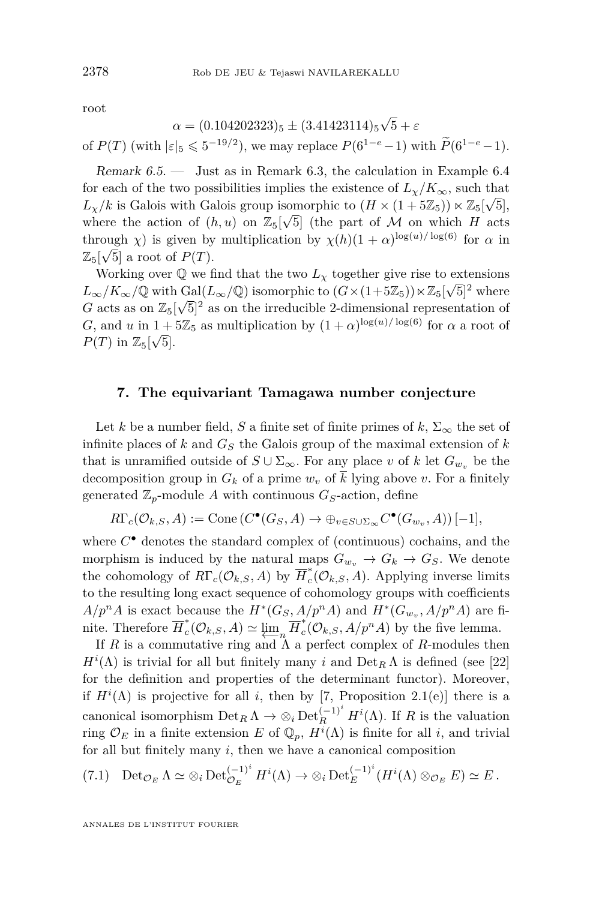<span id="page-48-0"></span>root

$$
\alpha = (0.104202323)_5 \pm (3.41423114)_5 \sqrt{5} + \varepsilon
$$
  
of  $P(T)$  (with  $|\varepsilon|_5 \leq 5^{-19/2}$ ), we may replace  $P(6^{1-e}-1)$  with  $\widetilde{P}(6^{1-e}-1)$ .

Remark 6.5. — Just as in Remark [6.3,](#page-47-0) the calculation in Example [6.4](#page-47-0) for each of the two possibilities implies the existence of  $L_\chi/K_\infty$ , such that  $L_{\chi}/k$  is Galois with Galois group isomorphic to  $(H \times (1 + 5\mathbb{Z}_5)) \ltimes \mathbb{Z}_5[\sqrt{5}],$ where the action of  $(h, u)$  on  $\mathbb{Z}_5[\sqrt{5}]$  (the part of M on which H acts through *χ*) is given by multiplication by  $\chi(h)(1+\alpha)^{\log(u)/\log(6)}$  for  $\alpha$  in  $\mathbb{Z}_5[\sqrt{5}]$  a root of  $P(T)$ .

Working over  $\mathbb{Q}$  we find that the two  $L_{\chi}$  together give rise to extensions  $L_{\infty}/K_{\infty}/\mathbb{Q}$  with Gal( $L_{\infty}/\mathbb{Q}$ ) isomorphic to  $(G \times (1+5\mathbb{Z}_5)) \times \mathbb{Z}_5[\sqrt{5}]^2$  where *G* acts as on  $\mathbb{Z}_5[\sqrt{5}]^2$  as on the irreducible 2-dimensional representation of *G*, and *u* in  $1 + 5\mathbb{Z}_5$  as multiplication by  $(1 + \alpha)^{\log(u)/\log(6)}$  for  $\alpha$  a root of  $P(T)$  in  $\mathbb{Z}_5[\sqrt{5}].$ 

#### **7. The equivariant Tamagawa number conjecture**

Let *k* be a number field, *S* a finite set of finite primes of  $k$ ,  $\Sigma_{\infty}$  the set of infinite places of  $k$  and  $G<sub>S</sub>$  the Galois group of the maximal extension of  $k$ that is unramified outside of  $S \cup \Sigma_{\infty}$ . For any place *v* of *k* let  $G_{w_v}$  be the decomposition group in  $G_k$  of a prime  $w_v$  of  $\overline{k}$  lying above  $v$ . For a finitely generated  $\mathbb{Z}_p$ -module A with continuous  $G_S$ -action, define

$$
R\Gamma_c(\mathcal{O}_{k,S},A) := \text{Cone}(C^{\bullet}(G_S,A) \to \oplus_{v \in S \cup \Sigma_{\infty}} C^{\bullet}(G_{w_v},A)) [-1],
$$

where  $C^{\bullet}$  denotes the standard complex of (continuous) cochains, and the morphism is induced by the natural maps  $G_{w_v} \to G_k \to G_S$ . We denote the cohomology of  $R\Gamma_c(\mathcal{O}_{k,S}, A)$  by  $\overline{H}_c^*$  $\int_{c}^{\infty}$  ( $\mathcal{O}_{k,S}, A$ ). Applying inverse limits to the resulting long exact sequence of cohomology groups with coefficients  $A/p^nA$  is exact because the  $H^*(G_S, A/p^nA)$  and  $H^*(G_{w_v}, A/p^nA)$  are finite. Therefore  $\overline{H}_c^*$  $\sum_{c}^{*}$ ( $\mathcal{O}_{k,S}, A$ )  $\simeq \varprojlim_{n} \overline{H}_{c}^{*}$  $c^*$ <sup>*c*</sup>( $\mathcal{O}_{k,S}, A/p^n A$ ) by the five lemma.

If *R* is a commutative ring and  $\Lambda$  a perfect complex of *R*-modules then  $H^i(\Lambda)$  is trivial for all but finitely many *i* and  $\text{Det}_R \Lambda$  is defined (see [\[22\]](#page-52-0) for the definition and properties of the determinant functor). Moreover, if  $H^i(\Lambda)$  is projective for all *i*, then by [\[7,](#page-51-0) Proposition 2.1(e)] there is a canonical isomorphism  $\mathrm{Det}_R \Lambda \to \otimes_i \mathrm{Det}_R^{(-1)^i} H^i(\Lambda)$ . If *R* is the valuation ring  $\mathcal{O}_E$  in a finite extension  $E$  of  $\mathbb{Q}_p$ ,  $H^i(\Lambda)$  is finite for all *i*, and trivial for all but finitely many *i*, then we have a canonical composition

(7.1) 
$$
\operatorname{Det}_{\mathcal{O}_E} \Lambda \simeq \otimes_i \operatorname{Det}_{\mathcal{O}_E}^{(-1)^i} H^i(\Lambda) \to \otimes_i \operatorname{Det}_{E}^{(-1)^i} (H^i(\Lambda) \otimes_{\mathcal{O}_E} E) \simeq E.
$$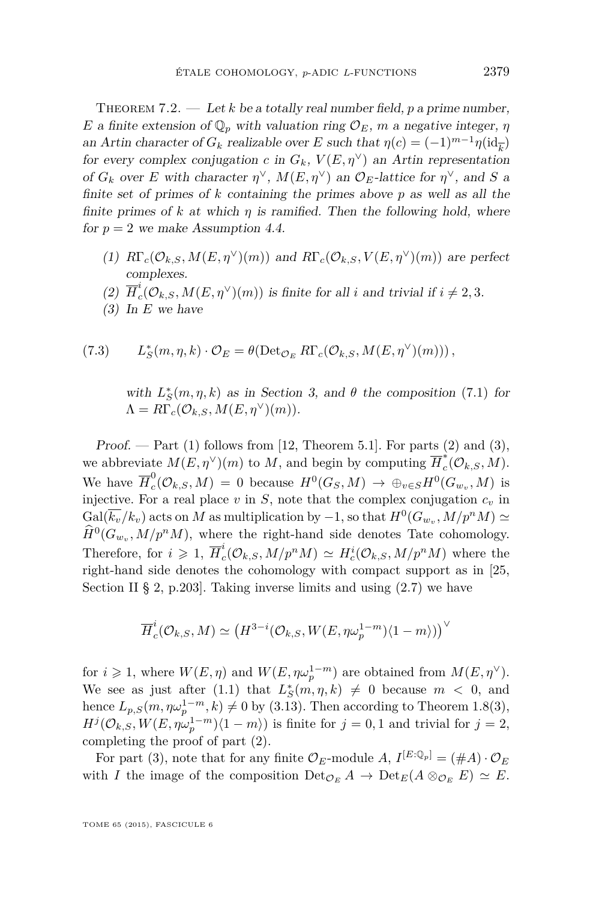<span id="page-49-0"></span>THEOREM 7.2.  $\qquad$  Let *k* be a totally real number field, *p* a prime number, *E* a finite extension of  $\mathbb{Q}_p$  with valuation ring  $\mathcal{O}_E$ , *m* a negative integer, *η* an Artin character of  $G_k$  realizable over  $E$  such that  $\eta(c) = (-1)^{m-1}\eta(\mathrm{id}_{\overline{k}})$ for every complex conjugation *c* in  $G_k$ ,  $V(E, \eta^{\vee})$  an Artin representation of  $G_k$  over *E* with character  $\eta^{\vee}$ ,  $M(E, \eta^{\vee})$  an  $\mathcal{O}_E$ -lattice for  $\eta^{\vee}$ , and *S* a finite set of primes of *k* containing the primes above *p* as well as all the finite primes of  $k$  at which  $\eta$  is ramified. Then the following hold, where for  $p = 2$  we make Assumption [4.4.](#page-31-0)

- (1)  $R\Gamma_c(\mathcal{O}_{k,S}, M(E, \eta^{\vee})(m))$  and  $R\Gamma_c(\mathcal{O}_{k,S}, V(E, \eta^{\vee})(m))$  are perfect complexes.
- $(2)$   $\overline{H}_c^i$  $c^i_c(\mathcal{O}_{k,S}, M(E, \eta^{\vee})(m))$  is finite for all *i* and trivial if  $i \neq 2, 3$ .
- (3) In *E* we have

(7.3) 
$$
L_S^*(m, \eta, k) \cdot \mathcal{O}_E = \theta(\text{Det}_{\mathcal{O}_E} R\Gamma_c(\mathcal{O}_{k,S}, M(E, \eta^{\vee})(m)))\,,
$$

with  $L^*_{\mathcal{S}}(m, \eta, k)$  as in Section [3,](#page-26-0) and  $\theta$  the composition [\(7.1\)](#page-48-0) for  $\Lambda = R\Gamma_c(\mathcal{O}_{k,S}, M(E, \eta^{\vee})(m)).$ 

Proof. — Part  $(1)$  follows from [\[12,](#page-52-0) Theorem 5.1]. For parts  $(2)$  and  $(3)$ , we abbreviate  $M(E, \eta^{\vee})(m)$  to  $M$ , and begin by computing  $\overline{H}_c^*$  $\int_{c}^{\cdot}(\mathcal{O}_{k,S},M).$ We have  $\overline{H}_c^0$  $E_c^0(\mathcal{O}_{k,S}, M) = 0$  because  $H^0(G_S, M) \to \bigoplus_{v \in S} H^0(G_{w_v}, M)$  is injective. For a real place  $v$  in  $S$ , note that the complex conjugation  $c<sub>v</sub>$  in  $Gal(\overline{k_v}/k_v)$  acts on *M* as multiplication by  $-1$ , so that  $H^0(G_{w_v}, M/p^n M) \simeq$  $\hat{H}^0(G_{w_v}, M/p^n M)$ , where the right-hand side denotes Tate cohomology. Therefore, for  $i \geqslant 1$ ,  $\overline{H}_c^i$  $c^i_c(\mathcal{O}_{k,S}, M/p^n M) \simeq H_c^i(\mathcal{O}_{k,S}, M/p^n M)$  where the right-hand side denotes the cohomology with compact support as in [\[25,](#page-52-0) Section II § 2, p.203]. Taking inverse limits and using [\(2.7\)](#page-13-0) we have

$$
\overline{H}_c^i(\mathcal{O}_{k,S},M)\simeq \left(H^{3-i}(\mathcal{O}_{k,S},W(E,\eta\omega_p^{1-m})\langle 1-m\rangle)\right)^{\vee}
$$

for  $i \geq 1$ , where  $W(E, \eta)$  and  $W(E, \eta \omega_p^{1-m})$  are obtained from  $M(E, \eta^{\vee})$ . We see as just after [\(1.1\)](#page-2-0) that  $L^*_{\mathcal{S}}(m, \eta, k) \neq 0$  because  $m < 0$ , and hence  $L_{p,S}(m, \eta \omega_p^{1-m}, k) \neq 0$  by [\(3.13\)](#page-29-0). Then according to Theorem [1.8\(](#page-7-0)3),  $H^{j}(\mathcal{O}_{k,S}, W(E, \eta \omega_p^{1-m})\langle 1 - m \rangle)$  is finite for  $j = 0, 1$  and trivial for  $j = 2$ , completing the proof of part (2).

For part (3), note that for any finite  $\mathcal{O}_E$ -module  $A, I^{[E:\mathbb{Q}_p]} = (\#A) \cdot \mathcal{O}_E$ with *I* the image of the composition  $\text{Det}_{\mathcal{O}_E} A \to \text{Det}_E(A \otimes_{\mathcal{O}_E} E) \simeq E$ .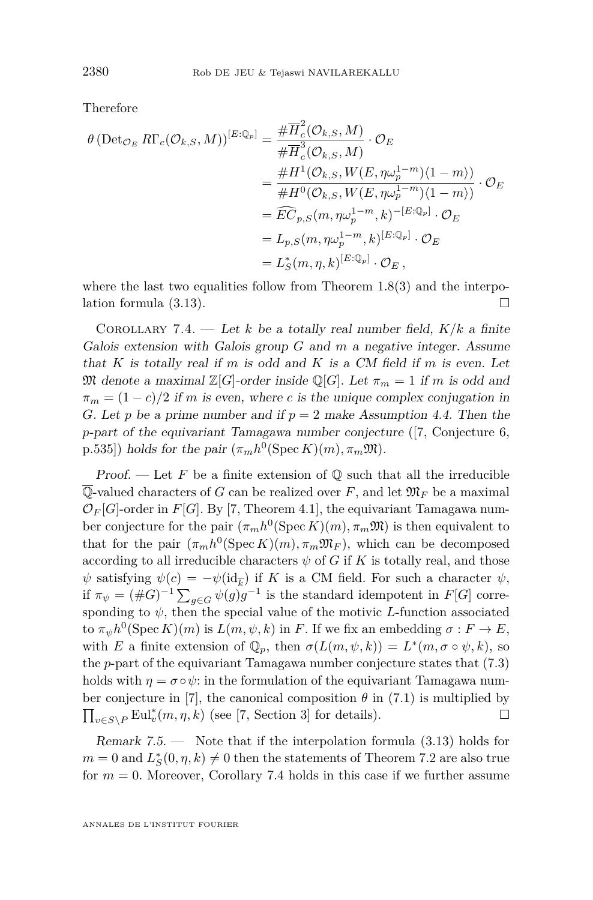<span id="page-50-0"></span>Therefore

$$
\theta \left( \text{Det}_{\mathcal{O}_E} R\Gamma_c(\mathcal{O}_{k,S}, M) \right)^{[E:\mathbb{Q}_p]} = \frac{\# \overline{H}_c^2(\mathcal{O}_{k,S}, M)}{\# \overline{H}_c^3(\mathcal{O}_{k,S}, M)} \cdot \mathcal{O}_E
$$
  
\n
$$
= \frac{\# H^1(\mathcal{O}_{k,S}, W(E, \eta \omega_p^{1-m}) \langle 1 - m \rangle)}{\# H^0(\mathcal{O}_{k,S}, W(E, \eta \omega_p^{1-m}) \langle 1 - m \rangle)} \cdot \mathcal{O}_E
$$
  
\n
$$
= \widetilde{EC}_{p,S}(m, \eta \omega_p^{1-m}, k)^{-[E:\mathbb{Q}_p]} \cdot \mathcal{O}_E
$$
  
\n
$$
= L_{p,S}(m, \eta \omega_p^{1-m}, k)^{[E:\mathbb{Q}_p]} \cdot \mathcal{O}_E
$$
  
\n
$$
= L_{\widetilde{S}}(m, \eta, k)^{[E:\mathbb{Q}_p]} \cdot \mathcal{O}_E,
$$

where the last two equalities follow from Theorem  $1.8(3)$  $1.8(3)$  and the interpolation formula [\(3.13\)](#page-29-0).

COROLLARY 7.4. — Let *k* be a totally real number field,  $K/k$  a finite Galois extension with Galois group *G* and *m* a negative integer. Assume that *K* is totally real if *m* is odd and *K* is a CM field if *m* is even. Let M denote a maximal  $\mathbb{Z}[G]$ -order inside  $\mathbb{Q}[G]$ . Let  $\pi_m = 1$  if m is odd and  $\pi_m = (1 - c)/2$  if *m* is even, where *c* is the unique complex conjugation in *G*. Let *p* be a prime number and if  $p = 2$  make Assumption [4.4.](#page-31-0) Then the *p*-part of the equivariant Tamagawa number conjecture ([\[7,](#page-51-0) Conjecture 6,  $p.535$ ) holds for the pair  $(\pi_m h^0(\text{Spec } K)(m), \pi_m \mathfrak{M})$ .

Proof.  $\overline{\phantom{a}}$  Let F be a finite extension of  $\mathbb Q$  such that all the irreducible  $\overline{\mathbb{Q}}$ -valued characters of *G* can be realized over *F*, and let  $\mathfrak{M}_F$  be a maximal  $\mathcal{O}_F[G]$ -order in  $F[G]$ . By [\[7,](#page-51-0) Theorem 4.1], the equivariant Tamagawa number conjecture for the pair  $(\pi_m h^0(\text{Spec } K)(m), \pi_m \mathfrak{M})$  is then equivalent to that for the pair  $(\pi_m h^0(\text{Spec } K)(m), \pi_m \mathfrak{M}_F)$ , which can be decomposed according to all irreducible characters  $\psi$  of *G* if *K* is totally real, and those  $\psi$  satisfying  $\psi(c) = -\psi(\mathrm{id}_{\overline{k}})$  if *K* is a CM field. For such a character  $\psi$ , if  $\pi_{\psi} = (\#G)^{-1} \sum_{g \in G} \psi(g) g^{-1}$  is the standard idempotent in  $F[G]$  corresponding to  $\psi$ , then the special value of the motivic *L*-function associated to  $\pi_{\psi}h^0(\text{Spec } K)(m)$  is  $L(m, \psi, k)$  in *F*. If we fix an embedding  $\sigma: F \to E$ , with *E* a finite extension of  $\mathbb{Q}_p$ , then  $\sigma(L(m, \psi, k)) = L^*(m, \sigma \circ \psi, k)$ , so the *p*-part of the equivariant Tamagawa number conjecture states that [\(7.3\)](#page-49-0) holds with  $\eta = \sigma \circ \psi$ : in the formulation of the equivariant Tamagawa num-ber conjecture in [\[7\]](#page-51-0), the canonical composition  $\theta$  in [\(7.1\)](#page-48-0) is multiplied by  $\prod_{v \in S \backslash P} \mathrm{Eul}_v^*(m, \eta, k)$  (see [\[7,](#page-51-0) Section 3] for details).

Remark  $7.5.$  — Note that if the interpolation formula  $(3.13)$  holds for  $m = 0$  and  $L_S^*(0, \eta, k) \neq 0$  then the statements of Theorem [7.2](#page-49-0) are also true for  $m = 0$ . Moreover, Corollary 7.4 holds in this case if we further assume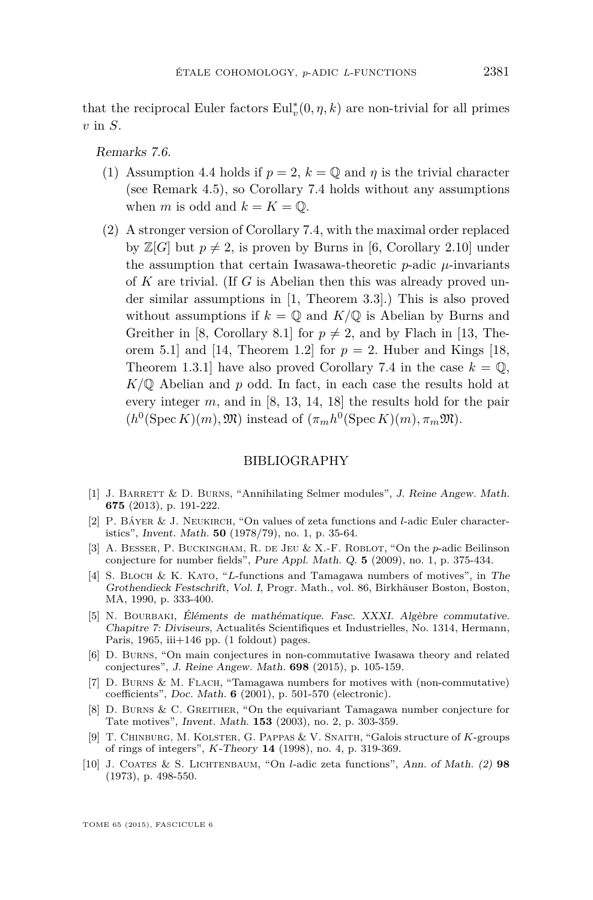<span id="page-51-0"></span>that the reciprocal Euler factors  $\mathrm{Eul}_v^*(0, \eta, k)$  are non-trivial for all primes *v* in *S*.

Remarks 7.6.

- (1) Assumption [4.4](#page-31-0) holds if  $p = 2$ ,  $k = \mathbb{Q}$  and  $\eta$  is the trivial character (see Remark [4.5\)](#page-32-0), so Corollary [7.4](#page-50-0) holds without any assumptions when *m* is odd and  $k = K = \mathbb{Q}$ .
- (2) A stronger version of Corollary [7.4,](#page-50-0) with the maximal order replaced by  $\mathbb{Z}[G]$  but  $p \neq 2$ , is proven by Burns in [6, Corollary 2.10] under the assumption that certain Iwasawa-theoretic  $p$ -adic  $\mu$ -invariants of *K* are trivial. (If *G* is Abelian then this was already proved under similar assumptions in [1, Theorem 3.3].) This is also proved without assumptions if  $k = \mathbb{Q}$  and  $K/\mathbb{Q}$  is Abelian by Burns and Greither in [8, Corollary 8.1] for  $p \neq 2$ , and by Flach in [\[13,](#page-52-0) The-orem 5.1] and [\[14,](#page-52-0) Theorem 1.2] for  $p = 2$ . Huber and Kings [\[18,](#page-52-0) Theorem 1.3.1] have also proved Corollary [7.4](#page-50-0) in the case  $k = \mathbb{Q}$ , *K/*Q Abelian and *p* odd. In fact, in each case the results hold at every integer *m*, and in [8, [13,](#page-52-0) [14,](#page-52-0) [18\]](#page-52-0) the results hold for the pair  $(h^0(\text{Spec } K)(m), \mathfrak{M})$  instead of  $(\pi_m h^0(\text{Spec } K)(m), \pi_m \mathfrak{M})$ .

#### BIBLIOGRAPHY

- [1] J. Barrett & D. Burns, "Annihilating Selmer modules", J. Reine Angew. Math. **675** (2013), p. 191-222.
- [2] P. Báyer & J. Neukirch, "On values of zeta functions and *l*-adic Euler characteristics", Invent. Math. **50** (1978/79), no. 1, p. 35-64.
- [3] A. Besser, P. Buckingham, R. de Jeu & X.-F. Roblot, "On the *p*-adic Beilinson conjecture for number fields", Pure Appl. Math. Q. **5** (2009), no. 1, p. 375-434.
- [4] S. Bloch & K. Kato, "*L*-functions and Tamagawa numbers of motives", in The Grothendieck Festschrift, Vol. I, Progr. Math., vol. 86, Birkhäuser Boston, Boston, MA, 1990, p. 333-400.
- [5] N. BOURBAKI, Éléments de mathématique. Fasc. XXXI. Algèbre commutative. Chapitre 7: Diviseurs, Actualités Scientifiques et Industrielles, No. 1314, Hermann, Paris,  $1965$ , iii $+146$  pp. (1 foldout) pages.
- [6] D. Burns, "On main conjectures in non-commutative Iwasawa theory and related conjectures", J. Reine Angew. Math. **698** (2015), p. 105-159.
- [7] D. Burns & M. Flach, "Tamagawa numbers for motives with (non-commutative) coefficients", Doc. Math. **6** (2001), p. 501-570 (electronic).
- [8] D. Burns & C. Greither, "On the equivariant Tamagawa number conjecture for Tate motives", Invent. Math. **153** (2003), no. 2, p. 303-359.
- [9] T. Chinburg, M. Kolster, G. Pappas & V. Snaith, "Galois structure of *K*-groups of rings of integers", *K*-Theory **14** (1998), no. 4, p. 319-369.
- [10] J. Coates & S. Lichtenbaum, "On *l*-adic zeta functions", Ann. of Math. (2) **98** (1973), p. 498-550.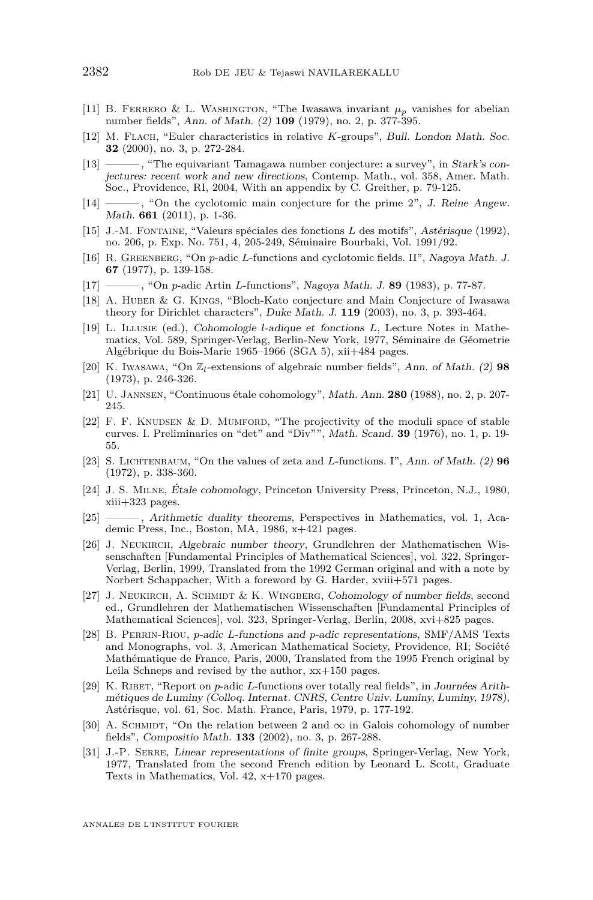- <span id="page-52-0"></span>[11] B. FERRERO & L. WASHINGTON, "The Iwasawa invariant  $\mu_p$  vanishes for abelian number fields", Ann. of Math. (2) **109** (1979), no. 2, p. 377-395.
- [12] M. Flach, "Euler characteristics in relative *K*-groups", Bull. London Math. Soc. **32** (2000), no. 3, p. 272-284.
- [13] ——— , "The equivariant Tamagawa number conjecture: a survey", in Stark's conjectures: recent work and new directions, Contemp. Math., vol. 358, Amer. Math. Soc., Providence, RI, 2004, With an appendix by C. Greither, p. 79-125.
- [14] ——— , "On the cyclotomic main conjecture for the prime 2", J. Reine Angew. Math. **661** (2011), p. 1-36.
- [15] J.-M. Fontaine, "Valeurs spéciales des fonctions *L* des motifs", Astérisque (1992), no. 206, p. Exp. No. 751, 4, 205-249, Séminaire Bourbaki, Vol. 1991/92.
- [16] R. Greenberg, "On *p*-adic *L*-functions and cyclotomic fields. II", Nagoya Math. J. **67** (1977), p. 139-158.
- [17] ——— , "On *p*-adic Artin *L*-functions", Nagoya Math. J. **89** (1983), p. 77-87.
- [18] A. Huber & G. Kings, "Bloch-Kato conjecture and Main Conjecture of Iwasawa theory for Dirichlet characters", Duke Math. J. **119** (2003), no. 3, p. 393-464.
- [19] L. Illusie (ed.), Cohomologie *l*-adique et fonctions *L*, Lecture Notes in Mathematics, Vol. 589, Springer-Verlag, Berlin-New York, 1977, Séminaire de Géometrie Algébrique du Bois-Marie 1965–1966 (SGA 5), xii+484 pages.
- [20] K. Iwasawa, "On Z*l*-extensions of algebraic number fields", Ann. of Math. (2) **98** (1973), p. 246-326.
- [21] U. Jannsen, "Continuous étale cohomology", Math. Ann. **280** (1988), no. 2, p. 207- 245.
- [22] F. F. KNUDSEN & D. MUMFORD, "The projectivity of the moduli space of stable curves. I. Preliminaries on "det" and "Div"", Math. Scand. **39** (1976), no. 1, p. 19- 55.
- [23] S. Lichtenbaum, "On the values of zeta and *L*-functions. I", Ann. of Math. (2) **96** (1972), p. 338-360.
- [24] J. S. Milne, Étale cohomology, Princeton University Press, Princeton, N.J., 1980, xiii+323 pages.
- [25] ——— , Arithmetic duality theorems, Perspectives in Mathematics, vol. 1, Academic Press, Inc., Boston, MA, 1986, x+421 pages.
- [26] J. Neukirch, Algebraic number theory, Grundlehren der Mathematischen Wissenschaften [Fundamental Principles of Mathematical Sciences], vol. 322, Springer-Verlag, Berlin, 1999, Translated from the 1992 German original and with a note by Norbert Schappacher, With a foreword by G. Harder, xviii+571 pages.
- [27] J. NEUKIRCH, A. SCHMIDT & K. WINGBERG, Cohomology of number fields, second ed., Grundlehren der Mathematischen Wissenschaften [Fundamental Principles of Mathematical Sciences], vol. 323, Springer-Verlag, Berlin, 2008, xvi+825 pages.
- [28] B. Perrin-Riou, *p*-adic *L*-functions and *p*-adic representations, SMF/AMS Texts and Monographs, vol. 3, American Mathematical Society, Providence, RI; Société Mathématique de France, Paris, 2000, Translated from the 1995 French original by Leila Schneps and revised by the author, xx+150 pages.
- [29] K. RIBET, "Report on *p*-adic *L*-functions over totally real fields", in Journées Arithmétiques de Luminy (Colloq. Internat. CNRS, Centre Univ. Luminy, Luminy, 1978), Astérisque, vol. 61, Soc. Math. France, Paris, 1979, p. 177-192.
- [30] A. SCHMIDT, "On the relation between 2 and  $\infty$  in Galois cohomology of number fields", Compositio Math. **133** (2002), no. 3, p. 267-288.
- [31] J.-P. Serre, Linear representations of finite groups, Springer-Verlag, New York, 1977, Translated from the second French edition by Leonard L. Scott, Graduate Texts in Mathematics, Vol. 42, x+170 pages.